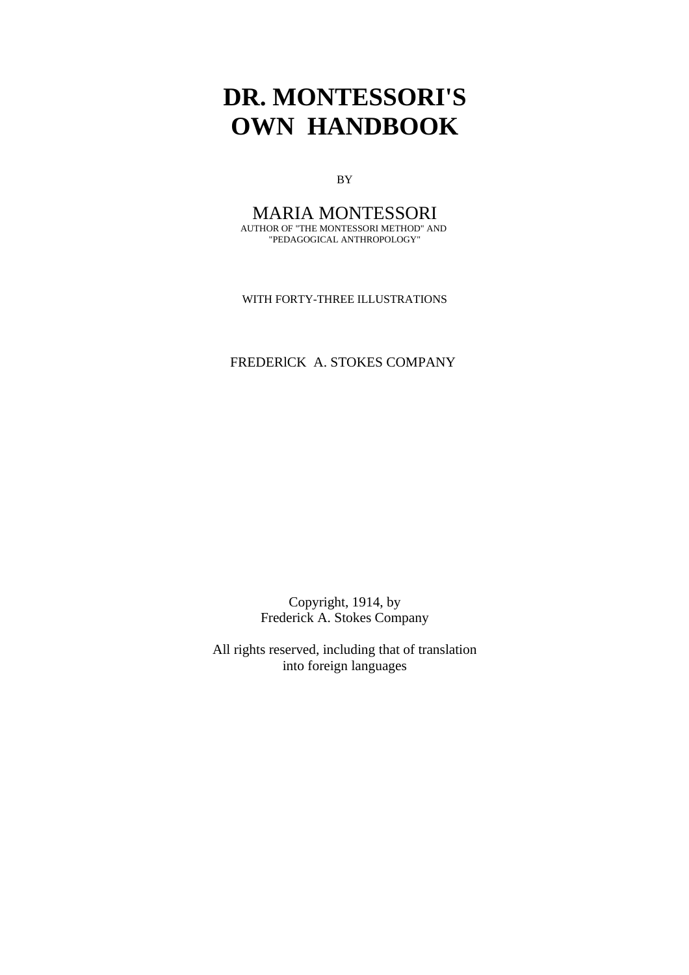BY

#### MARIA MONTESSORI AUTHOR OF "THE MONTESSORI METHOD" AND "PEDAGOGICAL ANTHROPOLOGY"

WITH FORTY-THREE ILLUSTRATIONS

## FREDERlCK A. STOKES COMPANY

Copyright, 1914, by Frederick A. Stokes Company

All rights reserved, including that of translation into foreign languages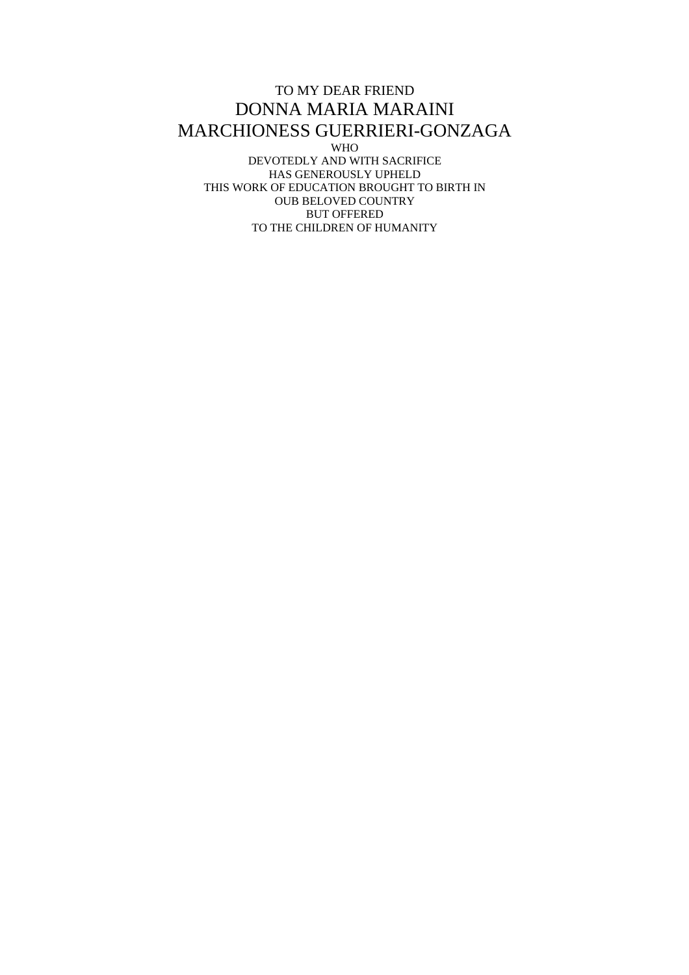#### TO MY DEAR FRIEND DONNA MARIA MARAINI MARCHIONESS GUERRIERI-GONZAGA WHO DEVOTEDLY AND WITH SACRIFICE HAS GENEROUSLY UPHELD THIS WORK OF EDUCATION BROUGHT TO BIRTH IN OUB BELOVED COUNTRY BUT OFFERED TO THE CHILDREN OF HUMANITY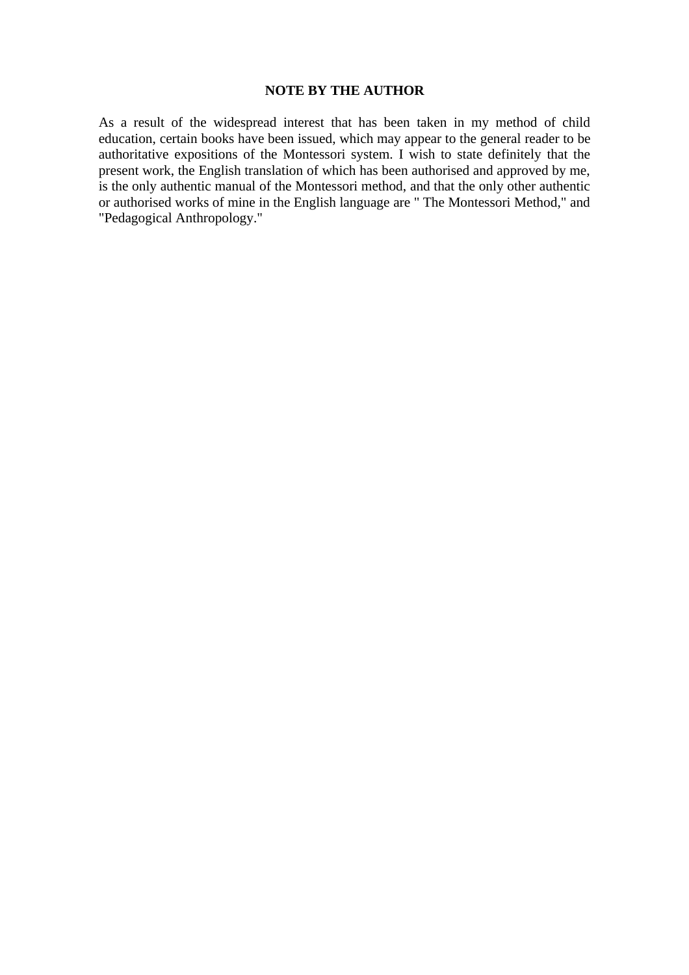## **NOTE BY THE AUTHOR**

As a result of the widespread interest that has been taken in my method of child education, certain books have been issued, which may appear to the general reader to be authoritative expositions of the Montessori system. I wish to state definitely that the present work, the English translation of which has been authorised and approved by me, is the only authentic manual of the Montessori method, and that the only other authentic or authorised works of mine in the English language are " The Montessori Method," and "Pedagogical Anthropology."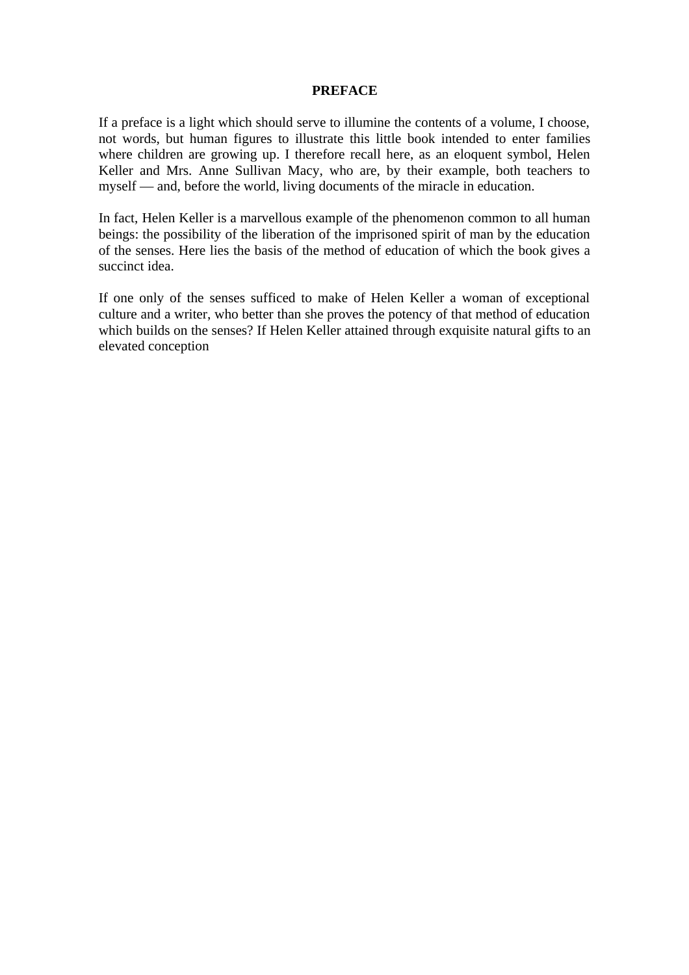#### **PREFACE**

If a preface is a light which should serve to illumine the contents of a volume, I choose, not words, but human figures to illustrate this little book intended to enter families where children are growing up. I therefore recall here, as an eloquent symbol, Helen Keller and Mrs. Anne Sullivan Macy, who are, by their example, both teachers to myself — and, before the world, living documents of the miracle in education.

In fact, Helen Keller is a marvellous example of the phenomenon common to all human beings: the possibility of the liberation of the imprisoned spirit of man by the education of the senses. Here lies the basis of the method of education of which the book gives a succinct idea.

If one only of the senses sufficed to make of Helen Keller a woman of exceptional culture and a writer, who better than she proves the potency of that method of education which builds on the senses? If Helen Keller attained through exquisite natural gifts to an elevated conception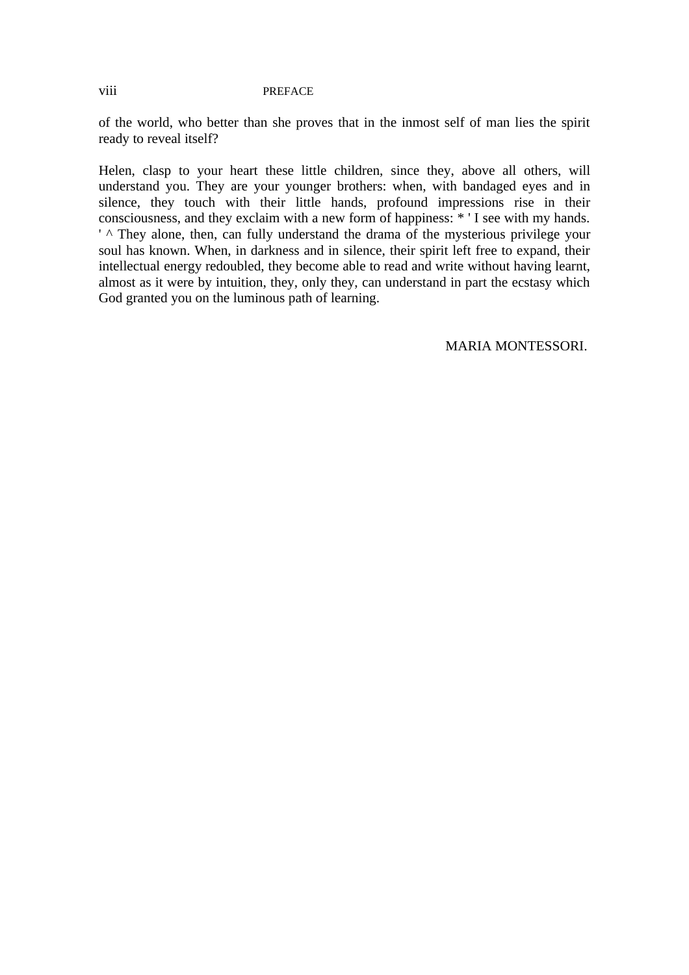#### viii PREFACE

of the world, who better than she proves that in the inmost self of man lies the spirit ready to reveal itself?

Helen, clasp to your heart these little children, since they, above all others, will understand you. They are your younger brothers: when, with bandaged eyes and in silence, they touch with their little hands, profound impressions rise in their consciousness, and they exclaim with a new form of happiness: \* ' I see with my hands.  $\prime$   $\land$  They alone, then, can fully understand the drama of the mysterious privilege your soul has known. When, in darkness and in silence, their spirit left free to expand, their intellectual energy redoubled, they become able to read and write without having learnt, almost as it were by intuition, they, only they, can understand in part the ecstasy which God granted you on the luminous path of learning.

MARIA MONTESSORI.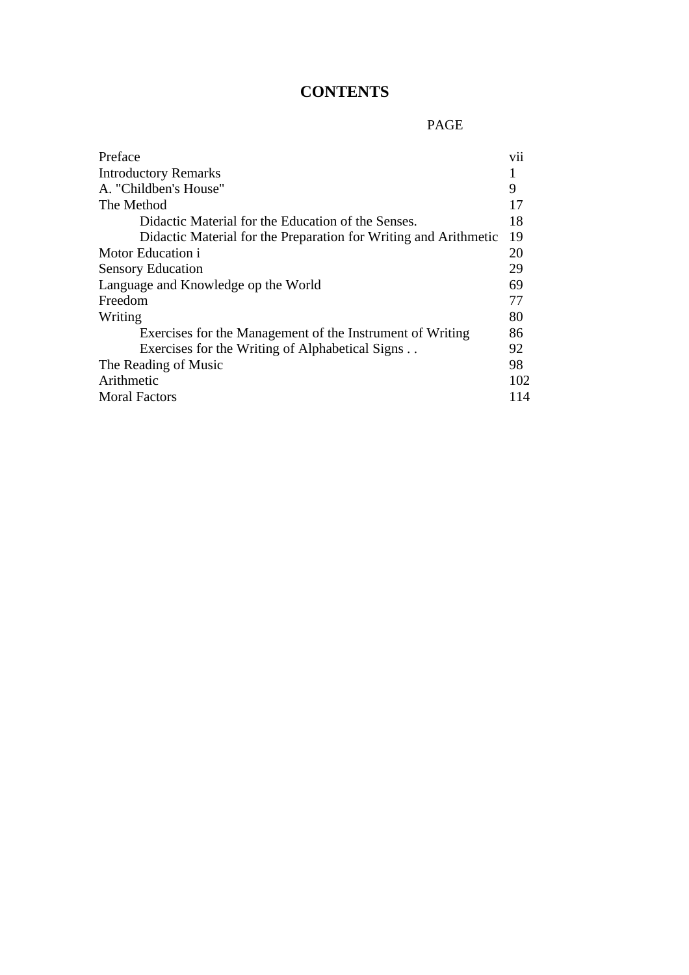# **CONTENTS**

# PAGE

| Preface                                                          | vii |
|------------------------------------------------------------------|-----|
| <b>Introductory Remarks</b>                                      |     |
| A. "Childben's House"                                            | 9   |
| The Method                                                       | 17  |
| Didactic Material for the Education of the Senses.               | 18  |
| Didactic Material for the Preparation for Writing and Arithmetic | 19  |
| Motor Education i                                                | 20  |
| <b>Sensory Education</b>                                         | 29  |
| Language and Knowledge op the World                              | 69  |
| Freedom                                                          | 77  |
| Writing                                                          | 80  |
| Exercises for the Management of the Instrument of Writing        | 86  |
| Exercises for the Writing of Alphabetical Signs                  | 92  |
| The Reading of Music                                             | 98  |
| Arithmetic                                                       | 102 |
| <b>Moral Factors</b>                                             | 114 |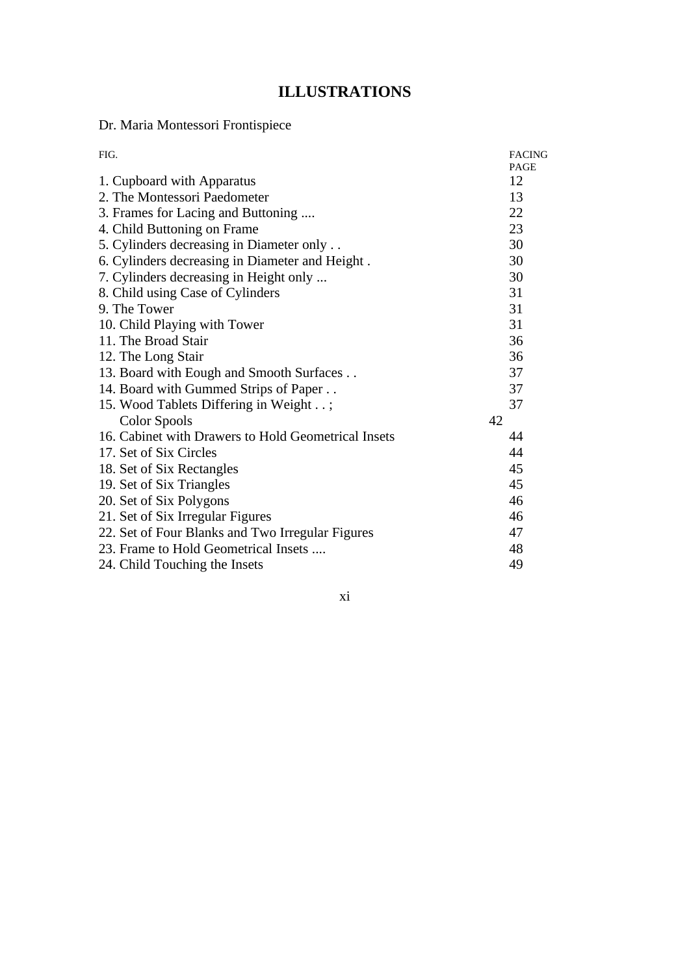# **ILLUSTRATIONS**

Dr. Maria Montessori Frontispiece

| FIG.                                                | <b>FACING</b><br>PAGE |
|-----------------------------------------------------|-----------------------|
| 1. Cupboard with Apparatus                          | 12                    |
| 2. The Montessori Paedometer                        | 13                    |
| 3. Frames for Lacing and Buttoning                  | 22                    |
| 4. Child Buttoning on Frame                         | 23                    |
| 5. Cylinders decreasing in Diameter only            | 30                    |
| 6. Cylinders decreasing in Diameter and Height.     | 30                    |
| 7. Cylinders decreasing in Height only              | 30                    |
| 8. Child using Case of Cylinders                    | 31                    |
| 9. The Tower                                        | 31                    |
| 10. Child Playing with Tower                        | 31                    |
| 11. The Broad Stair                                 | 36                    |
| 12. The Long Stair                                  | 36                    |
| 13. Board with Eough and Smooth Surfaces            | 37                    |
| 14. Board with Gummed Strips of Paper               | 37                    |
| 15. Wood Tablets Differing in Weight;               | 37                    |
| <b>Color Spools</b>                                 | 42                    |
| 16. Cabinet with Drawers to Hold Geometrical Insets | 44                    |
| 17. Set of Six Circles                              | 44                    |
| 18. Set of Six Rectangles                           | 45                    |
| 19. Set of Six Triangles                            | 45                    |
| 20. Set of Six Polygons                             | 46                    |
| 21. Set of Six Irregular Figures                    | 46                    |
| 22. Set of Four Blanks and Two Irregular Figures    | 47                    |
| 23. Frame to Hold Geometrical Insets                | 48                    |
| 24. Child Touching the Insets                       | 49                    |

xi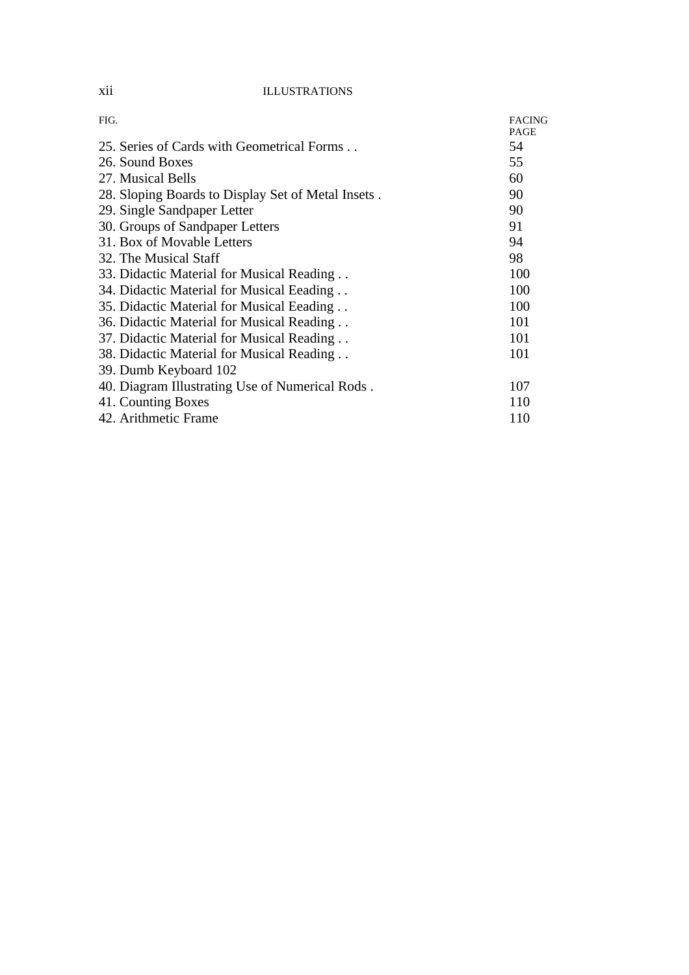## xii ILLUSTRATIONS

| FIG.                                               | <b>FACING</b><br><b>PAGE</b> |
|----------------------------------------------------|------------------------------|
| 25. Series of Cards with Geometrical Forms         | 54                           |
| 26. Sound Boxes                                    | 55                           |
| 27. Musical Bells                                  | 60                           |
| 28. Sloping Boards to Display Set of Metal Insets. | 90                           |
| 29. Single Sandpaper Letter                        | 90                           |
| 30. Groups of Sandpaper Letters                    | 91                           |
| 31. Box of Movable Letters                         | 94                           |
| 32. The Musical Staff                              | 98                           |
| 33. Didactic Material for Musical Reading          | 100                          |
| 34. Didactic Material for Musical Eeading          | 100                          |
| 35. Didactic Material for Musical Eeading          | 100                          |
| 36. Didactic Material for Musical Reading          | 101                          |
| 37. Didactic Material for Musical Reading          | 101                          |
| 38. Didactic Material for Musical Reading          | 101                          |
| 39. Dumb Keyboard 102                              |                              |
| 40. Diagram Illustrating Use of Numerical Rods.    | 107                          |
| 41. Counting Boxes                                 | 110                          |
| 42. Arithmetic Frame                               | 110                          |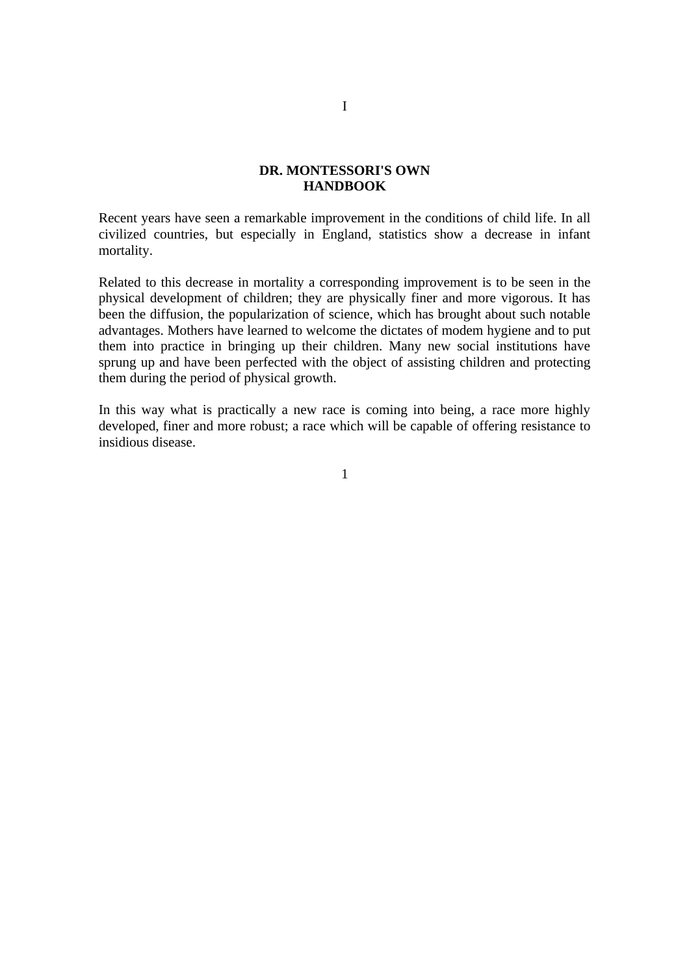Recent years have seen a remarkable improvement in the conditions of child life. In all civilized countries, but especially in England, statistics show a decrease in infant mortality.

Related to this decrease in mortality a corresponding improvement is to be seen in the physical development of children; they are physically finer and more vigorous. It has been the diffusion, the popularization of science, which has brought about such notable advantages. Mothers have learned to welcome the dictates of modem hygiene and to put them into practice in bringing up their children. Many new social institutions have sprung up and have been perfected with the object of assisting children and protecting them during the period of physical growth.

In this way what is practically a new race is coming into being, a race more highly developed, finer and more robust; a race which will be capable of offering resistance to insidious disease.

1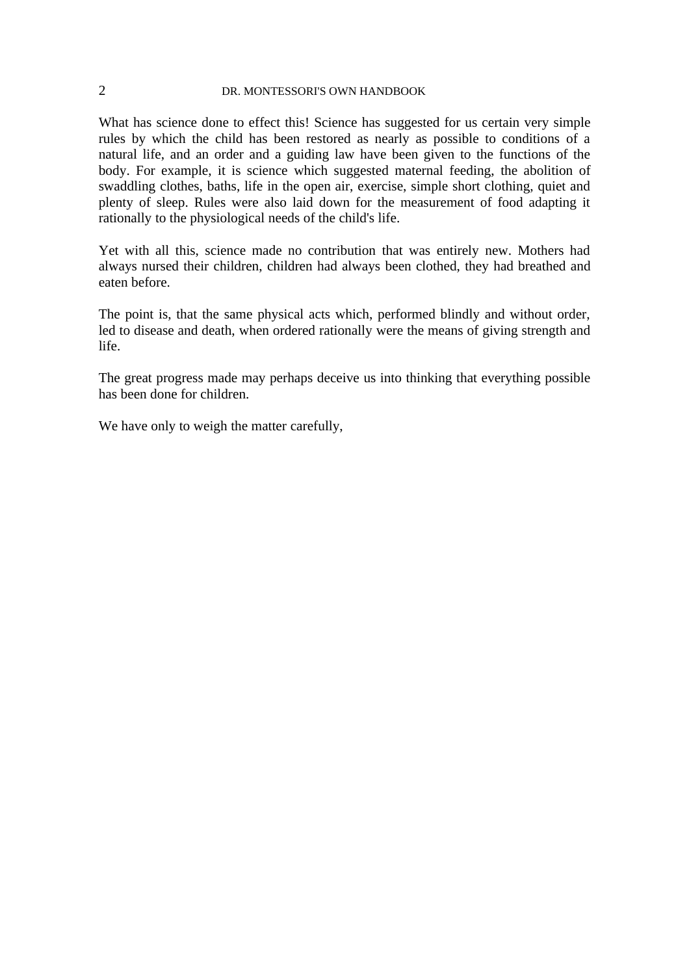What has science done to effect this! Science has suggested for us certain very simple rules by which the child has been restored as nearly as possible to conditions of a natural life, and an order and a guiding law have been given to the functions of the body. For example, it is science which suggested maternal feeding, the abolition of swaddling clothes, baths, life in the open air, exercise, simple short clothing, quiet and plenty of sleep. Rules were also laid down for the measurement of food adapting it rationally to the physiological needs of the child's life.

Yet with all this, science made no contribution that was entirely new. Mothers had always nursed their children, children had always been clothed, they had breathed and eaten before.

The point is, that the same physical acts which, performed blindly and without order, led to disease and death, when ordered rationally were the means of giving strength and life.

The great progress made may perhaps deceive us into thinking that everything possible has been done for children.

We have only to weigh the matter carefully,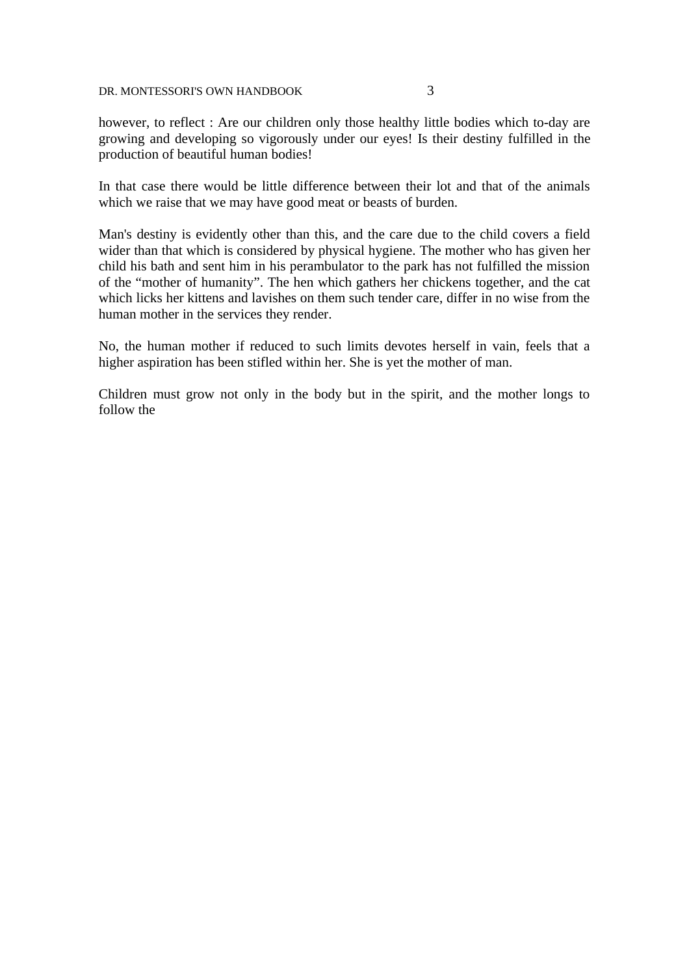however, to reflect : Are our children only those healthy little bodies which to-day are growing and developing so vigorously under our eyes! Is their destiny fulfilled in the production of beautiful human bodies!

In that case there would be little difference between their lot and that of the animals which we raise that we may have good meat or beasts of burden.

Man's destiny is evidently other than this, and the care due to the child covers a field wider than that which is considered by physical hygiene. The mother who has given her child his bath and sent him in his perambulator to the park has not fulfilled the mission of the "mother of humanity". The hen which gathers her chickens together, and the cat which licks her kittens and lavishes on them such tender care, differ in no wise from the human mother in the services they render.

No, the human mother if reduced to such limits devotes herself in vain, feels that a higher aspiration has been stifled within her. She is yet the mother of man.

Children must grow not only in the body but in the spirit, and the mother longs to follow the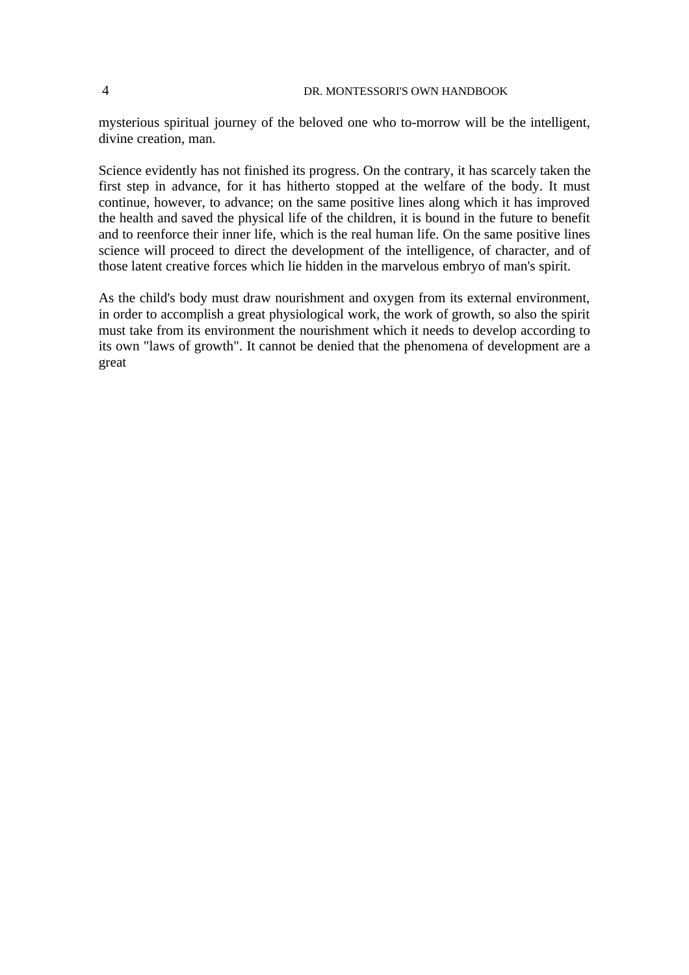mysterious spiritual journey of the beloved one who to-morrow will be the intelligent, divine creation, man.

Science evidently has not finished its progress. On the contrary, it has scarcely taken the first step in advance, for it has hitherto stopped at the welfare of the body. It must continue, however, to advance; on the same positive lines along which it has improved the health and saved the physical life of the children, it is bound in the future to benefit and to reenforce their inner life, which is the real human life. On the same positive lines science will proceed to direct the development of the intelligence, of character, and of those latent creative forces which lie hidden in the marvelous embryo of man's spirit.

As the child's body must draw nourishment and oxygen from its external environment, in order to accomplish a great physiological work, the work of growth, so also the spirit must take from its environment the nourishment which it needs to develop according to its own "laws of growth". It cannot be denied that the phenomena of development are a great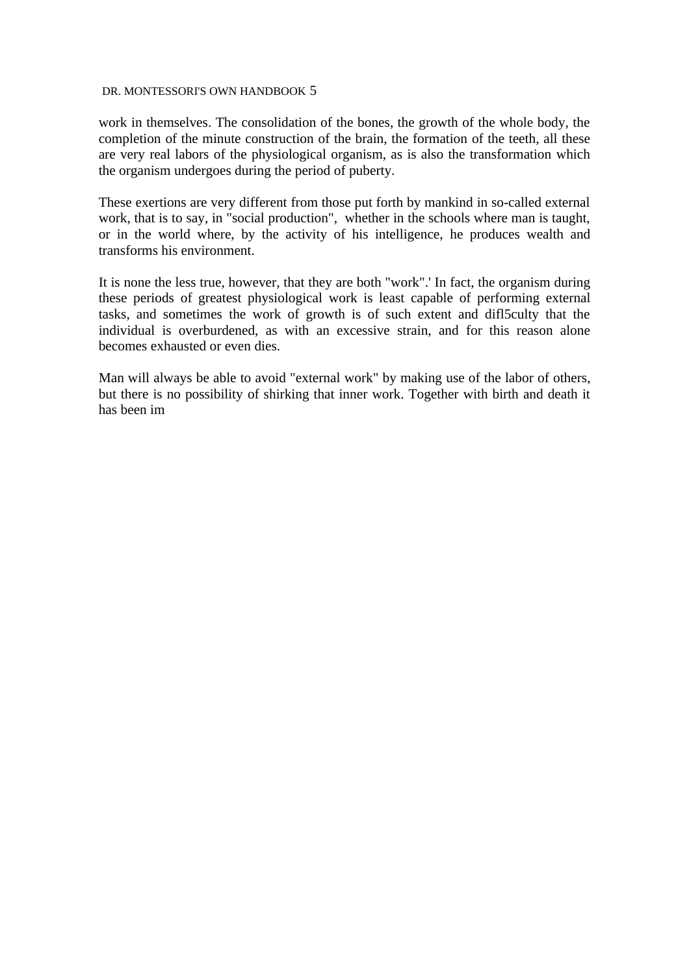work in themselves. The consolidation of the bones, the growth of the whole body, the completion of the minute construction of the brain, the formation of the teeth, all these are very real labors of the physiological organism, as is also the transformation which the organism undergoes during the period of puberty.

These exertions are very different from those put forth by mankind in so-called external work, that is to say, in "social production", whether in the schools where man is taught, or in the world where, by the activity of his intelligence, he produces wealth and transforms his environment.

It is none the less true, however, that they are both "work".' In fact, the organism during these periods of greatest physiological work is least capable of performing external tasks, and sometimes the work of growth is of such extent and difl5culty that the individual is overburdened, as with an excessive strain, and for this reason alone becomes exhausted or even dies.

Man will always be able to avoid "external work" by making use of the labor of others, but there is no possibility of shirking that inner work. Together with birth and death it has been im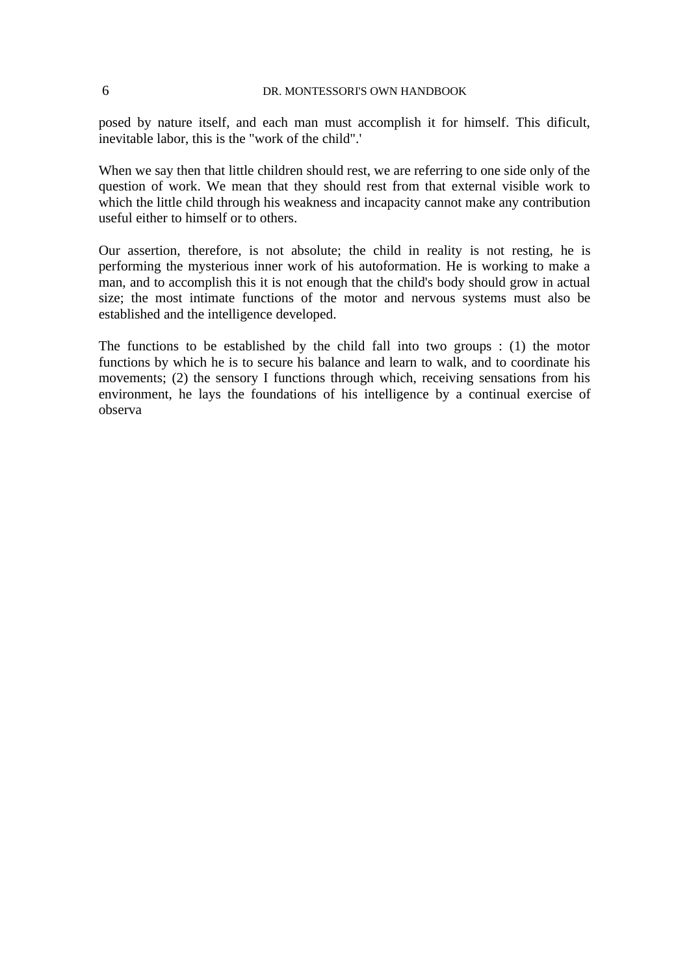posed by nature itself, and each man must accomplish it for himself. This dificult, inevitable labor, this is the "work of the child".'

When we say then that little children should rest, we are referring to one side only of the question of work. We mean that they should rest from that external visible work to which the little child through his weakness and incapacity cannot make any contribution useful either to himself or to others.

Our assertion, therefore, is not absolute; the child in reality is not resting, he is performing the mysterious inner work of his autoformation. He is working to make a man, and to accomplish this it is not enough that the child's body should grow in actual size; the most intimate functions of the motor and nervous systems must also be established and the intelligence developed.

The functions to be established by the child fall into two groups : (1) the motor functions by which he is to secure his balance and learn to walk, and to coordinate his movements; (2) the sensory I functions through which, receiving sensations from his environment, he lays the foundations of his intelligence by a continual exercise of observa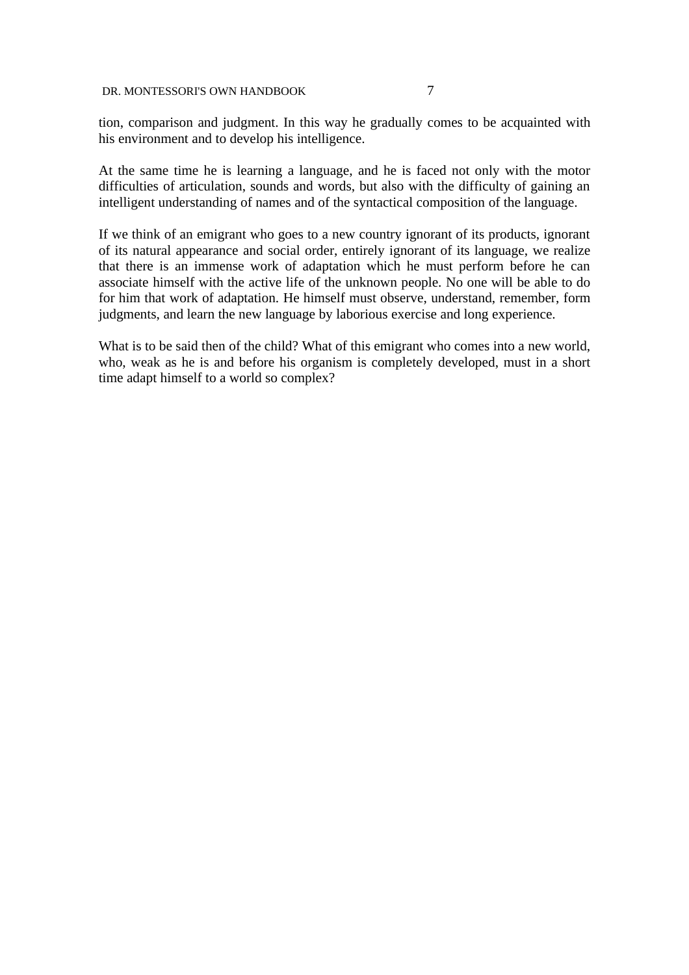tion, comparison and judgment. In this way he gradually comes to be acquainted with his environment and to develop his intelligence.

At the same time he is learning a language, and he is faced not only with the motor difficulties of articulation, sounds and words, but also with the difficulty of gaining an intelligent understanding of names and of the syntactical composition of the language.

If we think of an emigrant who goes to a new country ignorant of its products, ignorant of its natural appearance and social order, entirely ignorant of its language, we realize that there is an immense work of adaptation which he must perform before he can associate himself with the active life of the unknown people. No one will be able to do for him that work of adaptation. He himself must observe, understand, remember, form judgments, and learn the new language by laborious exercise and long experience.

What is to be said then of the child? What of this emigrant who comes into a new world, who, weak as he is and before his organism is completely developed, must in a short time adapt himself to a world so complex?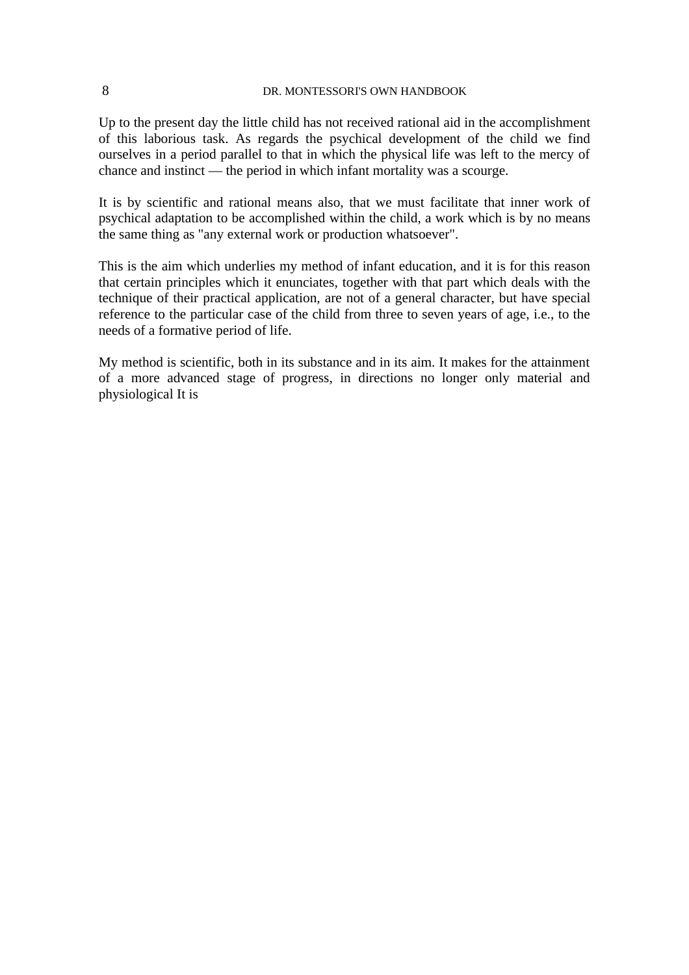Up to the present day the little child has not received rational aid in the accomplishment of this laborious task. As regards the psychical development of the child we find ourselves in a period parallel to that in which the physical life was left to the mercy of chance and instinct — the period in which infant mortality was a scourge.

It is by scientific and rational means also, that we must facilitate that inner work of psychical adaptation to be accomplished within the child, a work which is by no means the same thing as "any external work or production whatsoever".

This is the aim which underlies my method of infant education, and it is for this reason that certain principles which it enunciates, together with that part which deals with the technique of their practical application, are not of a general character, but have special reference to the particular case of the child from three to seven years of age, i.e., to the needs of a formative period of life.

My method is scientific, both in its substance and in its aim. It makes for the attainment of a more advanced stage of progress, in directions no longer only material and physiological It is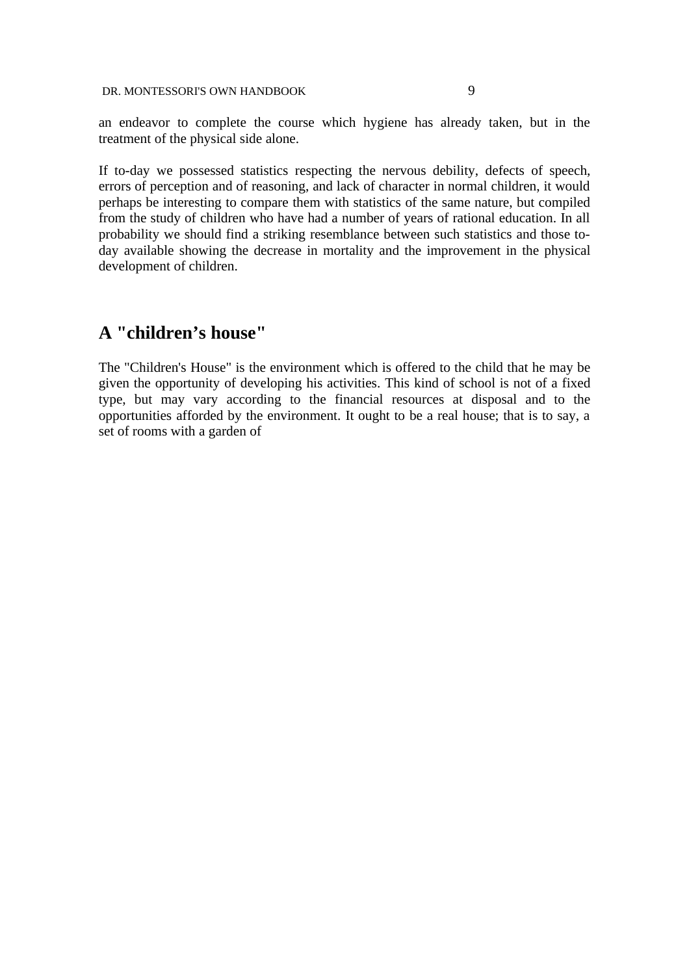an endeavor to complete the course which hygiene has already taken, but in the treatment of the physical side alone.

If to-day we possessed statistics respecting the nervous debility, defects of speech, errors of perception and of reasoning, and lack of character in normal children, it would perhaps be interesting to compare them with statistics of the same nature, but compiled from the study of children who have had a number of years of rational education. In all probability we should find a striking resemblance between such statistics and those today available showing the decrease in mortality and the improvement in the physical development of children.

# **A "children's house"**

The "Children's House" is the environment which is offered to the child that he may be given the opportunity of developing his activities. This kind of school is not of a fixed type, but may vary according to the financial resources at disposal and to the opportunities afforded by the environment. It ought to be a real house; that is to say, a set of rooms with a garden of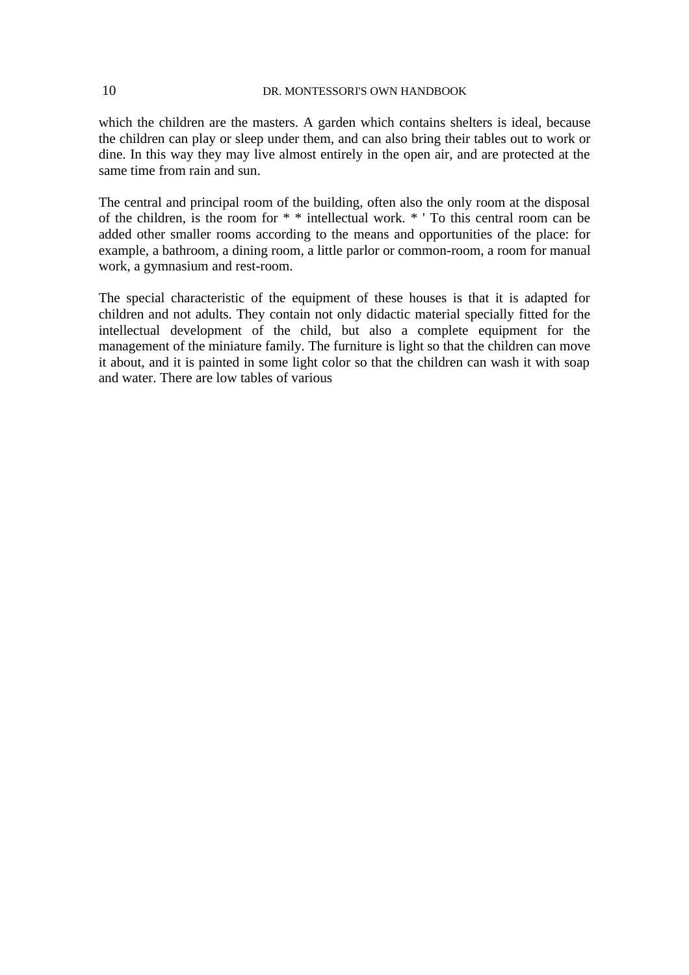which the children are the masters. A garden which contains shelters is ideal, because the children can play or sleep under them, and can also bring their tables out to work or dine. In this way they may live almost entirely in the open air, and are protected at the same time from rain and sun.

The central and principal room of the building, often also the only room at the disposal of the children, is the room for \* \* intellectual work. \* ' To this central room can be added other smaller rooms according to the means and opportunities of the place: for example, a bathroom, a dining room, a little parlor or common-room, a room for manual work, a gymnasium and rest-room.

The special characteristic of the equipment of these houses is that it is adapted for children and not adults. They contain not only didactic material specially fitted for the intellectual development of the child, but also a complete equipment for the management of the miniature family. The furniture is light so that the children can move it about, and it is painted in some light color so that the children can wash it with soap and water. There are low tables of various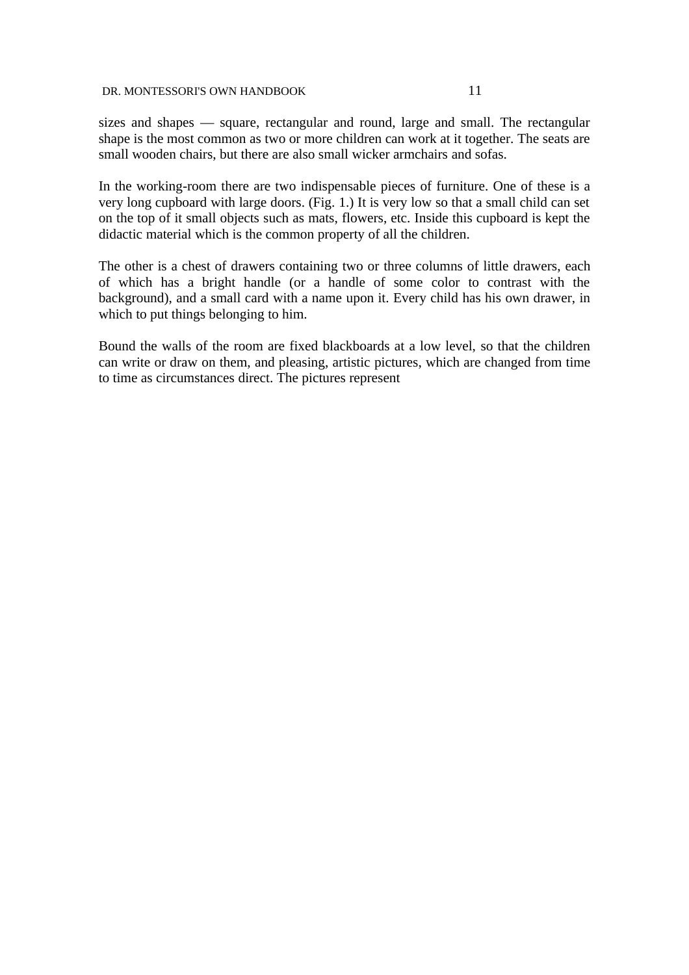sizes and shapes — square, rectangular and round, large and small. The rectangular shape is the most common as two or more children can work at it together. The seats are small wooden chairs, but there are also small wicker armchairs and sofas.

In the working-room there are two indispensable pieces of furniture. One of these is a very long cupboard with large doors. (Fig. 1.) It is very low so that a small child can set on the top of it small objects such as mats, flowers, etc. Inside this cupboard is kept the didactic material which is the common property of all the children.

The other is a chest of drawers containing two or three columns of little drawers, each of which has a bright handle (or a handle of some color to contrast with the background), and a small card with a name upon it. Every child has his own drawer, in which to put things belonging to him.

Bound the walls of the room are fixed blackboards at a low level, so that the children can write or draw on them, and pleasing, artistic pictures, which are changed from time to time as circumstances direct. The pictures represent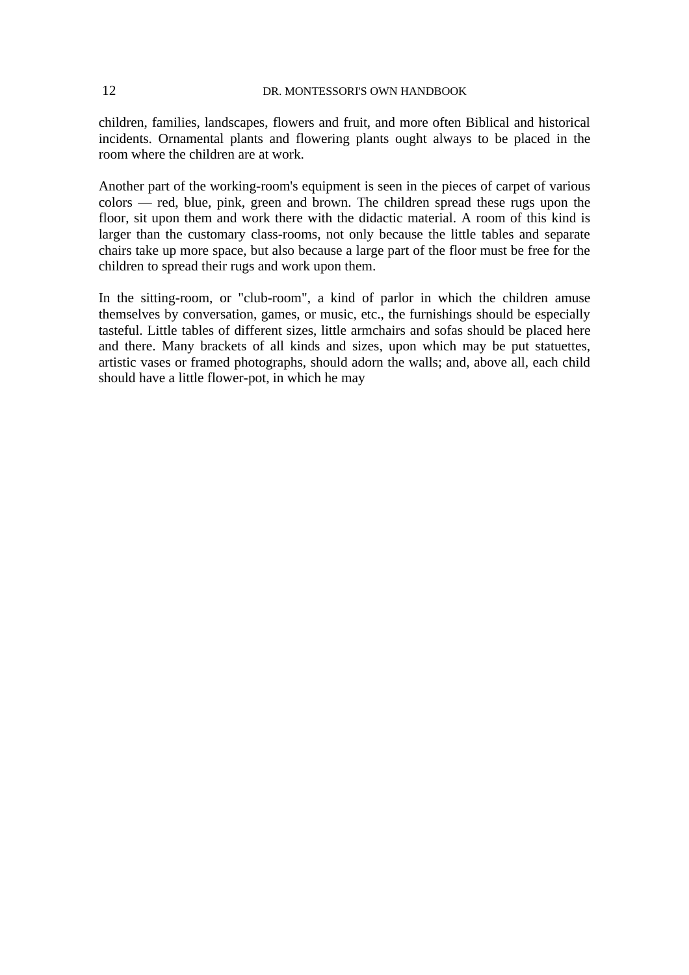children, families, landscapes, flowers and fruit, and more often Biblical and historical incidents. Ornamental plants and flowering plants ought always to be placed in the room where the children are at work.

Another part of the working-room's equipment is seen in the pieces of carpet of various colors — red, blue, pink, green and brown. The children spread these rugs upon the floor, sit upon them and work there with the didactic material. A room of this kind is larger than the customary class-rooms, not only because the little tables and separate chairs take up more space, but also because a large part of the floor must be free for the children to spread their rugs and work upon them.

In the sitting-room, or "club-room", a kind of parlor in which the children amuse themselves by conversation, games, or music, etc., the furnishings should be especially tasteful. Little tables of different sizes, little armchairs and sofas should be placed here and there. Many brackets of all kinds and sizes, upon which may be put statuettes, artistic vases or framed photographs, should adorn the walls; and, above all, each child should have a little flower-pot, in which he may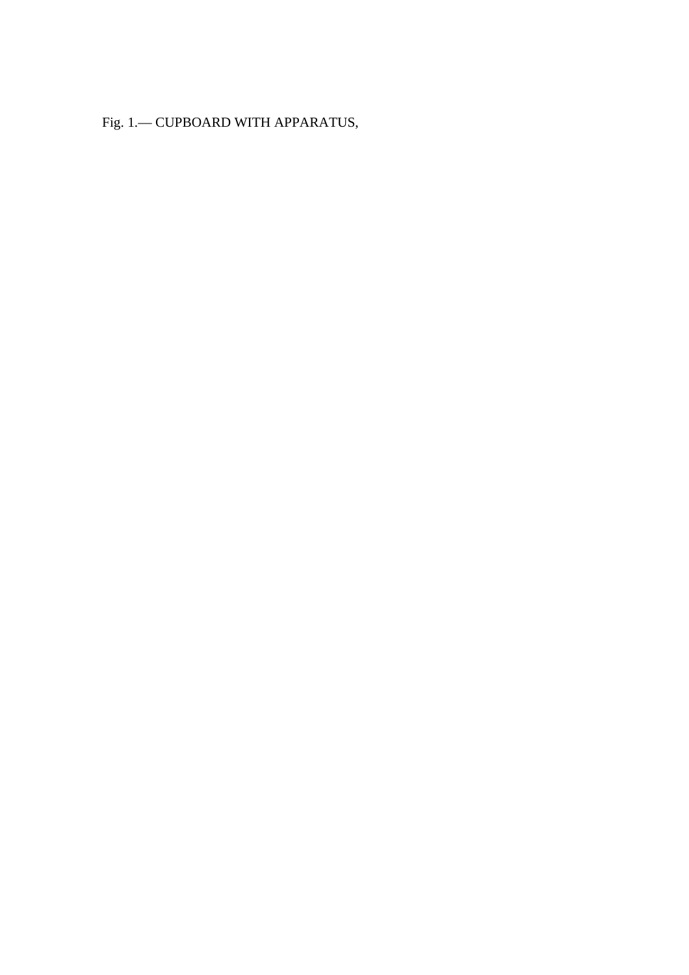Fig. 1.— CUPBOARD WITH APPARATUS,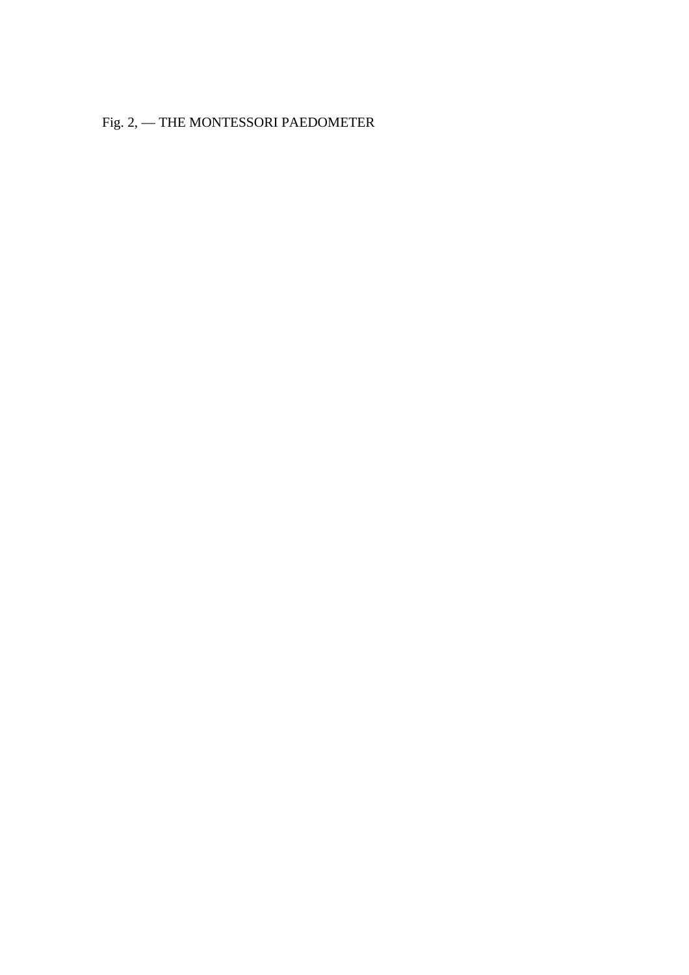Fig. 2, — THE MONTESSORI PAEDOMETER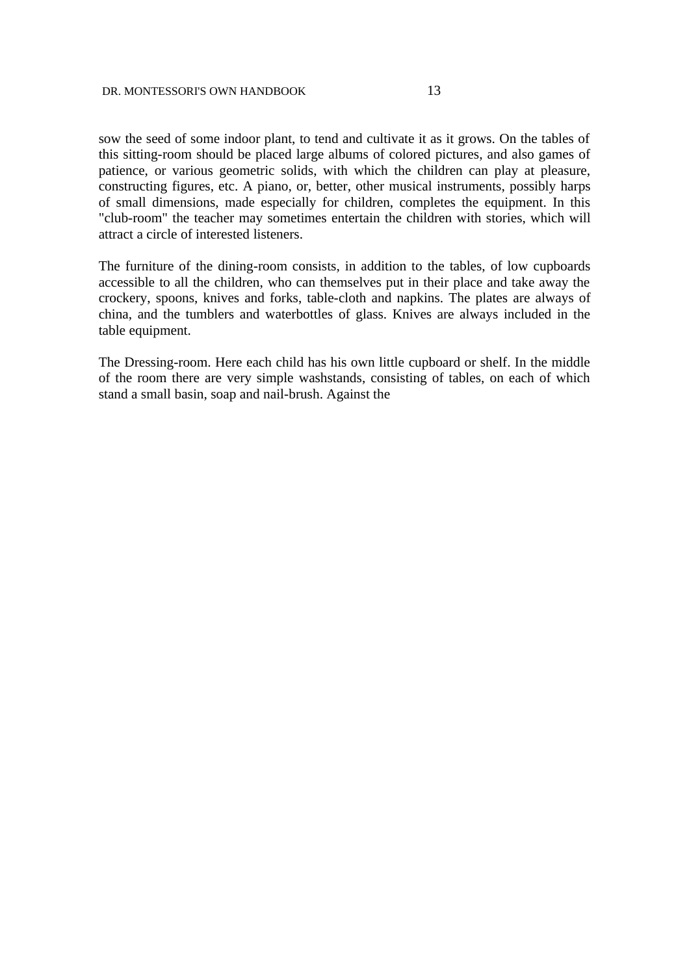sow the seed of some indoor plant, to tend and cultivate it as it grows. On the tables of this sitting-room should be placed large albums of colored pictures, and also games of patience, or various geometric solids, with which the children can play at pleasure, constructing figures, etc. A piano, or, better, other musical instruments, possibly harps of small dimensions, made especially for children, completes the equipment. In this "club-room" the teacher may sometimes entertain the children with stories, which will attract a circle of interested listeners.

The furniture of the dining-room consists, in addition to the tables, of low cupboards accessible to all the children, who can themselves put in their place and take away the crockery, spoons, knives and forks, table-cloth and napkins. The plates are always of china, and the tumblers and waterbottles of glass. Knives are always included in the table equipment.

The Dressing-room. Here each child has his own little cupboard or shelf. In the middle of the room there are very simple washstands, consisting of tables, on each of which stand a small basin, soap and nail-brush. Against the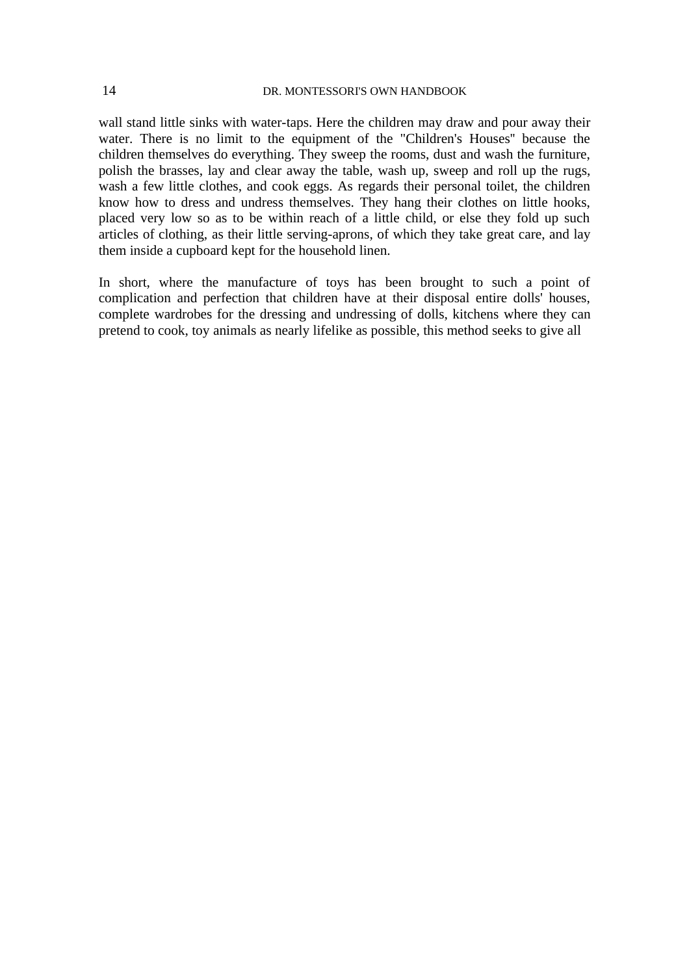wall stand little sinks with water-taps. Here the children may draw and pour away their water. There is no limit to the equipment of the "Children's Houses'' because the children themselves do everything. They sweep the rooms, dust and wash the furniture, polish the brasses, lay and clear away the table, wash up, sweep and roll up the rugs, wash a few little clothes, and cook eggs. As regards their personal toilet, the children know how to dress and undress themselves. They hang their clothes on little hooks, placed very low so as to be within reach of a little child, or else they fold up such articles of clothing, as their little serving-aprons, of which they take great care, and lay them inside a cupboard kept for the household linen.

In short, where the manufacture of toys has been brought to such a point of complication and perfection that children have at their disposal entire dolls' houses, complete wardrobes for the dressing and undressing of dolls, kitchens where they can pretend to cook, toy animals as nearly lifelike as possible, this method seeks to give all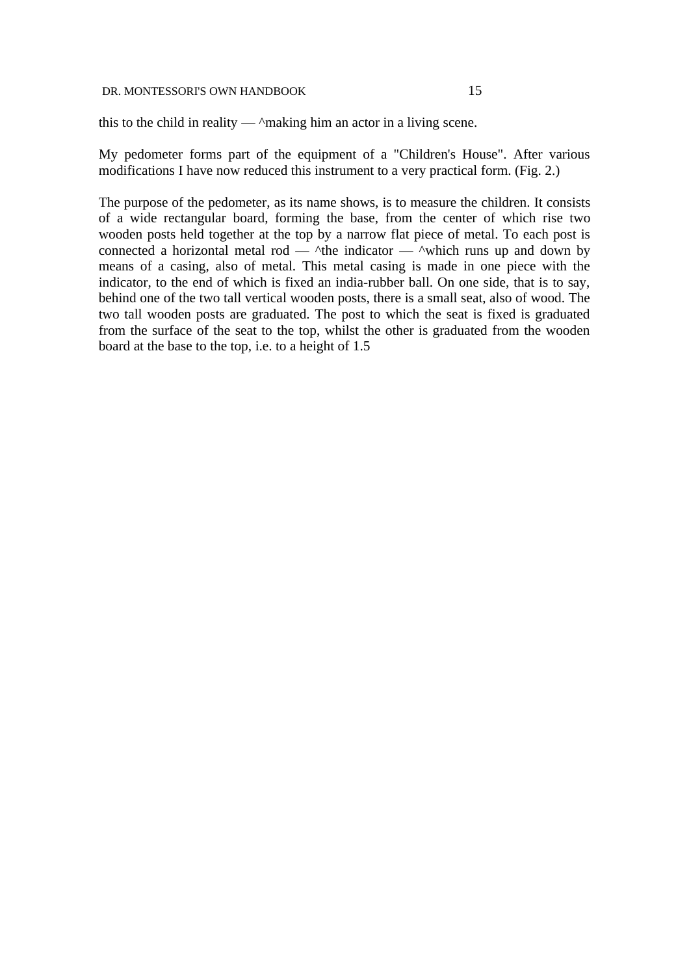this to the child in reality  $-\triangle$  making him an actor in a living scene.

My pedometer forms part of the equipment of a "Children's House". After various modifications I have now reduced this instrument to a very practical form. (Fig. 2.)

The purpose of the pedometer, as its name shows, is to measure the children. It consists of a wide rectangular board, forming the base, from the center of which rise two wooden posts held together at the top by a narrow flat piece of metal. To each post is connected a horizontal metal rod —  $\triangle$ the indicator —  $\triangle$ which runs up and down by means of a casing, also of metal. This metal casing is made in one piece with the indicator, to the end of which is fixed an india-rubber ball. On one side, that is to say, behind one of the two tall vertical wooden posts, there is a small seat, also of wood. The two tall wooden posts are graduated. The post to which the seat is fixed is graduated from the surface of the seat to the top, whilst the other is graduated from the wooden board at the base to the top, i.e. to a height of 1.5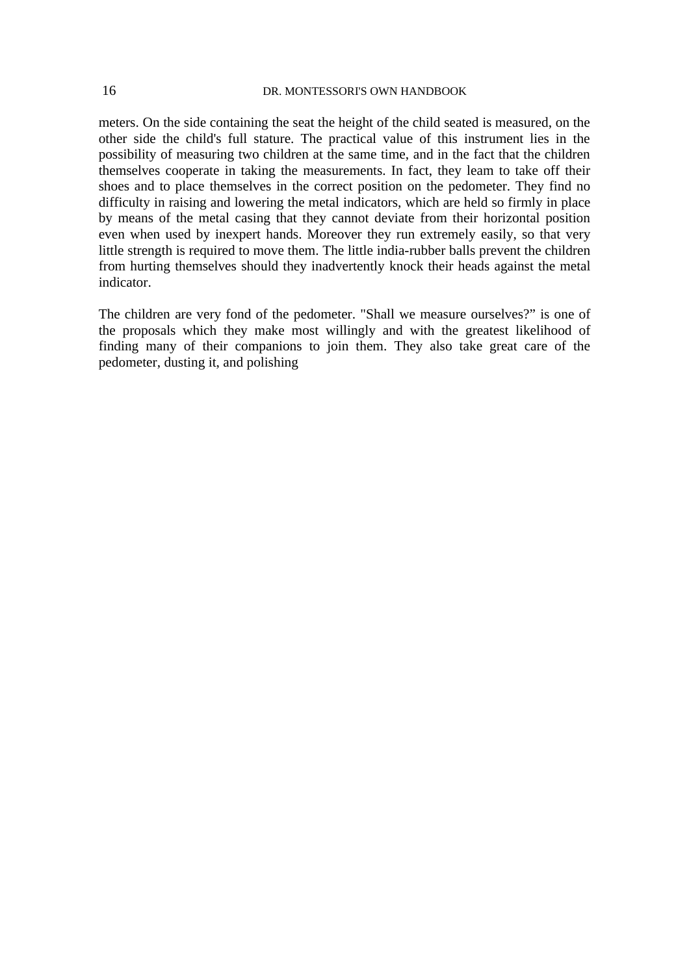meters. On the side containing the seat the height of the child seated is measured, on the other side the child's full stature. The practical value of this instrument lies in the possibility of measuring two children at the same time, and in the fact that the children themselves cooperate in taking the measurements. In fact, they leam to take off their shoes and to place themselves in the correct position on the pedometer. They find no difficulty in raising and lowering the metal indicators, which are held so firmly in place by means of the metal casing that they cannot deviate from their horizontal position even when used by inexpert hands. Moreover they run extremely easily, so that very little strength is required to move them. The little india-rubber balls prevent the children from hurting themselves should they inadvertently knock their heads against the metal indicator.

The children are very fond of the pedometer. "Shall we measure ourselves?" is one of the proposals which they make most willingly and with the greatest likelihood of finding many of their companions to join them. They also take great care of the pedometer, dusting it, and polishing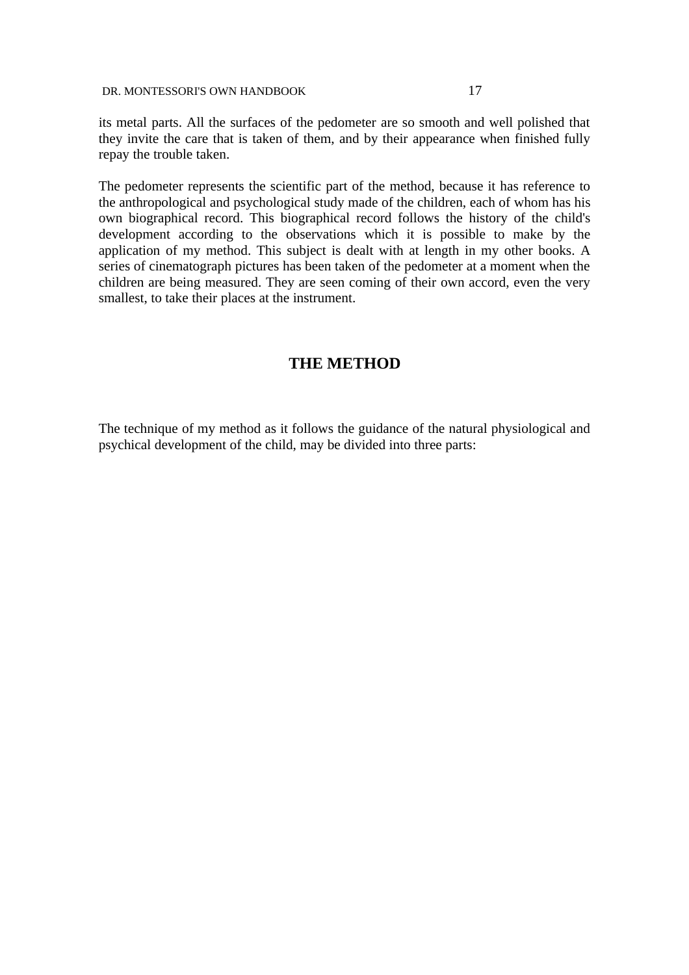its metal parts. All the surfaces of the pedometer are so smooth and well polished that they invite the care that is taken of them, and by their appearance when finished fully repay the trouble taken.

The pedometer represents the scientific part of the method, because it has reference to the anthropological and psychological study made of the children, each of whom has his own biographical record. This biographical record follows the history of the child's development according to the observations which it is possible to make by the application of my method. This subject is dealt with at length in my other books. A series of cinematograph pictures has been taken of the pedometer at a moment when the children are being measured. They are seen coming of their own accord, even the very smallest, to take their places at the instrument.

## **THE METHOD**

The technique of my method as it follows the guidance of the natural physiological and psychical development of the child, may be divided into three parts: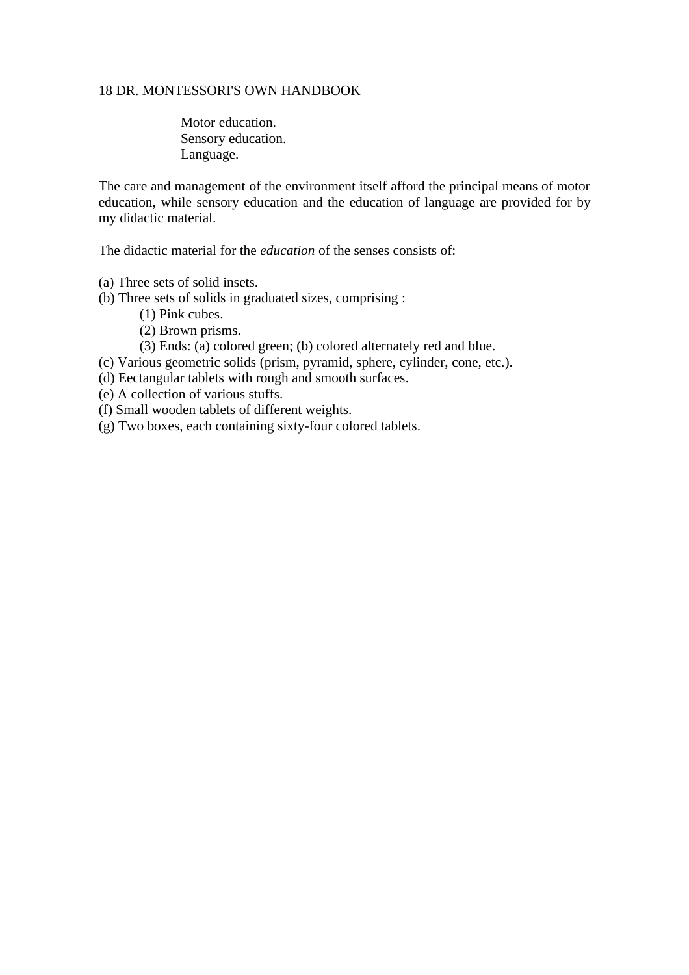Motor education. Sensory education. Language.

The care and management of the environment itself afford the principal means of motor education, while sensory education and the education of language are provided for by my didactic material.

The didactic material for the *education* of the senses consists of:

- (a) Three sets of solid insets.
- (b) Three sets of solids in graduated sizes, comprising :
	- (1) Pink cubes.
	- (2) Brown prisms.
	- (3) Ends: (a) colored green; (b) colored alternately red and blue.
- (c) Various geometric solids (prism, pyramid, sphere, cylinder, cone, etc.).
- (d) Eectangular tablets with rough and smooth surfaces.
- (e) A collection of various stuffs.
- (f) Small wooden tablets of different weights.
- (g) Two boxes, each containing sixty-four colored tablets.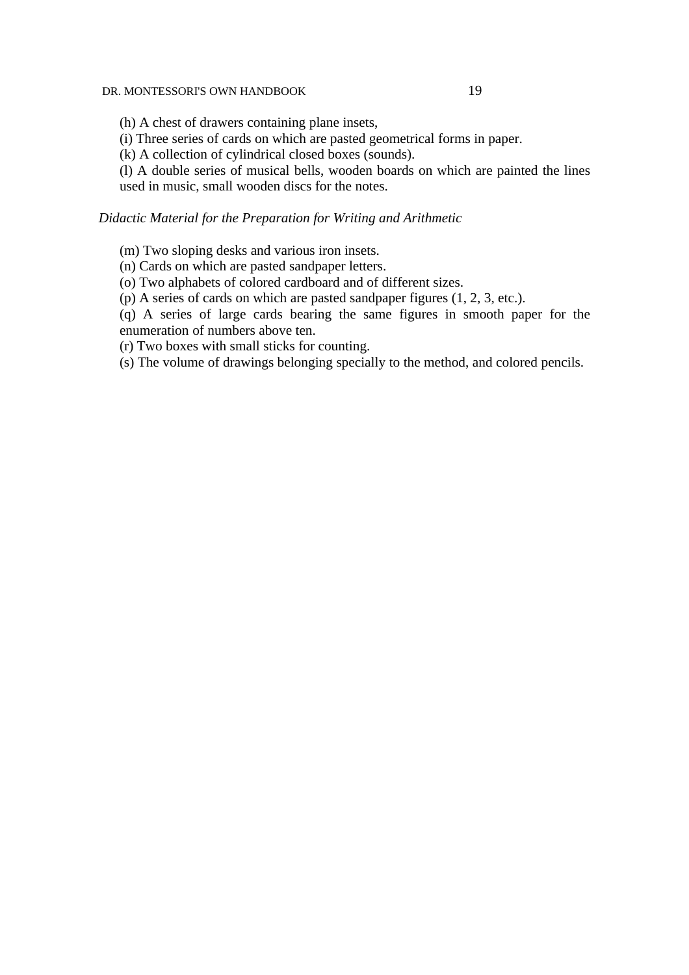(h) A chest of drawers containing plane insets,

(i) Three series of cards on which are pasted geometrical forms in paper.

(k) A collection of cylindrical closed boxes (sounds).

(l) A double series of musical bells, wooden boards on which are painted the lines used in music, small wooden discs for the notes.

#### *Didactic Material for the Preparation for Writing and Arithmetic*

(m) Two sloping desks and various iron insets.

(n) Cards on which are pasted sandpaper letters.

(o) Two alphabets of colored cardboard and of different sizes.

(p) A series of cards on which are pasted sandpaper figures (1, 2, 3, etc.).

(q) A series of large cards bearing the same figures in smooth paper for the enumeration of numbers above ten.

(r) Two boxes with small sticks for counting.

(s) The volume of drawings belonging specially to the method, and colored pencils.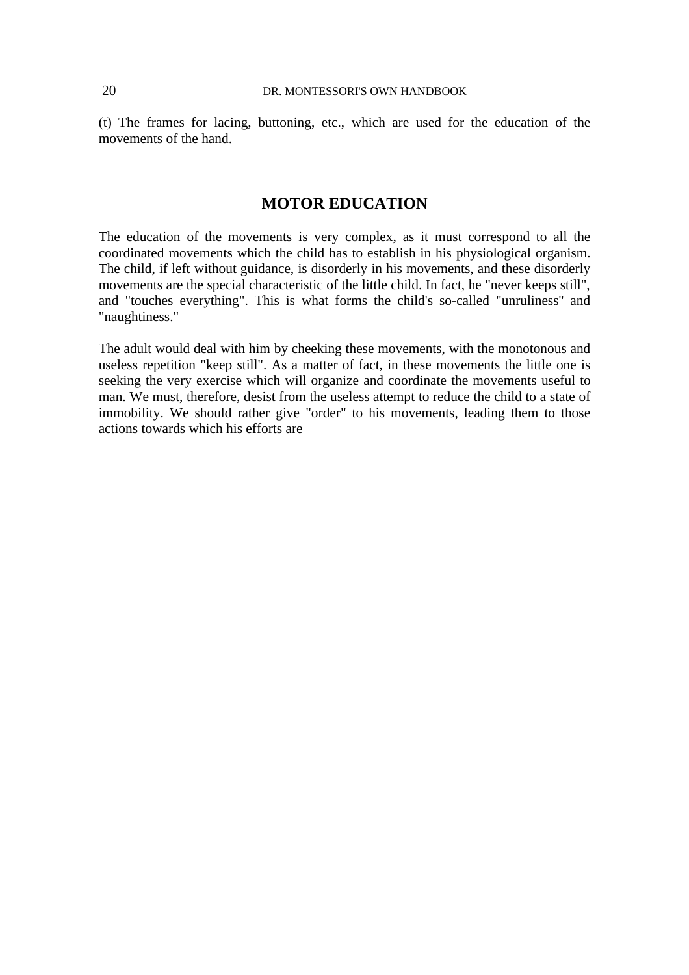(t) The frames for lacing, buttoning, etc., which are used for the education of the movements of the hand.

## **MOTOR EDUCATION**

The education of the movements is very complex, as it must correspond to all the coordinated movements which the child has to establish in his physiological organism. The child, if left without guidance, is disorderly in his movements, and these disorderly movements are the special characteristic of the little child. In fact, he "never keeps still", and "touches everything". This is what forms the child's so-called "unruliness'' and "naughtiness."

The adult would deal with him by cheeking these movements, with the monotonous and useless repetition "keep still". As a matter of fact, in these movements the little one is seeking the very exercise which will organize and coordinate the movements useful to man. We must, therefore, desist from the useless attempt to reduce the child to a state of immobility. We should rather give "order" to his movements, leading them to those actions towards which his efforts are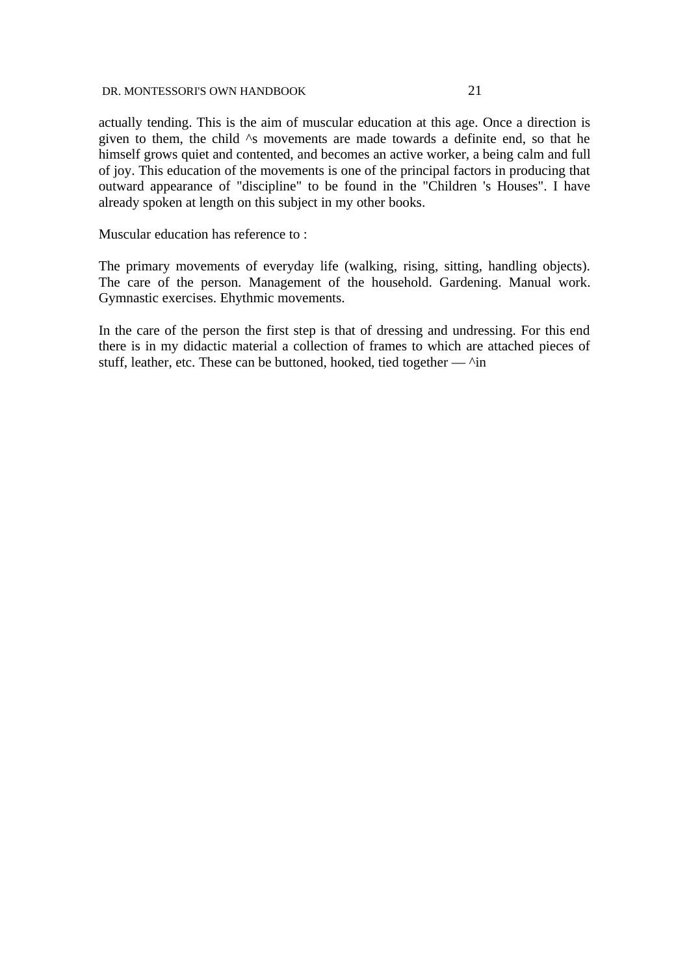actually tending. This is the aim of muscular education at this age. Once a direction is given to them, the child  $\wedge$ s movements are made towards a definite end, so that he himself grows quiet and contented, and becomes an active worker, a being calm and full of joy. This education of the movements is one of the principal factors in producing that outward appearance of "discipline" to be found in the "Children 's Houses". I have already spoken at length on this subject in my other books.

Muscular education has reference to :

The primary movements of everyday life (walking, rising, sitting, handling objects). The care of the person. Management of the household. Gardening. Manual work. Gymnastic exercises. Ehythmic movements.

In the care of the person the first step is that of dressing and undressing. For this end there is in my didactic material a collection of frames to which are attached pieces of stuff, leather, etc. These can be buttoned, hooked, tied together —  $\wedge$ in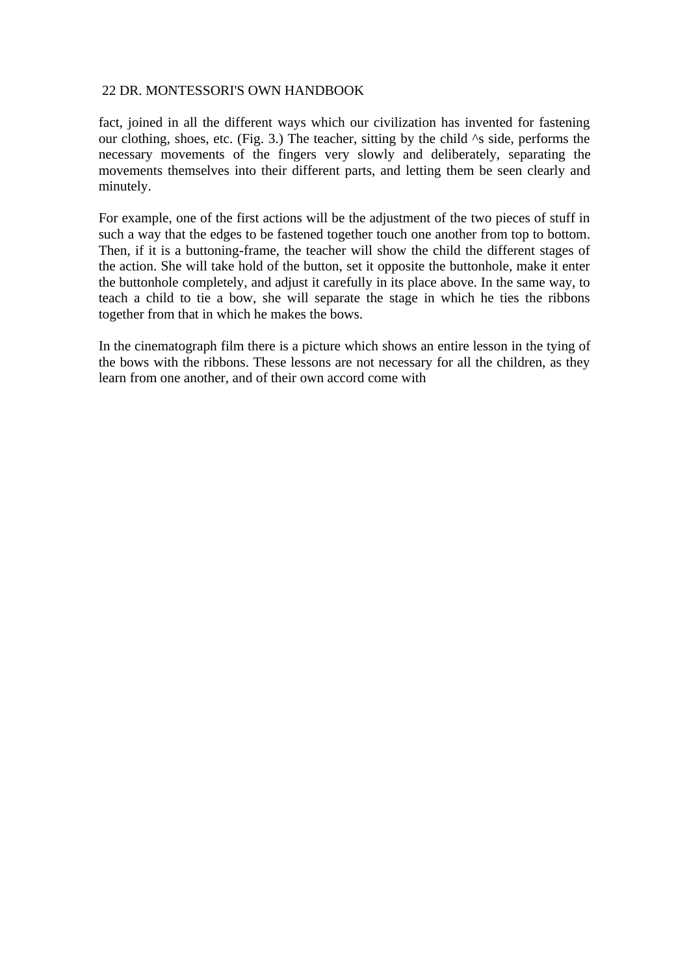fact, joined in all the different ways which our civilization has invented for fastening our clothing, shoes, etc. (Fig. 3.) The teacher, sitting by the child  $\wedge$ s side, performs the necessary movements of the fingers very slowly and deliberately, separating the movements themselves into their different parts, and letting them be seen clearly and minutely.

For example, one of the first actions will be the adjustment of the two pieces of stuff in such a way that the edges to be fastened together touch one another from top to bottom. Then, if it is a buttoning-frame, the teacher will show the child the different stages of the action. She will take hold of the button, set it opposite the buttonhole, make it enter the buttonhole completely, and adjust it carefully in its place above. In the same way, to teach a child to tie a bow, she will separate the stage in which he ties the ribbons together from that in which he makes the bows.

In the cinematograph film there is a picture which shows an entire lesson in the tying of the bows with the ribbons. These lessons are not necessary for all the children, as they learn from one another, and of their own accord come with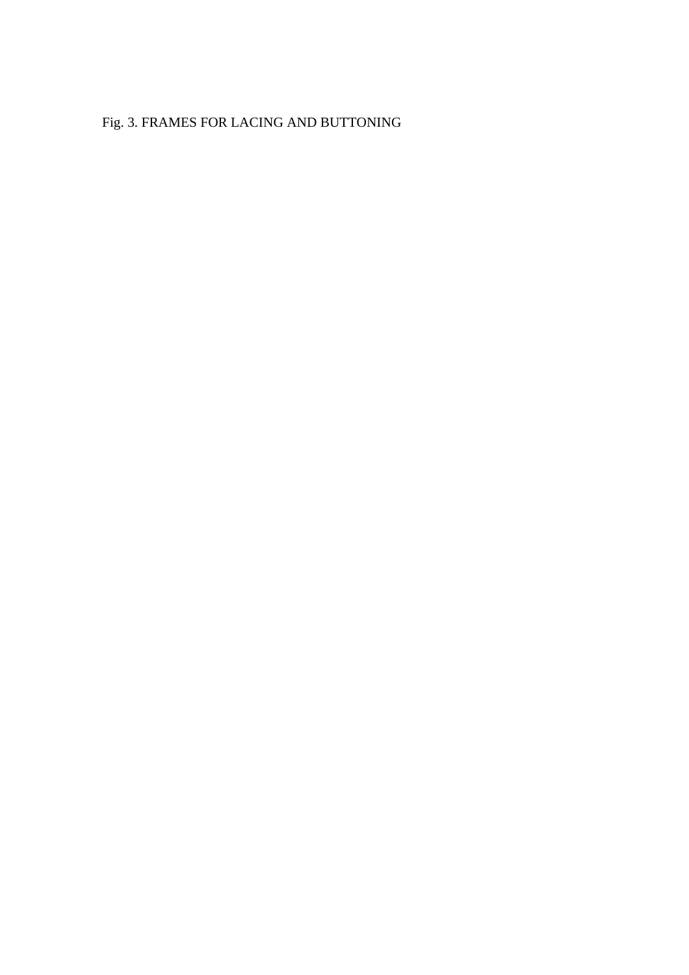# Fig. 3. FRAMES FOR LACING AND BUTTONING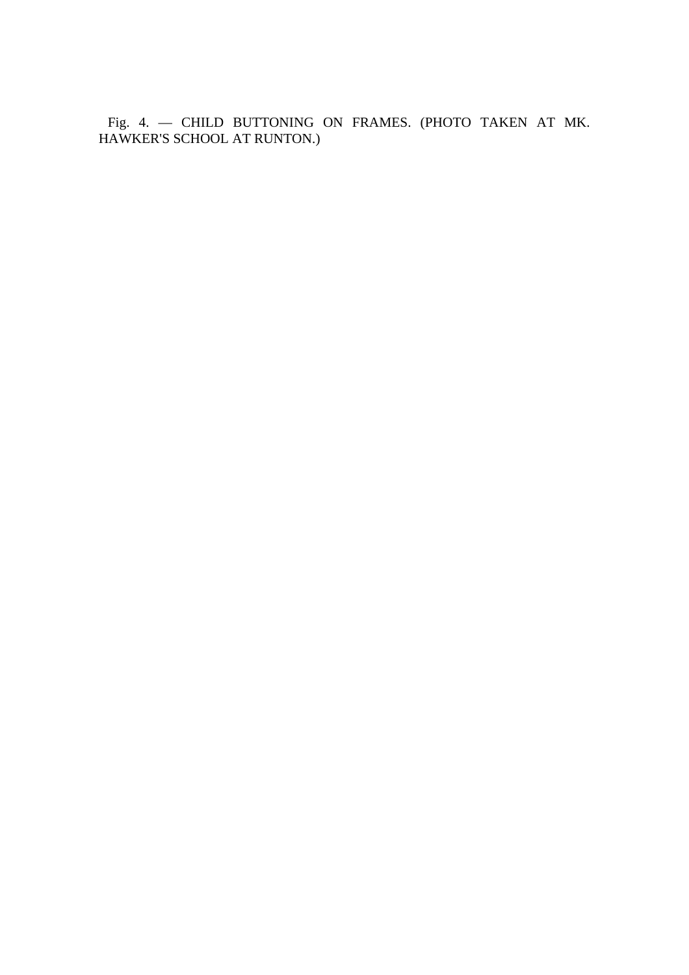Fig. 4. — CHILD BUTTONING ON FRAMES. (PHOTO TAKEN AT MK. HAWKER'S SCHOOL AT RUNTON.)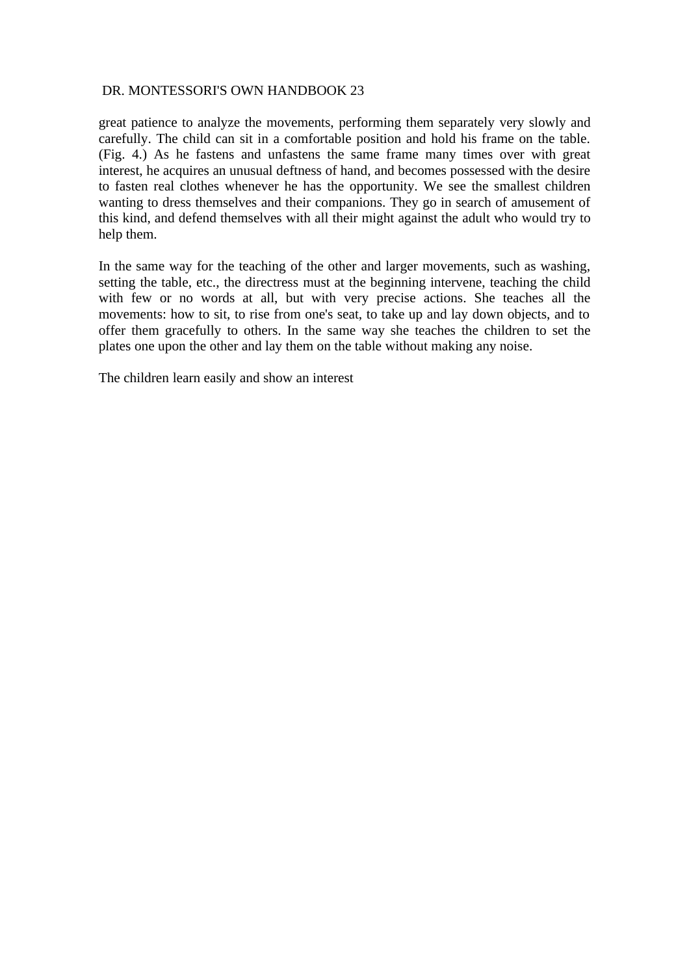great patience to analyze the movements, performing them separately very slowly and carefully. The child can sit in a comfortable position and hold his frame on the table. (Fig. 4.) As he fastens and unfastens the same frame many times over with great interest, he acquires an unusual deftness of hand, and becomes possessed with the desire to fasten real clothes whenever he has the opportunity. We see the smallest children wanting to dress themselves and their companions. They go in search of amusement of this kind, and defend themselves with all their might against the adult who would try to help them.

In the same way for the teaching of the other and larger movements, such as washing, setting the table, etc., the directress must at the beginning intervene, teaching the child with few or no words at all, but with very precise actions. She teaches all the movements: how to sit, to rise from one's seat, to take up and lay down objects, and to offer them gracefully to others. In the same way she teaches the children to set the plates one upon the other and lay them on the table without making any noise.

The children learn easily and show an interest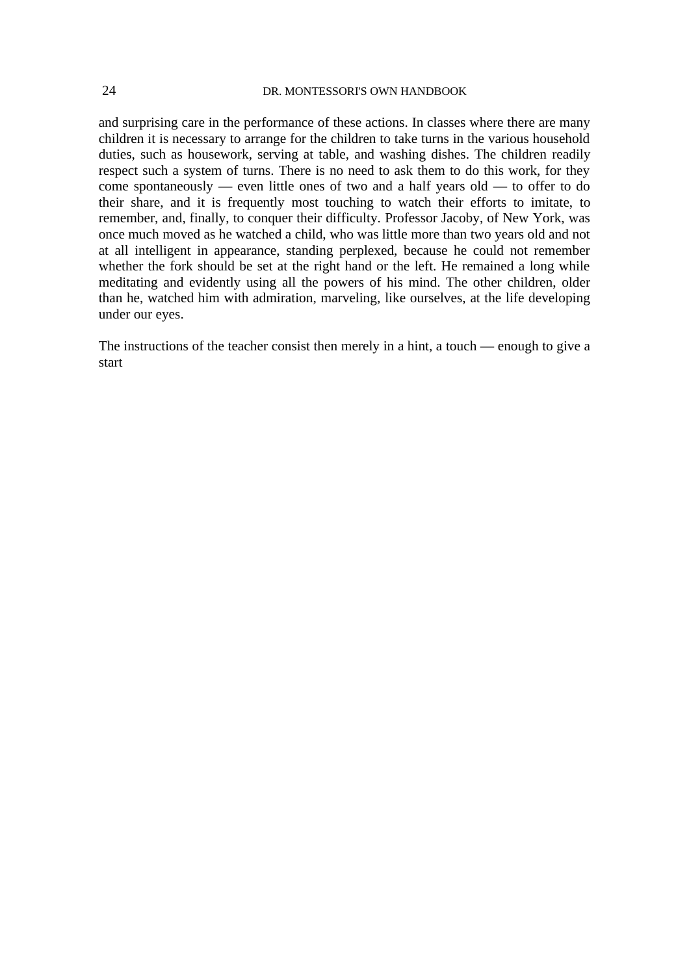and surprising care in the performance of these actions. In classes where there are many children it is necessary to arrange for the children to take turns in the various household duties, such as housework, serving at table, and washing dishes. The children readily respect such a system of turns. There is no need to ask them to do this work, for they come spontaneously — even little ones of two and a half years old — to offer to do their share, and it is frequently most touching to watch their efforts to imitate, to remember, and, finally, to conquer their difficulty. Professor Jacoby, of New York, was once much moved as he watched a child, who was little more than two years old and not at all intelligent in appearance, standing perplexed, because he could not remember whether the fork should be set at the right hand or the left. He remained a long while meditating and evidently using all the powers of his mind. The other children, older than he, watched him with admiration, marveling, like ourselves, at the life developing under our eyes.

The instructions of the teacher consist then merely in a hint, a touch — enough to give a start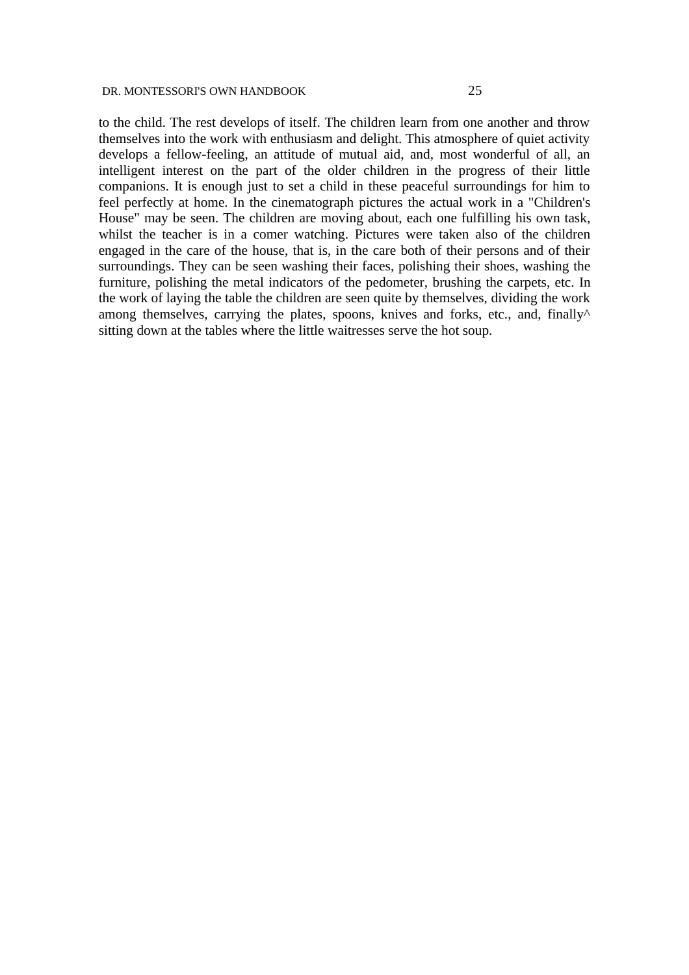to the child. The rest develops of itself. The children learn from one another and throw themselves into the work with enthusiasm and delight. This atmosphere of quiet activity develops a fellow-feeling, an attitude of mutual aid, and, most wonderful of all, an intelligent interest on the part of the older children in the progress of their little companions. It is enough just to set a child in these peaceful surroundings for him to feel perfectly at home. In the cinematograph pictures the actual work in a "Children's House" may be seen. The children are moving about, each one fulfilling his own task, whilst the teacher is in a comer watching. Pictures were taken also of the children engaged in the care of the house, that is, in the care both of their persons and of their surroundings. They can be seen washing their faces, polishing their shoes, washing the furniture, polishing the metal indicators of the pedometer, brushing the carpets, etc. In the work of laying the table the children are seen quite by themselves, dividing the work among themselves, carrying the plates, spoons, knives and forks, etc., and, finally $\wedge$ sitting down at the tables where the little waitresses serve the hot soup.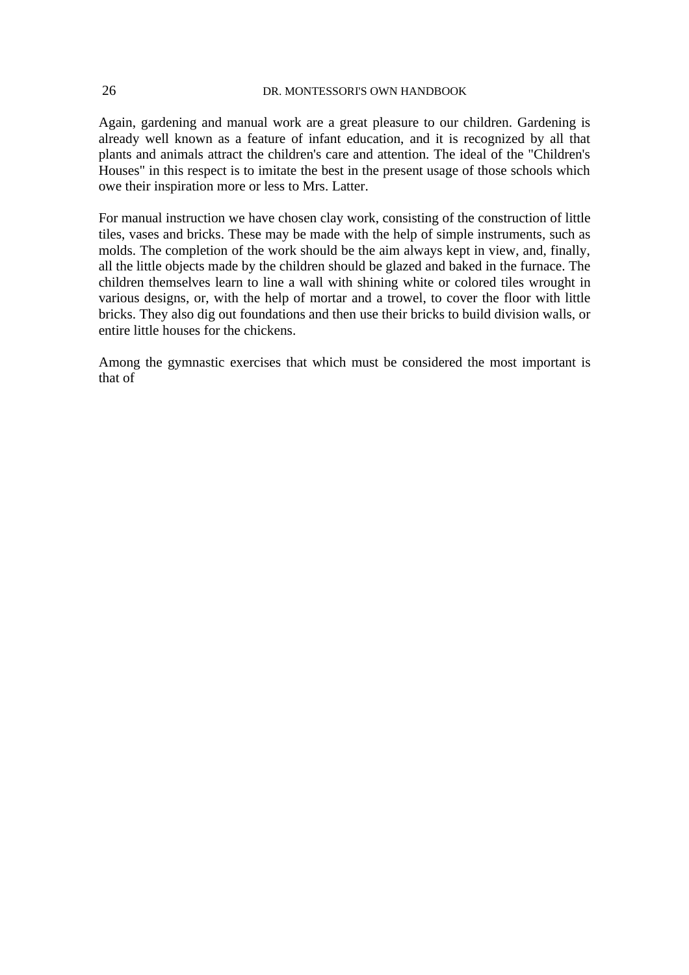Again, gardening and manual work are a great pleasure to our children. Gardening is already well known as a feature of infant education, and it is recognized by all that plants and animals attract the children's care and attention. The ideal of the "Children's Houses" in this respect is to imitate the best in the present usage of those schools which owe their inspiration more or less to Mrs. Latter.

For manual instruction we have chosen clay work, consisting of the construction of little tiles, vases and bricks. These may be made with the help of simple instruments, such as molds. The completion of the work should be the aim always kept in view, and, finally, all the little objects made by the children should be glazed and baked in the furnace. The children themselves learn to line a wall with shining white or colored tiles wrought in various designs, or, with the help of mortar and a trowel, to cover the floor with little bricks. They also dig out foundations and then use their bricks to build division walls, or entire little houses for the chickens.

Among the gymnastic exercises that which must be considered the most important is that of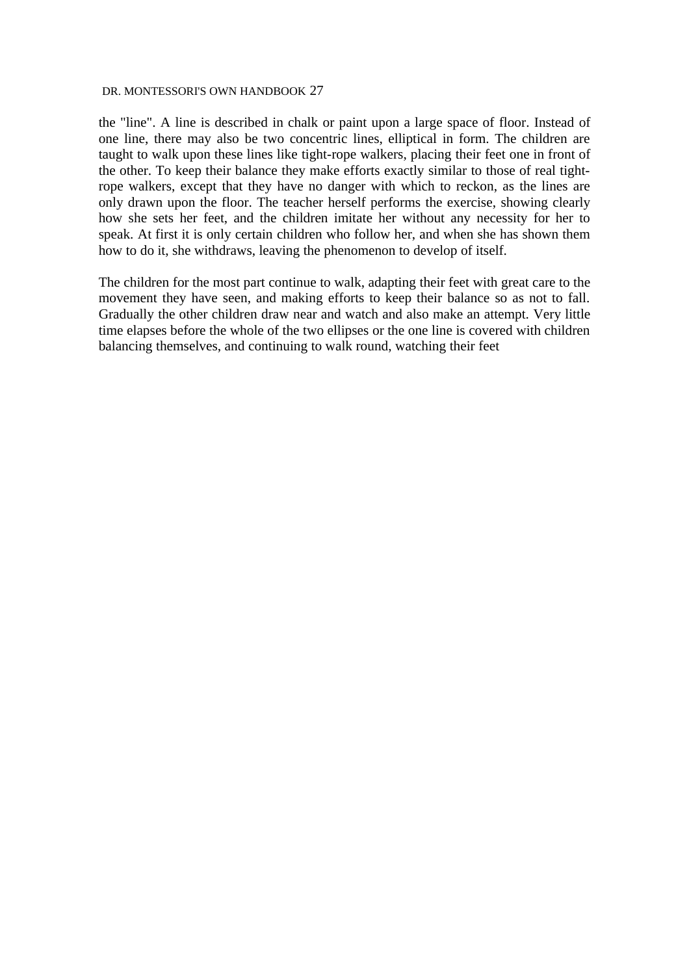the "line". A line is described in chalk or paint upon a large space of floor. Instead of one line, there may also be two concentric lines, elliptical in form. The children are taught to walk upon these lines like tight-rope walkers, placing their feet one in front of the other. To keep their balance they make efforts exactly similar to those of real tightrope walkers, except that they have no danger with which to reckon, as the lines are only drawn upon the floor. The teacher herself performs the exercise, showing clearly how she sets her feet, and the children imitate her without any necessity for her to speak. At first it is only certain children who follow her, and when she has shown them how to do it, she withdraws, leaving the phenomenon to develop of itself.

The children for the most part continue to walk, adapting their feet with great care to the movement they have seen, and making efforts to keep their balance so as not to fall. Gradually the other children draw near and watch and also make an attempt. Very little time elapses before the whole of the two ellipses or the one line is covered with children balancing themselves, and continuing to walk round, watching their feet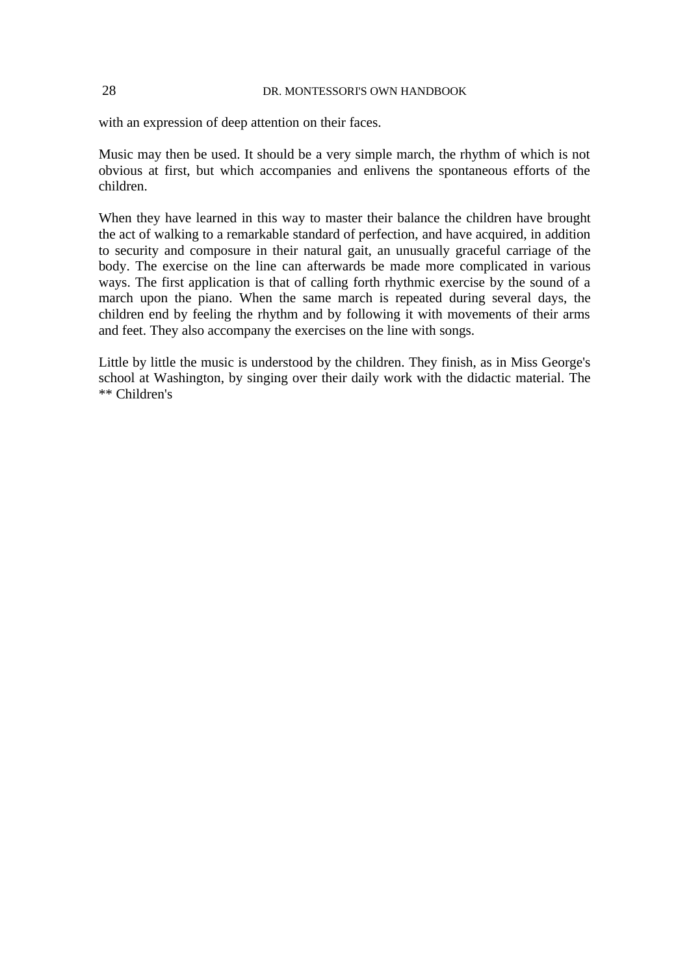with an expression of deep attention on their faces.

Music may then be used. It should be a very simple march, the rhythm of which is not obvious at first, but which accompanies and enlivens the spontaneous efforts of the children.

When they have learned in this way to master their balance the children have brought the act of walking to a remarkable standard of perfection, and have acquired, in addition to security and composure in their natural gait, an unusually graceful carriage of the body. The exercise on the line can afterwards be made more complicated in various ways. The first application is that of calling forth rhythmic exercise by the sound of a march upon the piano. When the same march is repeated during several days, the children end by feeling the rhythm and by following it with movements of their arms and feet. They also accompany the exercises on the line with songs.

Little by little the music is understood by the children. They finish, as in Miss George's school at Washington, by singing over their daily work with the didactic material. The \*\* Children's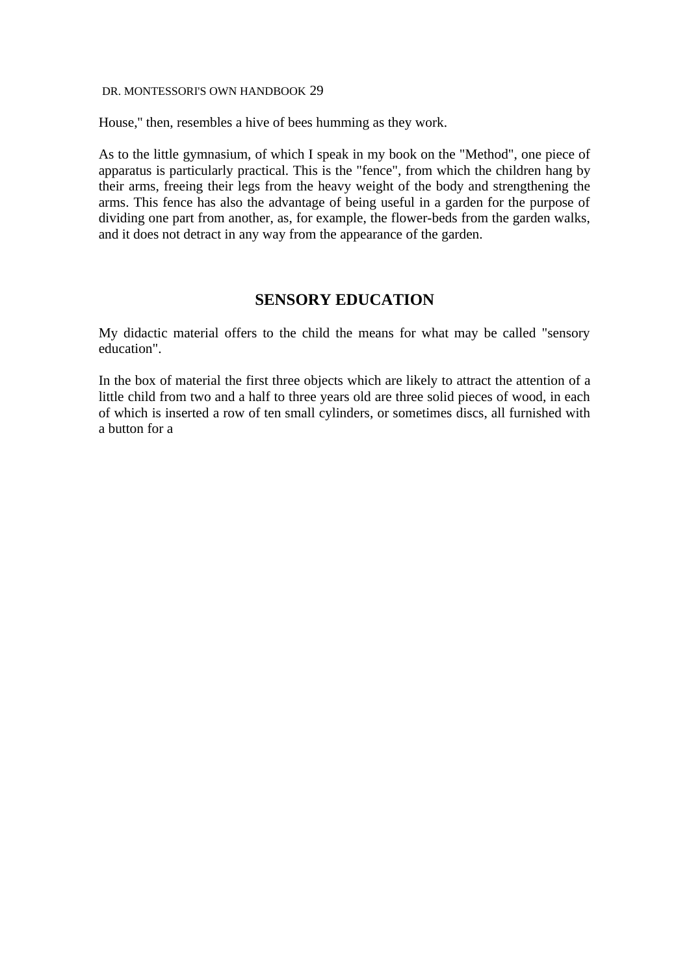House,'' then, resembles a hive of bees humming as they work.

As to the little gymnasium, of which I speak in my book on the "Method", one piece of apparatus is particularly practical. This is the "fence", from which the children hang by their arms, freeing their legs from the heavy weight of the body and strengthening the arms. This fence has also the advantage of being useful in a garden for the purpose of dividing one part from another, as, for example, the flower-beds from the garden walks, and it does not detract in any way from the appearance of the garden.

# **SENSORY EDUCATION**

My didactic material offers to the child the means for what may be called "sensory education".

In the box of material the first three objects which are likely to attract the attention of a little child from two and a half to three years old are three solid pieces of wood, in each of which is inserted a row of ten small cylinders, or sometimes discs, all furnished with a button for a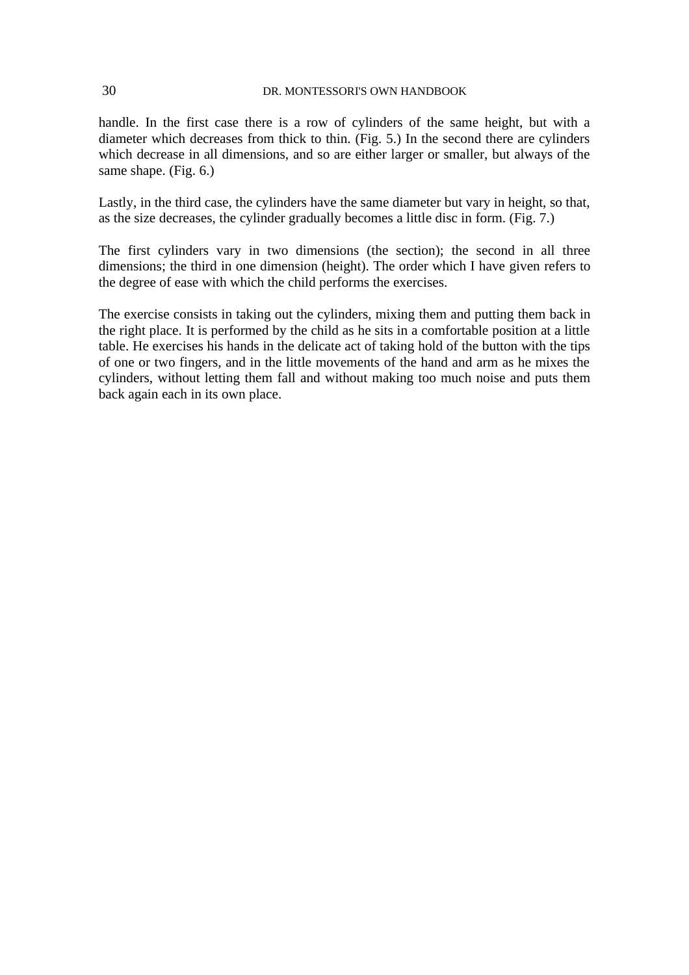handle. In the first case there is a row of cylinders of the same height, but with a diameter which decreases from thick to thin. (Fig. 5.) In the second there are cylinders which decrease in all dimensions, and so are either larger or smaller, but always of the same shape. (Fig. 6.)

Lastly, in the third case, the cylinders have the same diameter but vary in height, so that, as the size decreases, the cylinder gradually becomes a little disc in form. (Fig. 7.)

The first cylinders vary in two dimensions (the section); the second in all three dimensions; the third in one dimension (height). The order which I have given refers to the degree of ease with which the child performs the exercises.

The exercise consists in taking out the cylinders, mixing them and putting them back in the right place. It is performed by the child as he sits in a comfortable position at a little table. He exercises his hands in the delicate act of taking hold of the button with the tips of one or two fingers, and in the little movements of the hand and arm as he mixes the cylinders, without letting them fall and without making too much noise and puts them back again each in its own place.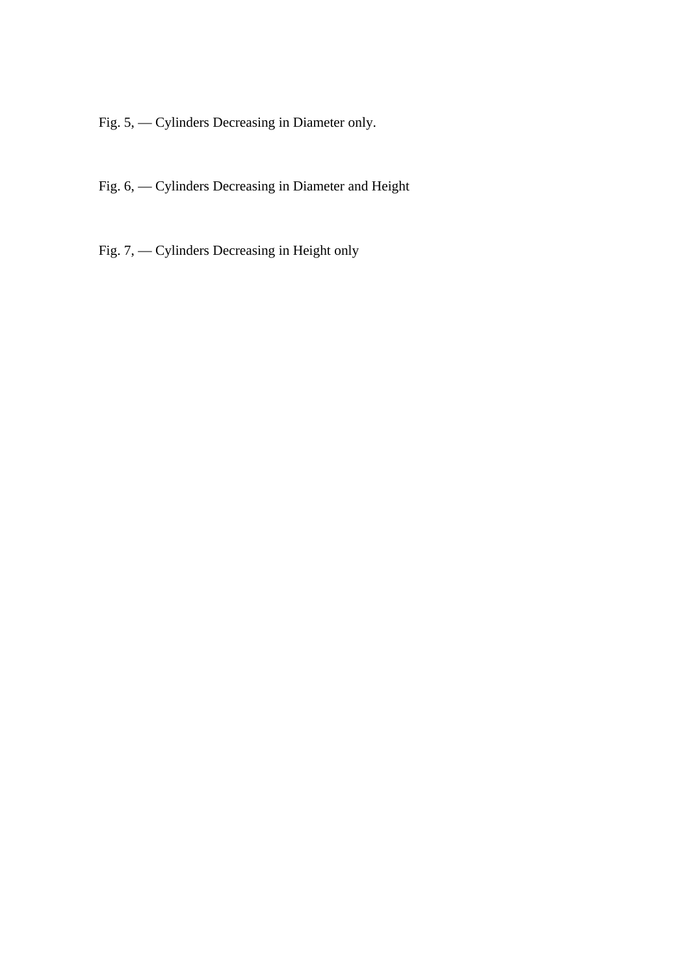Fig. 5, — Cylinders Decreasing in Diameter only.

- Fig. 6, Cylinders Decreasing in Diameter and Height
- Fig. 7, Cylinders Decreasing in Height only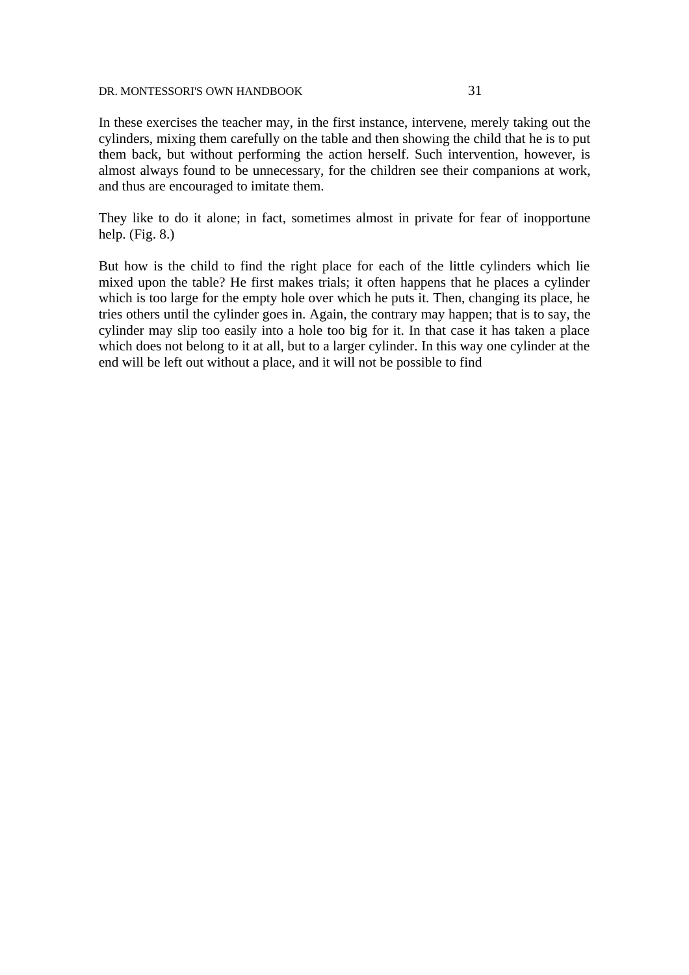In these exercises the teacher may, in the first instance, intervene, merely taking out the cylinders, mixing them carefully on the table and then showing the child that he is to put them back, but without performing the action herself. Such intervention, however, is almost always found to be unnecessary, for the children see their companions at work, and thus are encouraged to imitate them.

They like to do it alone; in fact, sometimes almost in private for fear of inopportune help. (Fig. 8.)

But how is the child to find the right place for each of the little cylinders which lie mixed upon the table? He first makes trials; it often happens that he places a cylinder which is too large for the empty hole over which he puts it. Then, changing its place, he tries others until the cylinder goes in. Again, the contrary may happen; that is to say, the cylinder may slip too easily into a hole too big for it. In that case it has taken a place which does not belong to it at all, but to a larger cylinder. In this way one cylinder at the end will be left out without a place, and it will not be possible to find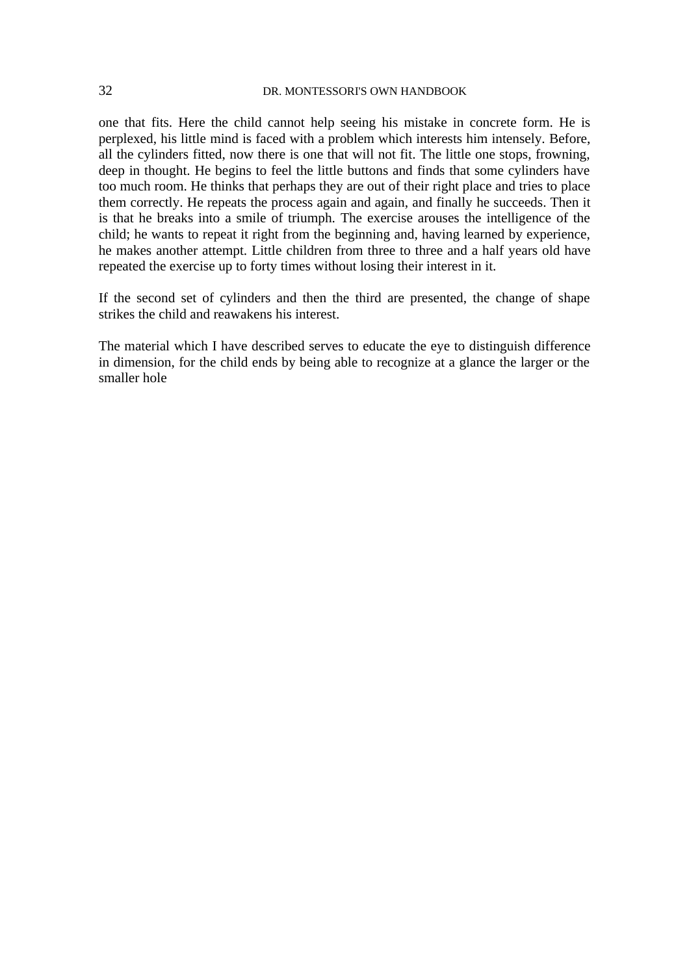one that fits. Here the child cannot help seeing his mistake in concrete form. He is perplexed, his little mind is faced with a problem which interests him intensely. Before, all the cylinders fitted, now there is one that will not fit. The little one stops, frowning, deep in thought. He begins to feel the little buttons and finds that some cylinders have too much room. He thinks that perhaps they are out of their right place and tries to place them correctly. He repeats the process again and again, and finally he succeeds. Then it is that he breaks into a smile of triumph. The exercise arouses the intelligence of the child; he wants to repeat it right from the beginning and, having learned by experience, he makes another attempt. Little children from three to three and a half years old have repeated the exercise up to forty times without losing their interest in it.

If the second set of cylinders and then the third are presented, the change of shape strikes the child and reawakens his interest.

The material which I have described serves to educate the eye to distinguish difference in dimension, for the child ends by being able to recognize at a glance the larger or the smaller hole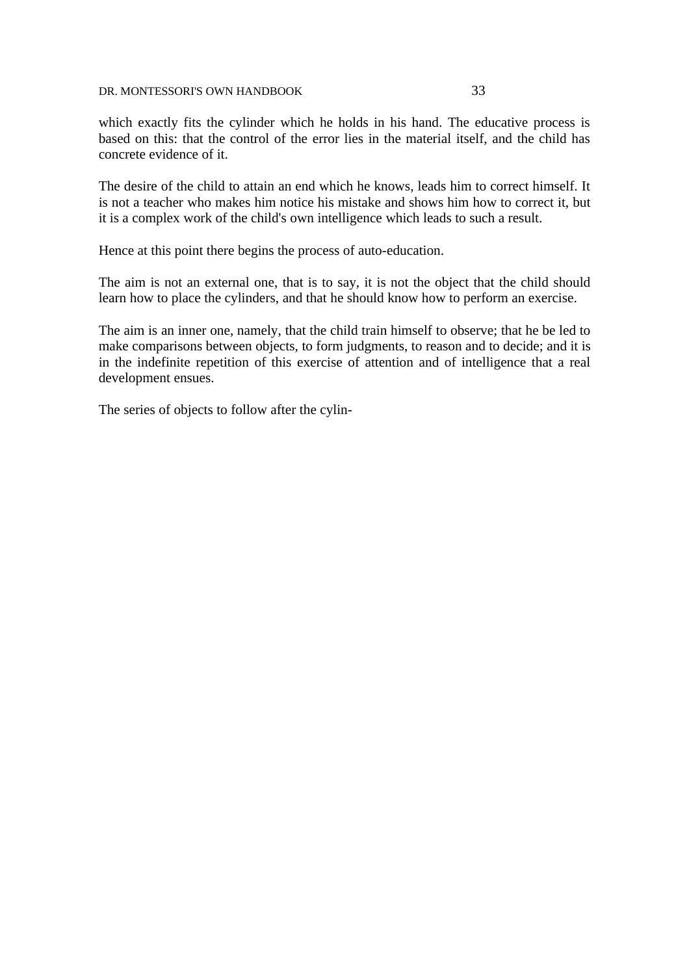which exactly fits the cylinder which he holds in his hand. The educative process is based on this: that the control of the error lies in the material itself, and the child has concrete evidence of it.

The desire of the child to attain an end which he knows, leads him to correct himself. It is not a teacher who makes him notice his mistake and shows him how to correct it, but it is a complex work of the child's own intelligence which leads to such a result.

Hence at this point there begins the process of auto-education.

The aim is not an external one, that is to say, it is not the object that the child should learn how to place the cylinders, and that he should know how to perform an exercise.

The aim is an inner one, namely, that the child train himself to observe; that he be led to make comparisons between objects, to form judgments, to reason and to decide; and it is in the indefinite repetition of this exercise of attention and of intelligence that a real development ensues.

The series of objects to follow after the cylin-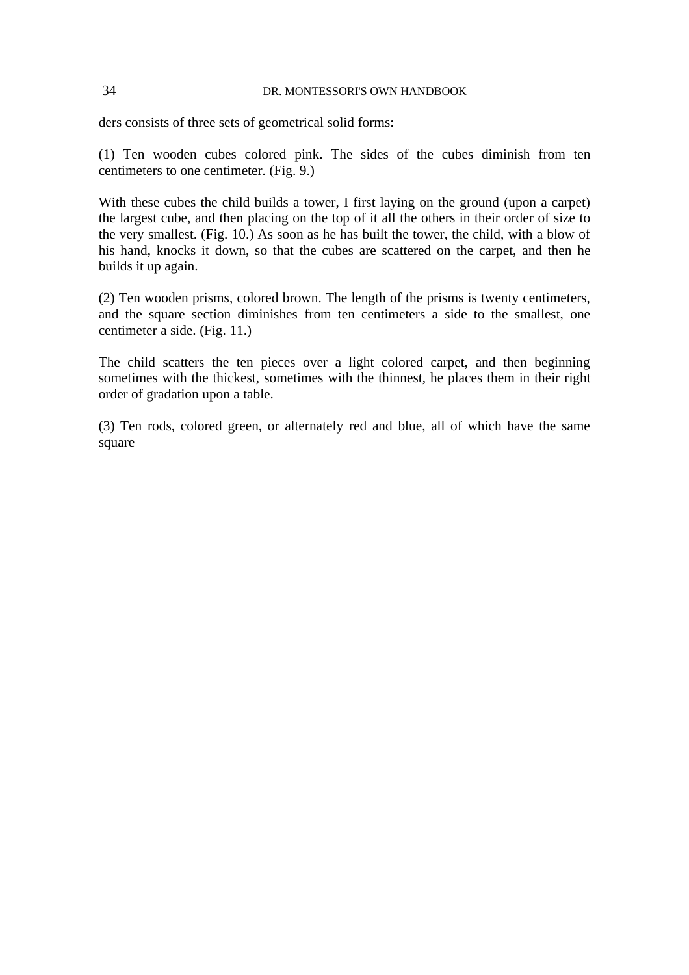ders consists of three sets of geometrical solid forms:

(1) Ten wooden cubes colored pink. The sides of the cubes diminish from ten centimeters to one centimeter. (Fig. 9.)

With these cubes the child builds a tower, I first laying on the ground (upon a carpet) the largest cube, and then placing on the top of it all the others in their order of size to the very smallest. (Fig. 10.) As soon as he has built the tower, the child, with a blow of his hand, knocks it down, so that the cubes are scattered on the carpet, and then he builds it up again.

(2) Ten wooden prisms, colored brown. The length of the prisms is twenty centimeters, and the square section diminishes from ten centimeters a side to the smallest, one centimeter a side. (Fig. 11.)

The child scatters the ten pieces over a light colored carpet, and then beginning sometimes with the thickest, sometimes with the thinnest, he places them in their right order of gradation upon a table.

(3) Ten rods, colored green, or alternately red and blue, all of which have the same square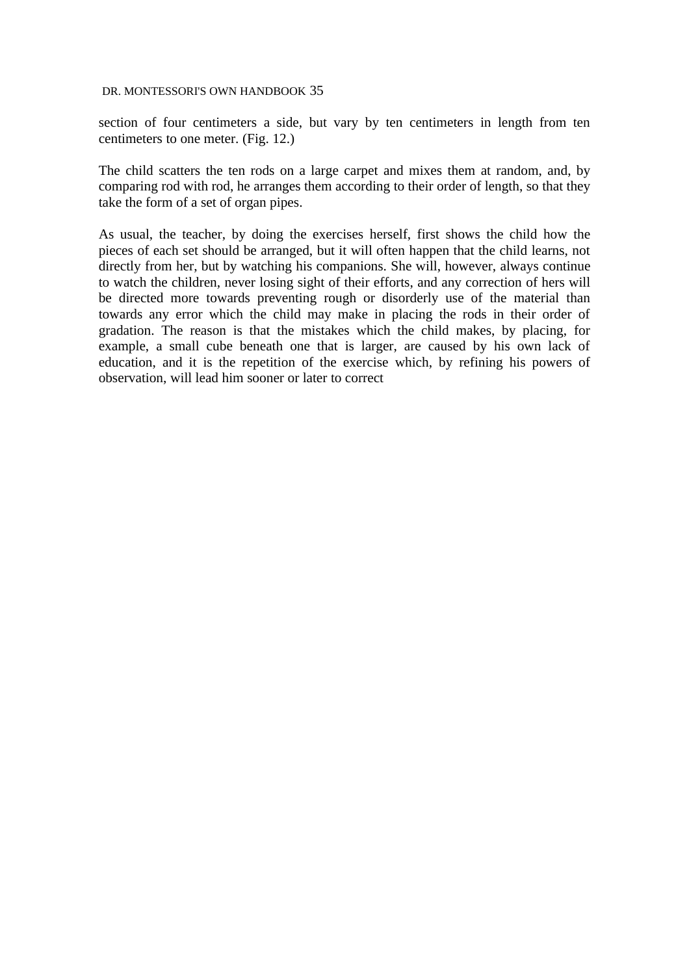section of four centimeters a side, but vary by ten centimeters in length from ten centimeters to one meter. (Fig. 12.)

The child scatters the ten rods on a large carpet and mixes them at random, and, by comparing rod with rod, he arranges them according to their order of length, so that they take the form of a set of organ pipes.

As usual, the teacher, by doing the exercises herself, first shows the child how the pieces of each set should be arranged, but it will often happen that the child learns, not directly from her, but by watching his companions. She will, however, always continue to watch the children, never losing sight of their efforts, and any correction of hers will be directed more towards preventing rough or disorderly use of the material than towards any error which the child may make in placing the rods in their order of gradation. The reason is that the mistakes which the child makes, by placing, for example, a small cube beneath one that is larger, are caused by his own lack of education, and it is the repetition of the exercise which, by refining his powers of observation, will lead him sooner or later to correct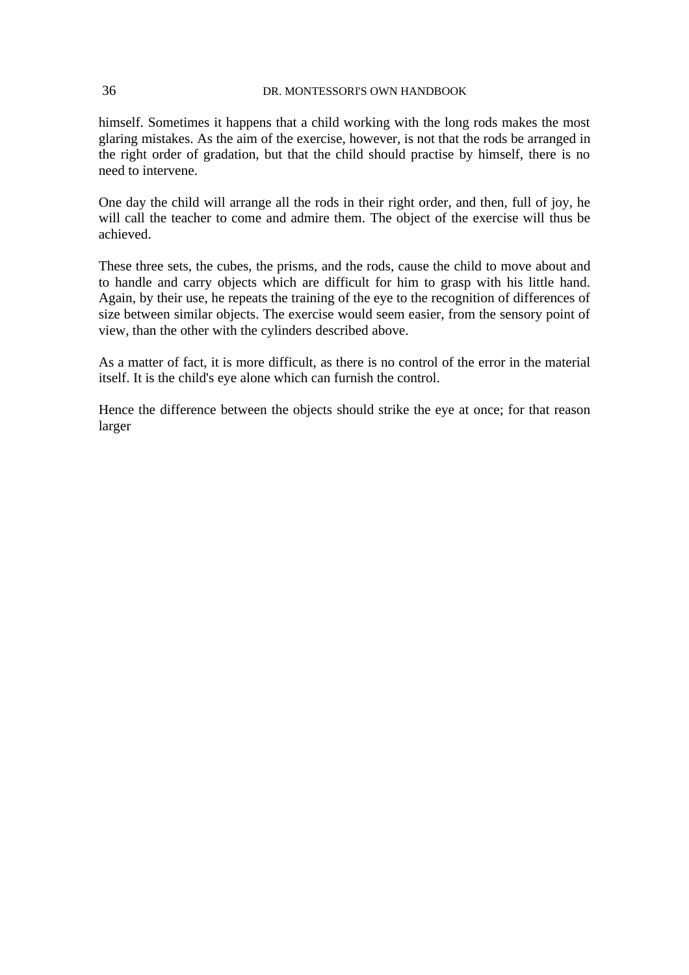himself. Sometimes it happens that a child working with the long rods makes the most glaring mistakes. As the aim of the exercise, however, is not that the rods be arranged in the right order of gradation, but that the child should practise by himself, there is no need to intervene.

One day the child will arrange all the rods in their right order, and then, full of joy, he will call the teacher to come and admire them. The object of the exercise will thus be achieved.

These three sets, the cubes, the prisms, and the rods, cause the child to move about and to handle and carry objects which are difficult for him to grasp with his little hand. Again, by their use, he repeats the training of the eye to the recognition of differences of size between similar objects. The exercise would seem easier, from the sensory point of view, than the other with the cylinders described above.

As a matter of fact, it is more difficult, as there is no control of the error in the material itself. It is the child's eye alone which can furnish the control.

Hence the difference between the objects should strike the eye at once; for that reason larger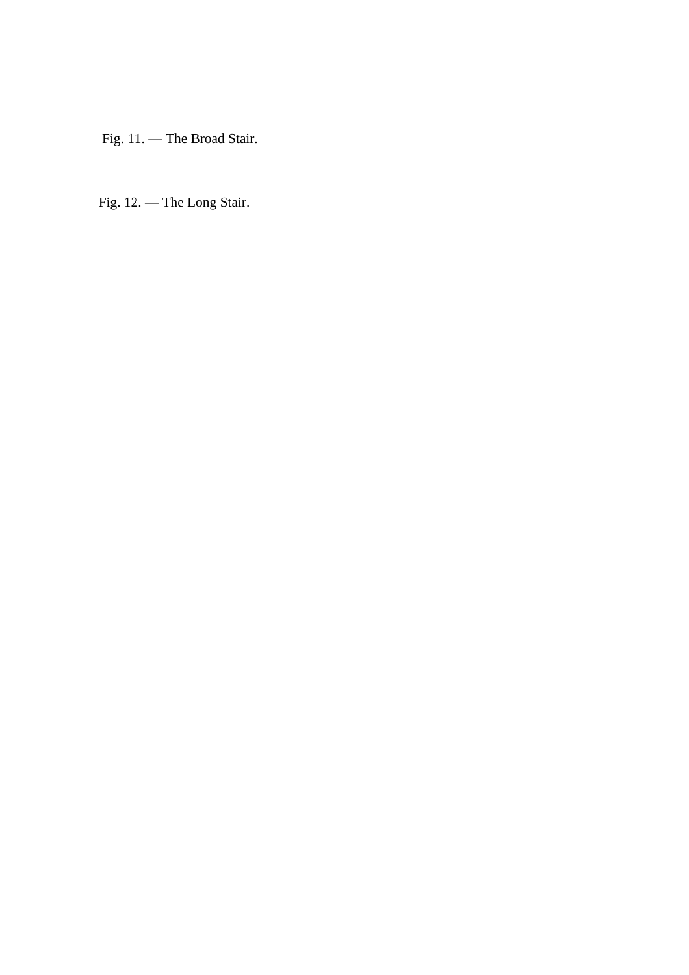Fig. 11. — The Broad Stair.

Fig. 12. — The Long Stair.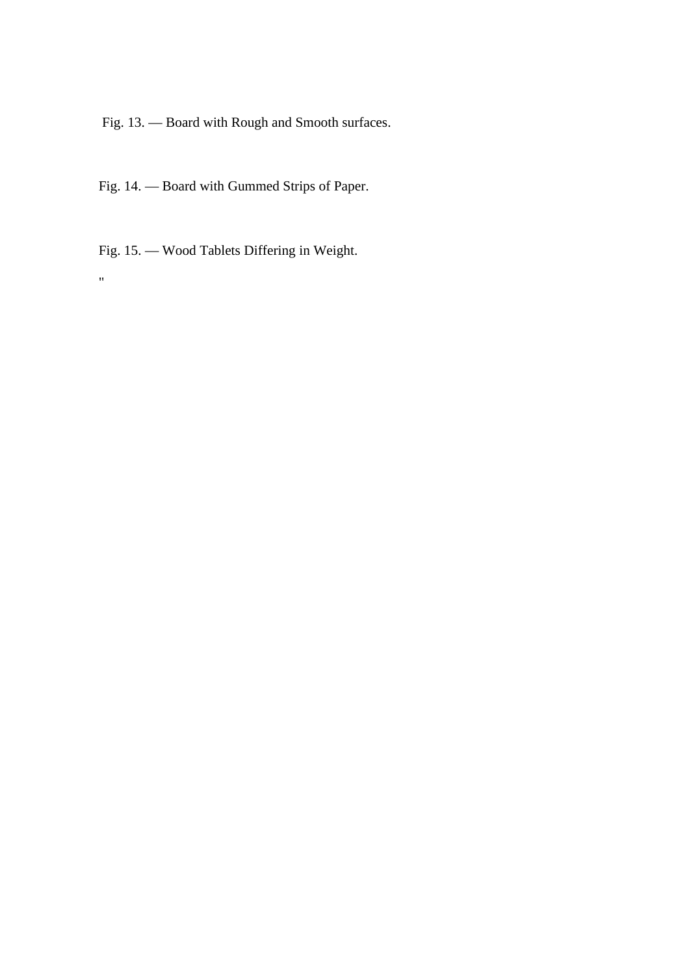Fig. 13. — Board with Rough and Smooth surfaces.

Fig. 14. — Board with Gummed Strips of Paper.

Fig. 15. — Wood Tablets Differing in Weight.

"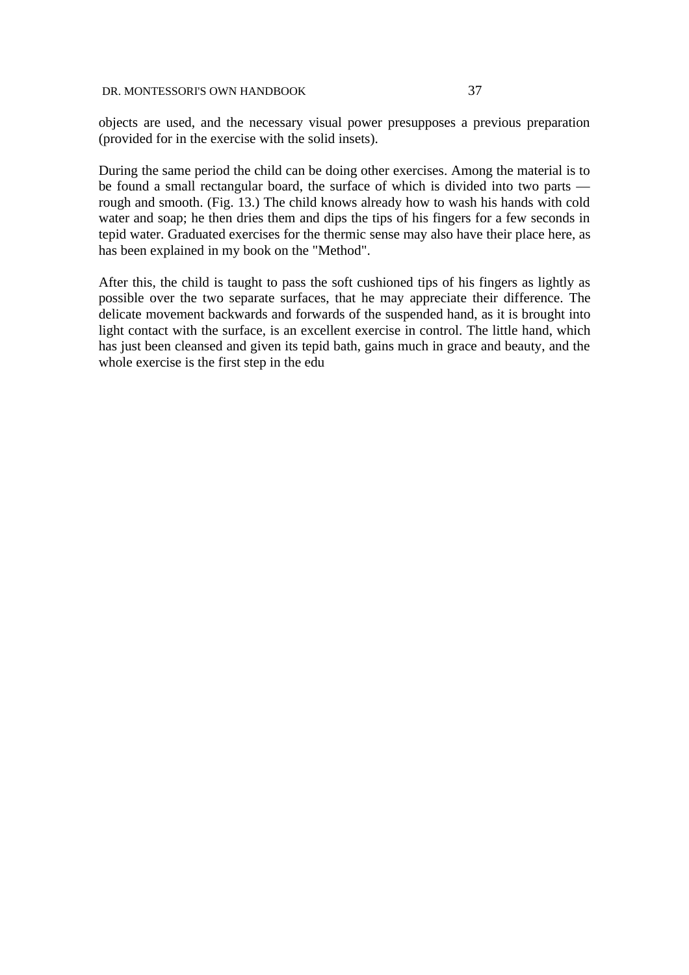objects are used, and the necessary visual power presupposes a previous preparation (provided for in the exercise with the solid insets).

During the same period the child can be doing other exercises. Among the material is to be found a small rectangular board, the surface of which is divided into two parts rough and smooth. (Fig. 13.) The child knows already how to wash his hands with cold water and soap; he then dries them and dips the tips of his fingers for a few seconds in tepid water. Graduated exercises for the thermic sense may also have their place here, as has been explained in my book on the "Method".

After this, the child is taught to pass the soft cushioned tips of his fingers as lightly as possible over the two separate surfaces, that he may appreciate their difference. The delicate movement backwards and forwards of the suspended hand, as it is brought into light contact with the surface, is an excellent exercise in control. The little hand, which has just been cleansed and given its tepid bath, gains much in grace and beauty, and the whole exercise is the first step in the edu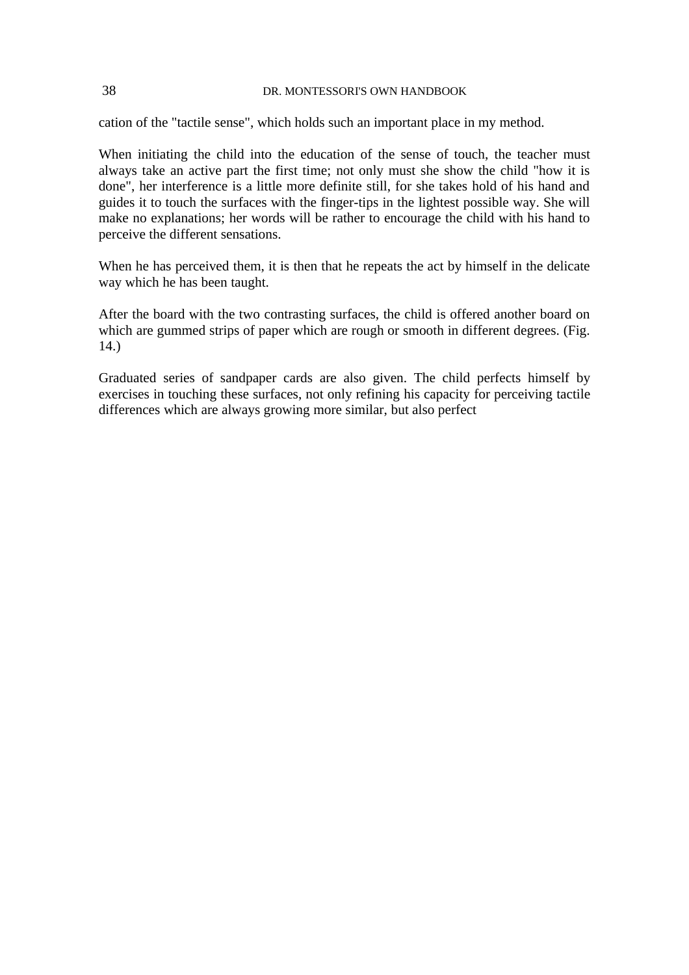cation of the "tactile sense", which holds such an important place in my method.

When initiating the child into the education of the sense of touch, the teacher must always take an active part the first time; not only must she show the child "how it is done", her interference is a little more definite still, for she takes hold of his hand and guides it to touch the surfaces with the finger-tips in the lightest possible way. She will make no explanations; her words will be rather to encourage the child with his hand to perceive the different sensations.

When he has perceived them, it is then that he repeats the act by himself in the delicate way which he has been taught.

After the board with the two contrasting surfaces, the child is offered another board on which are gummed strips of paper which are rough or smooth in different degrees. (Fig. 14.)

Graduated series of sandpaper cards are also given. The child perfects himself by exercises in touching these surfaces, not only refining his capacity for perceiving tactile differences which are always growing more similar, but also perfect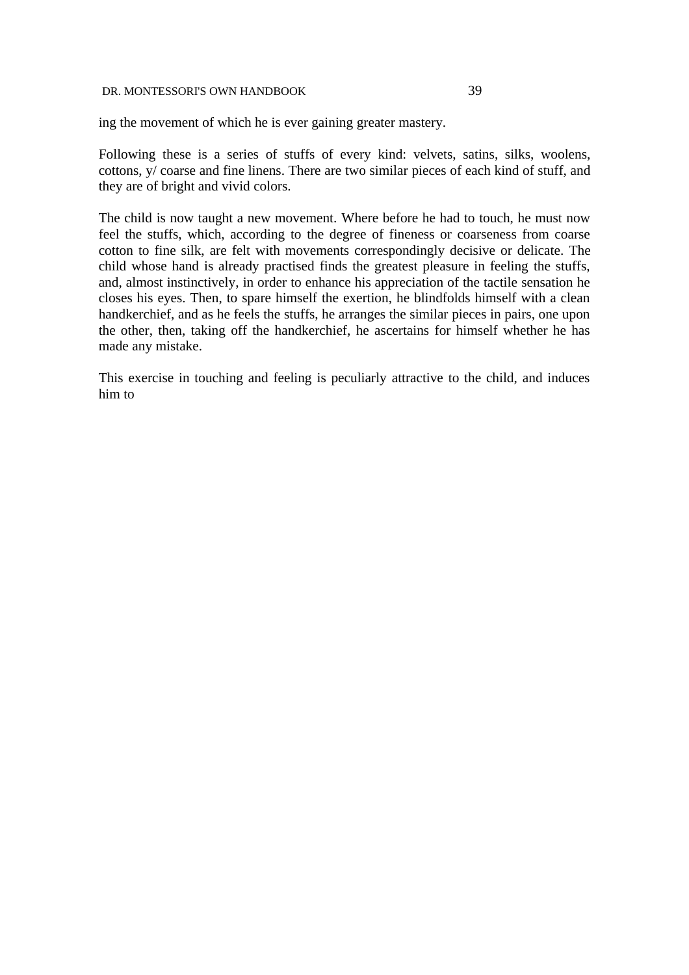Following these is a series of stuffs of every kind: velvets, satins, silks, woolens, cottons, y/ coarse and fine linens. There are two similar pieces of each kind of stuff, and they are of bright and vivid colors.

The child is now taught a new movement. Where before he had to touch, he must now feel the stuffs, which, according to the degree of fineness or coarseness from coarse cotton to fine silk, are felt with movements correspondingly decisive or delicate. The child whose hand is already practised finds the greatest pleasure in feeling the stuffs, and, almost instinctively, in order to enhance his appreciation of the tactile sensation he closes his eyes. Then, to spare himself the exertion, he blindfolds himself with a clean handkerchief, and as he feels the stuffs, he arranges the similar pieces in pairs, one upon the other, then, taking off the handkerchief, he ascertains for himself whether he has made any mistake.

This exercise in touching and feeling is peculiarly attractive to the child, and induces him to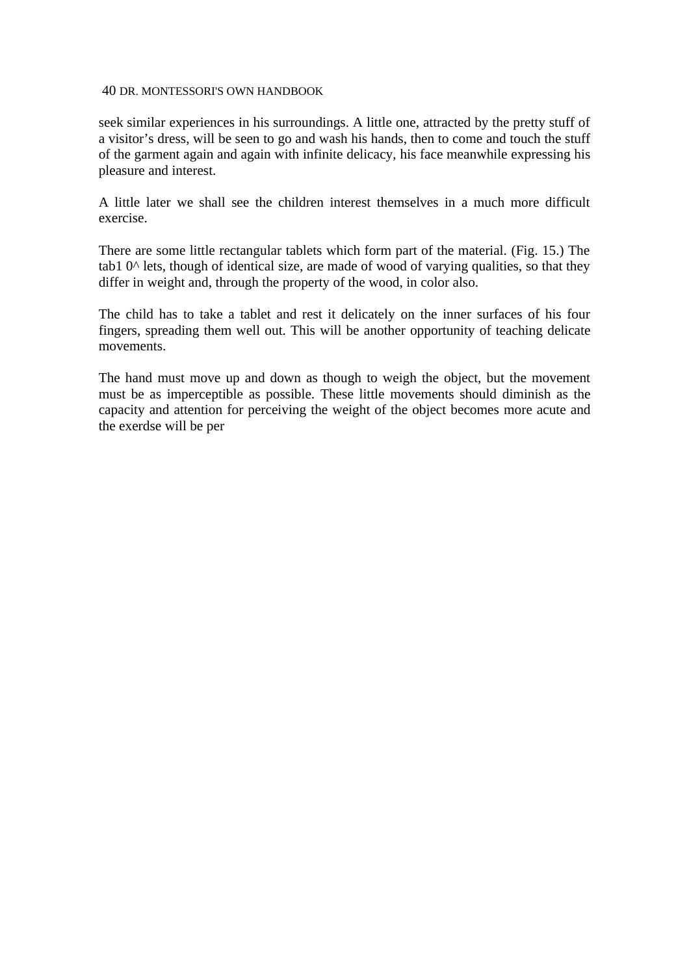seek similar experiences in his surroundings. A little one, attracted by the pretty stuff of a visitor's dress, will be seen to go and wash his hands, then to come and touch the stuff of the garment again and again with infinite delicacy, his face meanwhile expressing his pleasure and interest.

A little later we shall see the children interest themselves in a much more difficult exercise.

There are some little rectangular tablets which form part of the material. (Fig. 15.) The tab1  $0^{\text{A}}$  lets, though of identical size, are made of wood of varying qualities, so that they differ in weight and, through the property of the wood, in color also.

The child has to take a tablet and rest it delicately on the inner surfaces of his four fingers, spreading them well out. This will be another opportunity of teaching delicate movements.

The hand must move up and down as though to weigh the object, but the movement must be as imperceptible as possible. These little movements should diminish as the capacity and attention for perceiving the weight of the object becomes more acute and the exerdse will be per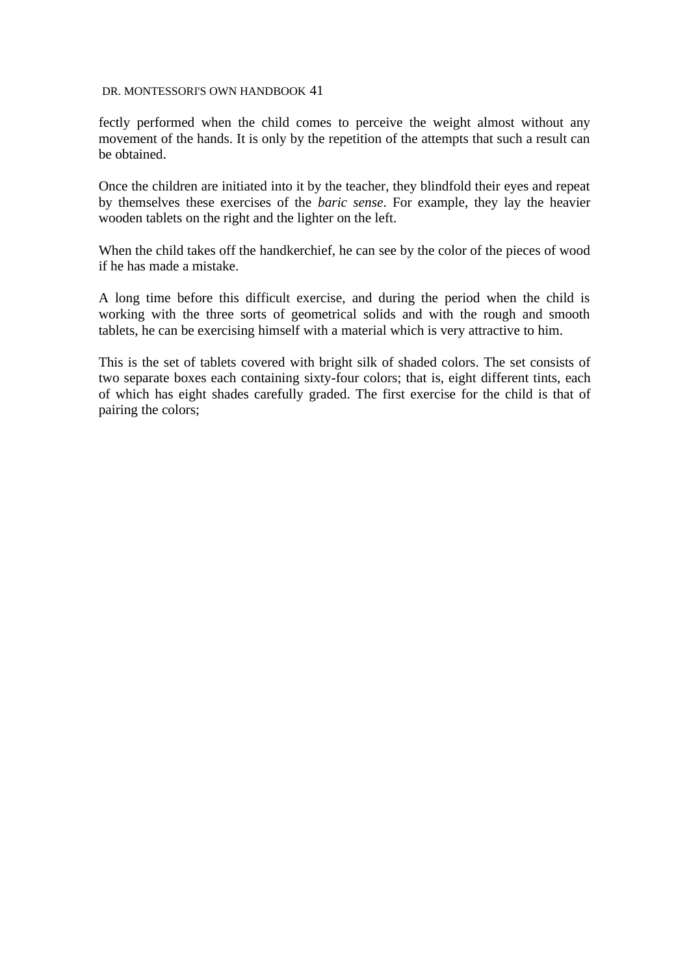fectly performed when the child comes to perceive the weight almost without any movement of the hands. It is only by the repetition of the attempts that such a result can be obtained.

Once the children are initiated into it by the teacher, they blindfold their eyes and repeat by themselves these exercises of the *baric sense*. For example, they lay the heavier wooden tablets on the right and the lighter on the left.

When the child takes off the handkerchief, he can see by the color of the pieces of wood if he has made a mistake.

A long time before this difficult exercise, and during the period when the child is working with the three sorts of geometrical solids and with the rough and smooth tablets, he can be exercising himself with a material which is very attractive to him.

This is the set of tablets covered with bright silk of shaded colors. The set consists of two separate boxes each containing sixty-four colors; that is, eight different tints, each of which has eight shades carefully graded. The first exercise for the child is that of pairing the colors;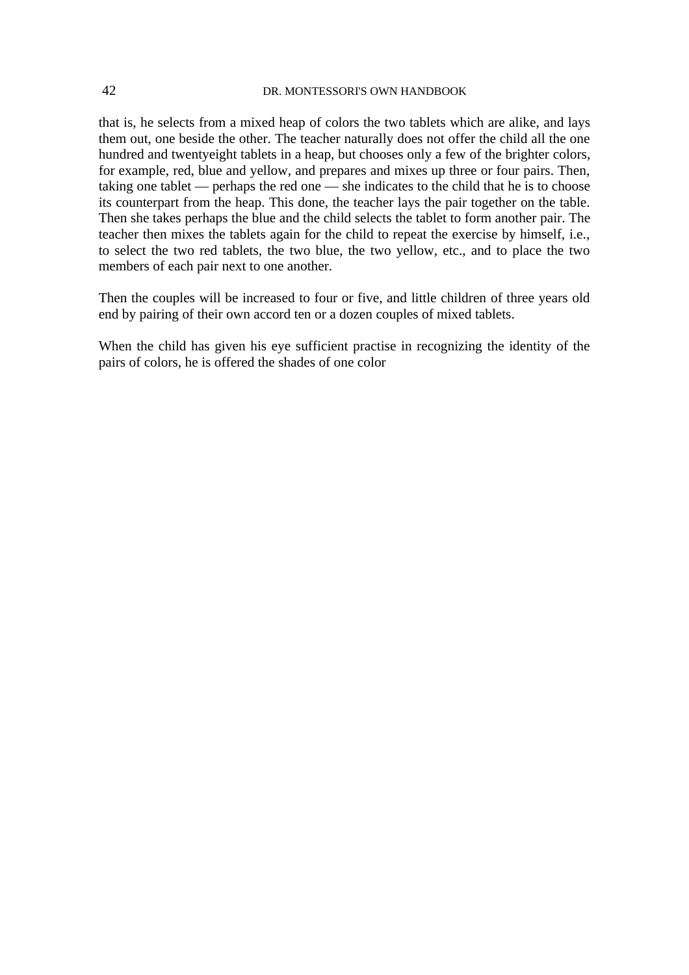that is, he selects from a mixed heap of colors the two tablets which are alike, and lays them out, one beside the other. The teacher naturally does not offer the child all the one hundred and twentyeight tablets in a heap, but chooses only a few of the brighter colors, for example, red, blue and yellow, and prepares and mixes up three or four pairs. Then, taking one tablet — perhaps the red one — she indicates to the child that he is to choose its counterpart from the heap. This done, the teacher lays the pair together on the table. Then she takes perhaps the blue and the child selects the tablet to form another pair. The teacher then mixes the tablets again for the child to repeat the exercise by himself, i.e., to select the two red tablets, the two blue, the two yellow, etc., and to place the two members of each pair next to one another.

Then the couples will be increased to four or five, and little children of three years old end by pairing of their own accord ten or a dozen couples of mixed tablets.

When the child has given his eye sufficient practise in recognizing the identity of the pairs of colors, he is offered the shades of one color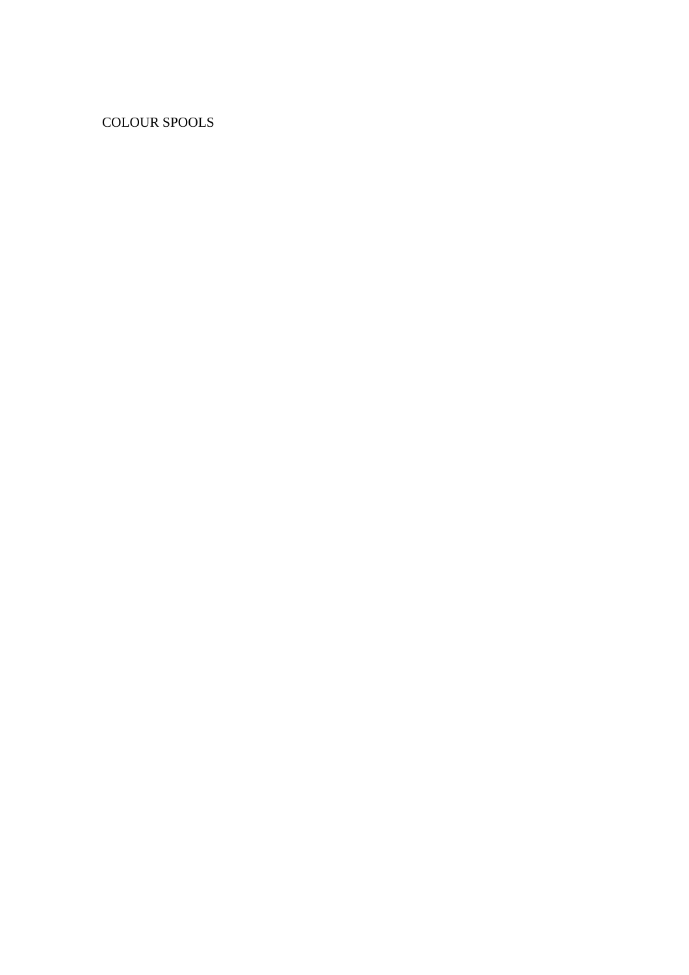COLOUR SPOOLS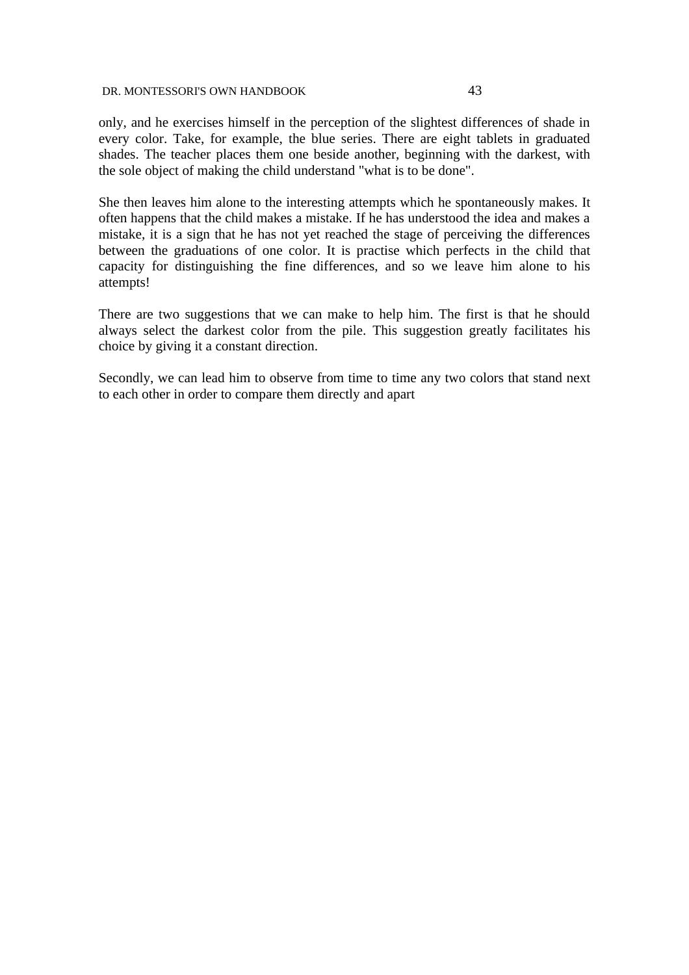only, and he exercises himself in the perception of the slightest differences of shade in every color. Take, for example, the blue series. There are eight tablets in graduated shades. The teacher places them one beside another, beginning with the darkest, with the sole object of making the child understand "what is to be done".

She then leaves him alone to the interesting attempts which he spontaneously makes. It often happens that the child makes a mistake. If he has understood the idea and makes a mistake, it is a sign that he has not yet reached the stage of perceiving the differences between the graduations of one color. It is practise which perfects in the child that capacity for distinguishing the fine differences, and so we leave him alone to his attempts!

There are two suggestions that we can make to help him. The first is that he should always select the darkest color from the pile. This suggestion greatly facilitates his choice by giving it a constant direction.

Secondly, we can lead him to observe from time to time any two colors that stand next to each other in order to compare them directly and apart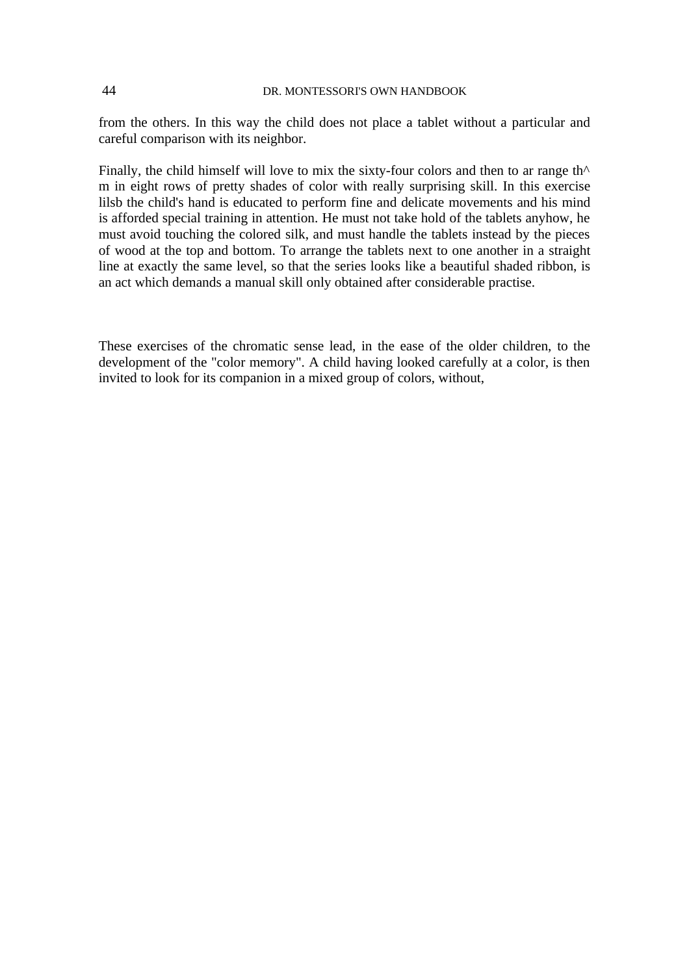from the others. In this way the child does not place a tablet without a particular and careful comparison with its neighbor.

Finally, the child himself will love to mix the sixty-four colors and then to ar range th $\wedge$ m in eight rows of pretty shades of color with really surprising skill. In this exercise lilsb the child's hand is educated to perform fine and delicate movements and his mind is afforded special training in attention. He must not take hold of the tablets anyhow, he must avoid touching the colored silk, and must handle the tablets instead by the pieces of wood at the top and bottom. To arrange the tablets next to one another in a straight line at exactly the same level, so that the series looks like a beautiful shaded ribbon, is an act which demands a manual skill only obtained after considerable practise.

These exercises of the chromatic sense lead, in the ease of the older children, to the development of the "color memory". A child having looked carefully at a color, is then invited to look for its companion in a mixed group of colors, without,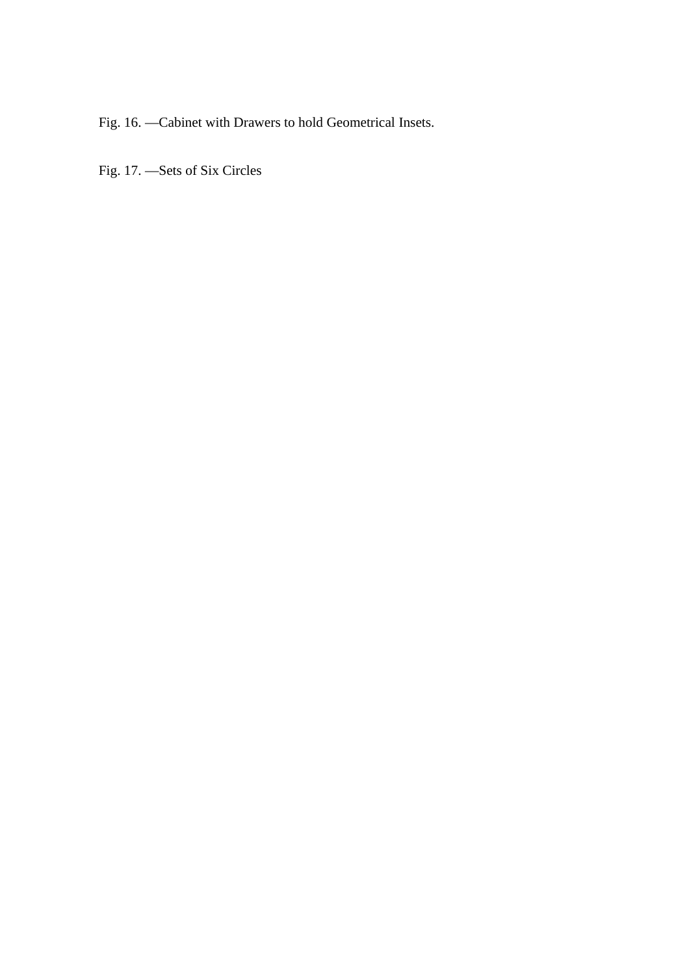Fig. 16. —Cabinet with Drawers to hold Geometrical Insets.

Fig. 17. —Sets of Six Circles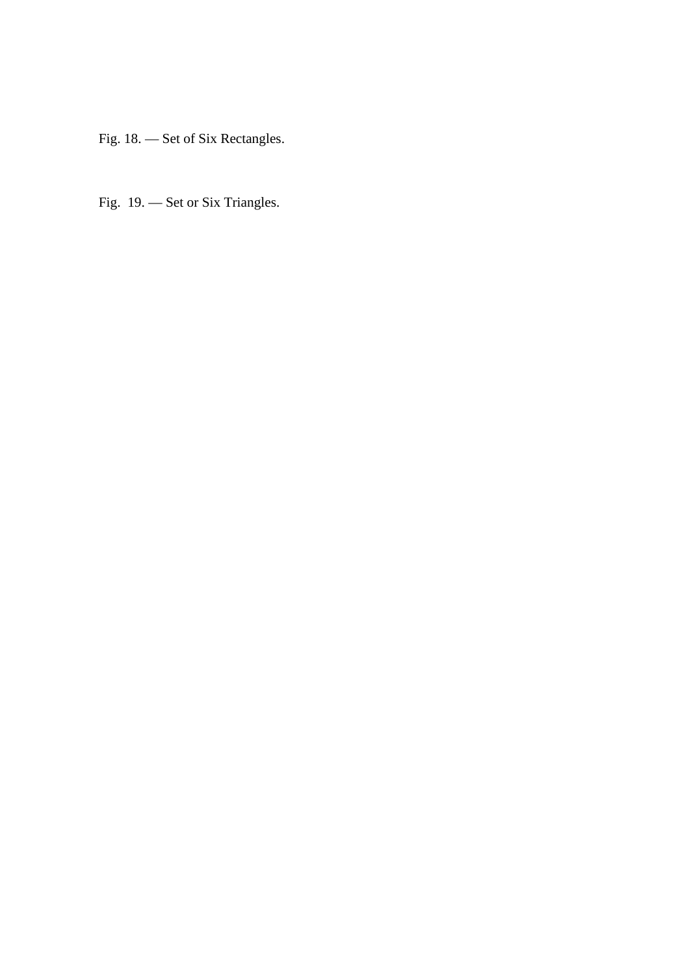Fig. 18. — Set of Six Rectangles.

Fig. 19. — Set or Six Triangles.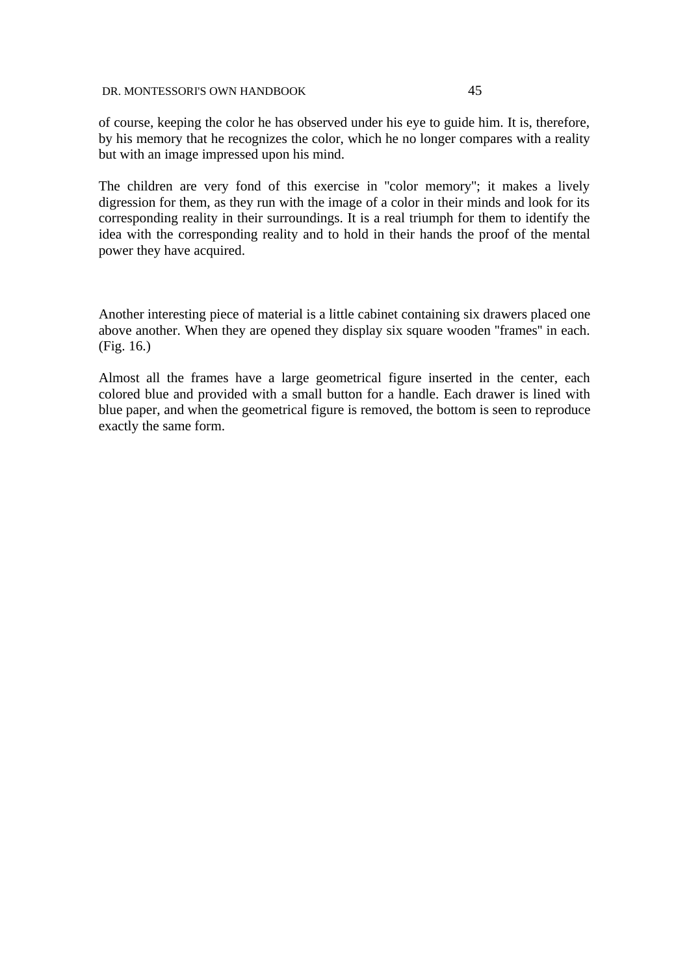of course, keeping the color he has observed under his eye to guide him. It is, therefore, by his memory that he recognizes the color, which he no longer compares with a reality but with an image impressed upon his mind.

The children are very fond of this exercise in ''color memory''; it makes a lively digression for them, as they run with the image of a color in their minds and look for its corresponding reality in their surroundings. It is a real triumph for them to identify the idea with the corresponding reality and to hold in their hands the proof of the mental power they have acquired.

Another interesting piece of material is a little cabinet containing six drawers placed one above another. When they are opened they display six square wooden ''frames'' in each. (Fig. 16.)

Almost all the frames have a large geometrical figure inserted in the center, each colored blue and provided with a small button for a handle. Each drawer is lined with blue paper, and when the geometrical figure is removed, the bottom is seen to reproduce exactly the same form.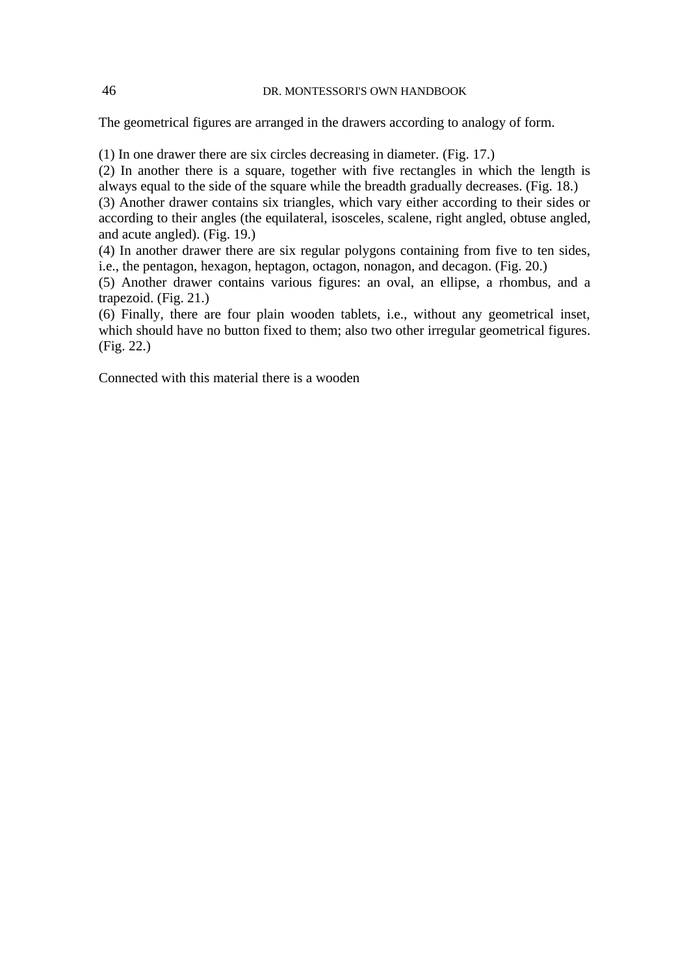The geometrical figures are arranged in the drawers according to analogy of form.

(1) In one drawer there are six circles decreasing in diameter. (Fig. 17.)

(2) In another there is a square, together with five rectangles in which the length is always equal to the side of the square while the breadth gradually decreases. (Fig. 18.)

(3) Another drawer contains six triangles, which vary either according to their sides or according to their angles (the equilateral, isosceles, scalene, right angled, obtuse angled, and acute angled). (Fig. 19.)

(4) In another drawer there are six regular polygons containing from five to ten sides, i.e., the pentagon, hexagon, heptagon, octagon, nonagon, and decagon. (Fig. 20.)

(5) Another drawer contains various figures: an oval, an ellipse, a rhombus, and a trapezoid. (Fig. 21.)

(6) Finally, there are four plain wooden tablets, i.e., without any geometrical inset, which should have no button fixed to them; also two other irregular geometrical figures. (Fig. 22.)

Connected with this material there is a wooden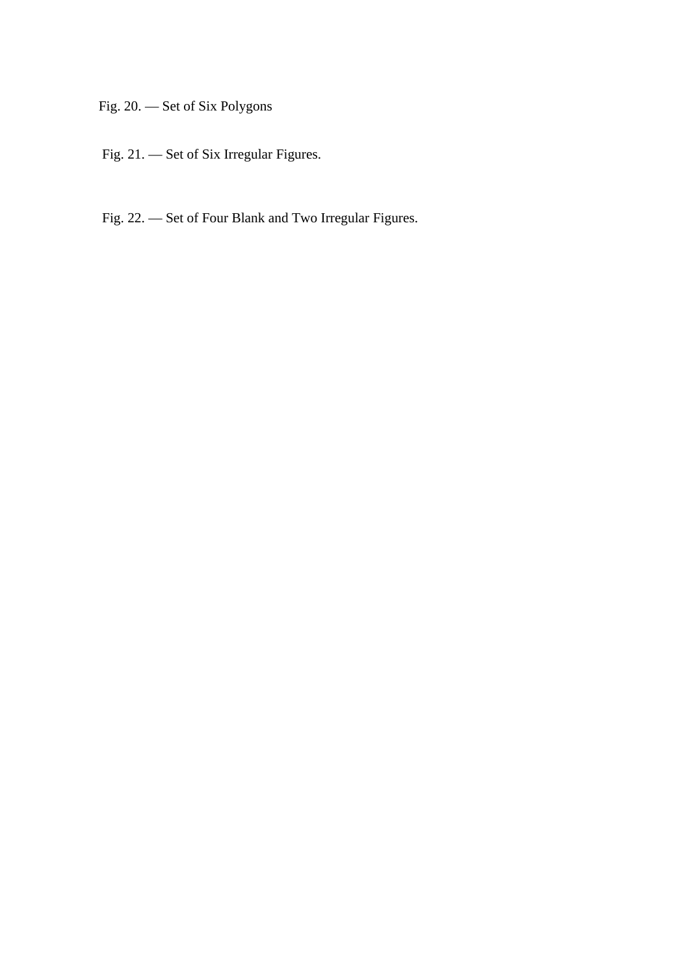Fig. 20. — Set of Six Polygons

- Fig. 21. Set of Six Irregular Figures.
- Fig. 22. Set of Four Blank and Two Irregular Figures.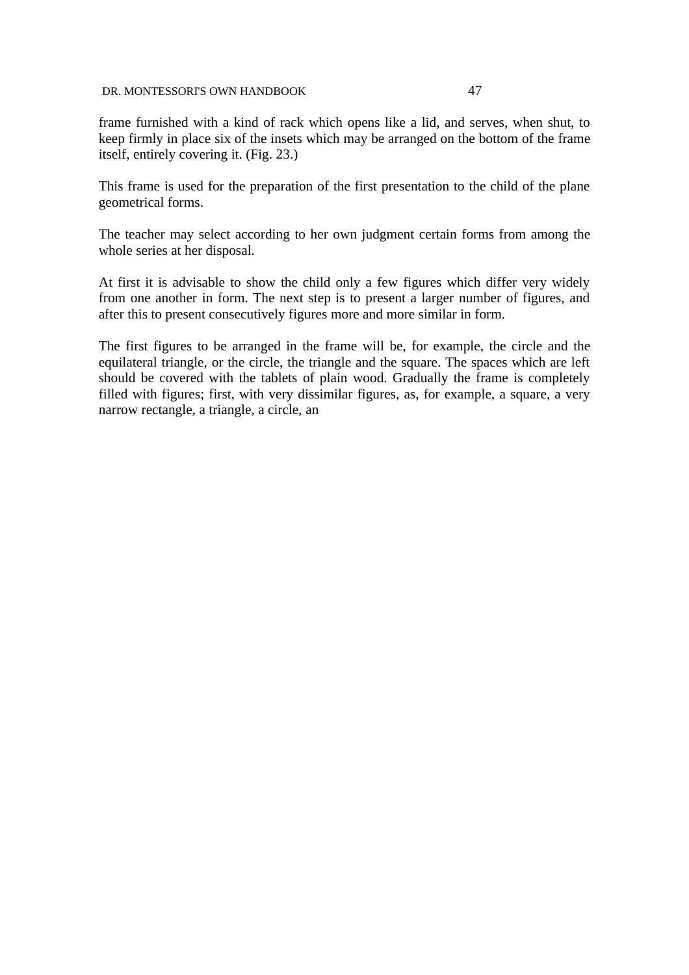frame furnished with a kind of rack which opens like a lid, and serves, when shut, to keep firmly in place six of the insets which may be arranged on the bottom of the frame itself, entirely covering it. (Fig. 23.)

This frame is used for the preparation of the first presentation to the child of the plane geometrical forms.

The teacher may select according to her own judgment certain forms from among the whole series at her disposal.

At first it is advisable to show the child only a few figures which differ very widely from one another in form. The next step is to present a larger number of figures, and after this to present consecutively figures more and more similar in form.

The first figures to be arranged in the frame will be, for example, the circle and the equilateral triangle, or the circle, the triangle and the square. The spaces which are left should be covered with the tablets of plain wood. Gradually the frame is completely filled with figures; first, with very dissimilar figures, as, for example, a square, a very narrow rectangle, a triangle, a circle, an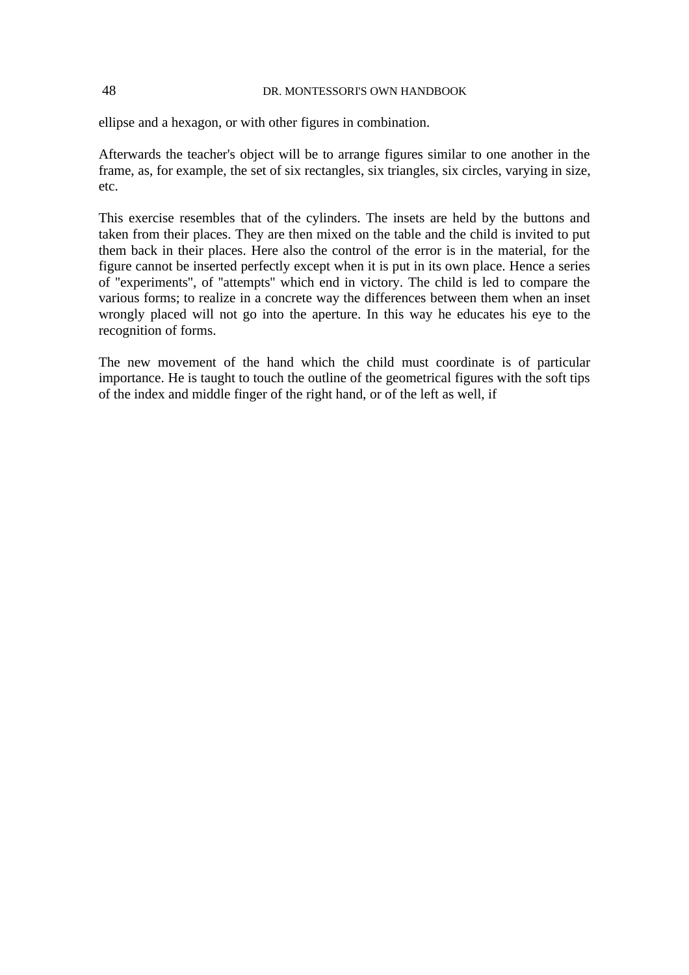ellipse and a hexagon, or with other figures in combination.

Afterwards the teacher's object will be to arrange figures similar to one another in the frame, as, for example, the set of six rectangles, six triangles, six circles, varying in size, etc.

This exercise resembles that of the cylinders. The insets are held by the buttons and taken from their places. They are then mixed on the table and the child is invited to put them back in their places. Here also the control of the error is in the material, for the figure cannot be inserted perfectly except when it is put in its own place. Hence a series of ''experiments'', of ''attempts'' which end in victory. The child is led to compare the various forms; to realize in a concrete way the differences between them when an inset wrongly placed will not go into the aperture. In this way he educates his eye to the recognition of forms.

The new movement of the hand which the child must coordinate is of particular importance. He is taught to touch the outline of the geometrical figures with the soft tips of the index and middle finger of the right hand, or of the left as well, if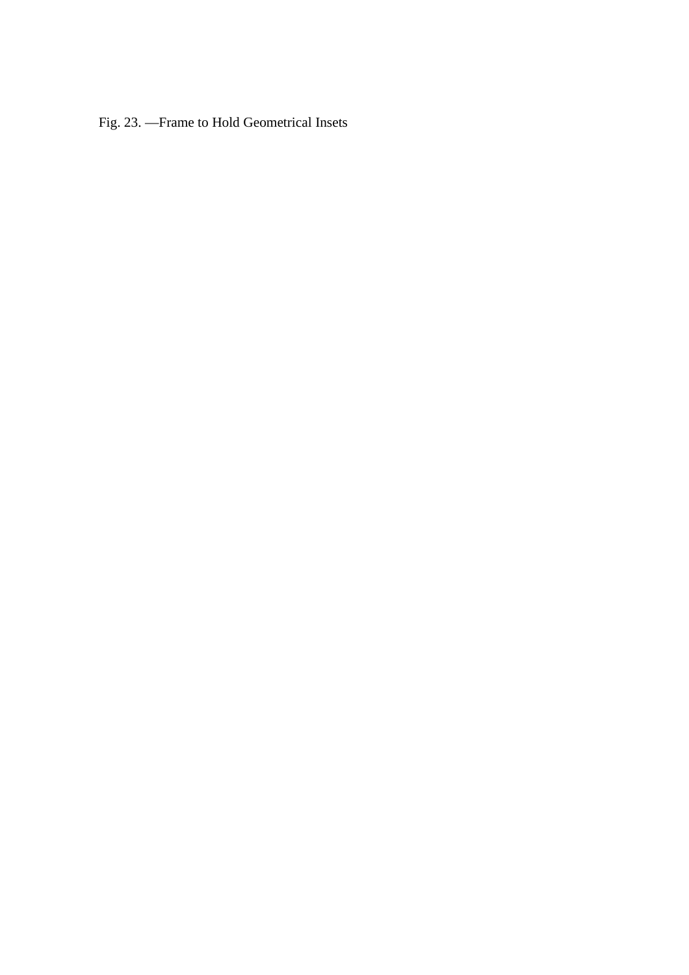Fig. 23. —Frame to Hold Geometrical Insets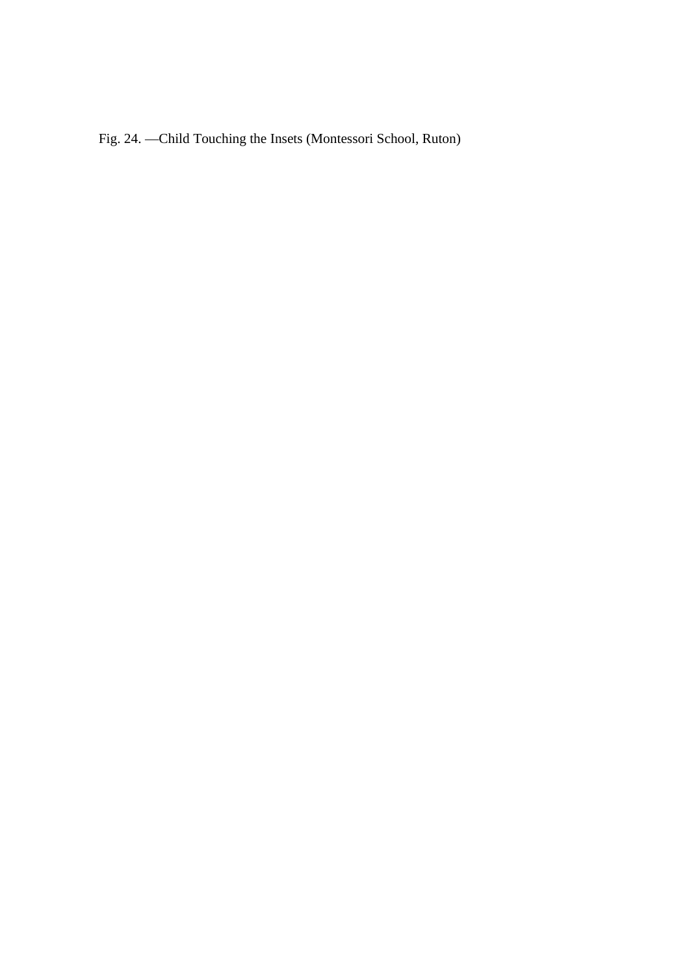Fig. 24. —Child Touching the Insets (Montessori School, Ruton)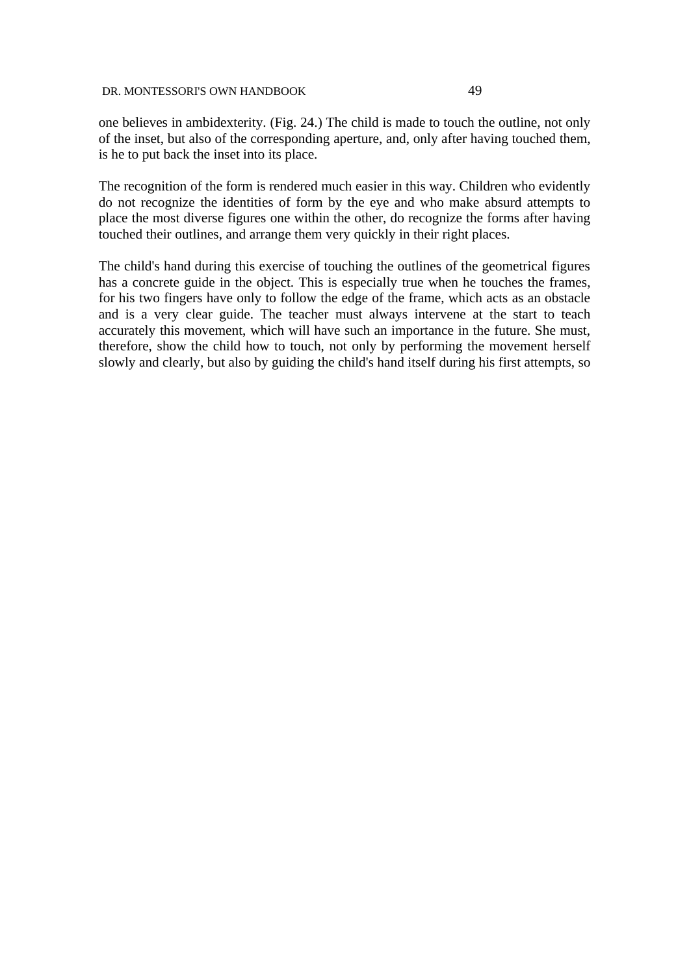one believes in ambidexterity. (Fig. 24.) The child is made to touch the outline, not only of the inset, but also of the corresponding aperture, and, only after having touched them, is he to put back the inset into its place.

The recognition of the form is rendered much easier in this way. Children who evidently do not recognize the identities of form by the eye and who make absurd attempts to place the most diverse figures one within the other, do recognize the forms after having touched their outlines, and arrange them very quickly in their right places.

The child's hand during this exercise of touching the outlines of the geometrical figures has a concrete guide in the object. This is especially true when he touches the frames, for his two fingers have only to follow the edge of the frame, which acts as an obstacle and is a very clear guide. The teacher must always intervene at the start to teach accurately this movement, which will have such an importance in the future. She must, therefore, show the child how to touch, not only by performing the movement herself slowly and clearly, but also by guiding the child's hand itself during his first attempts, so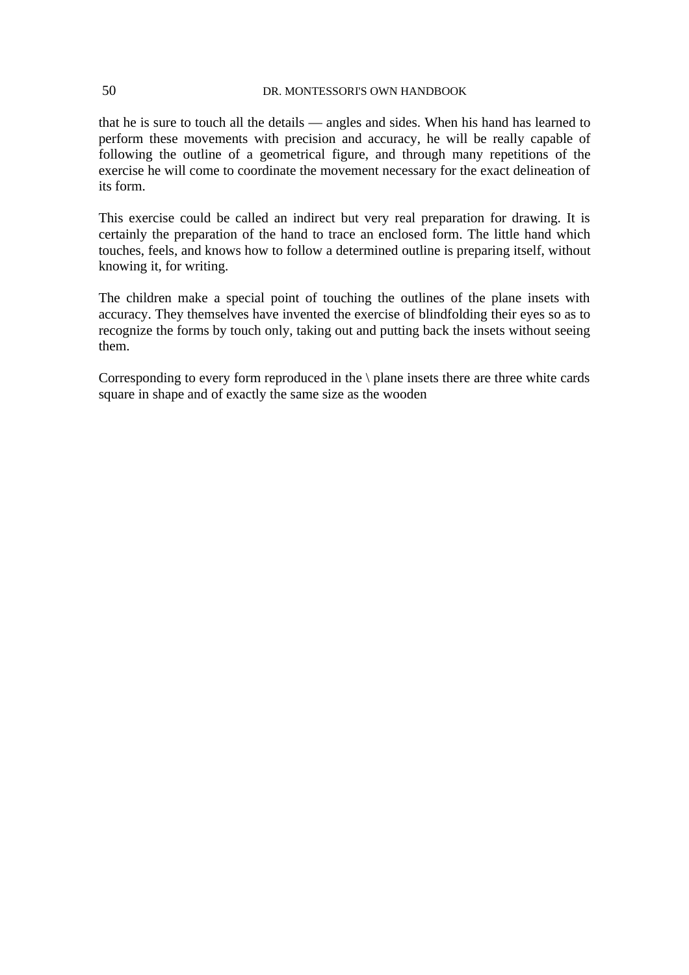that he is sure to touch all the details — angles and sides. When his hand has learned to perform these movements with precision and accuracy, he will be really capable of following the outline of a geometrical figure, and through many repetitions of the exercise he will come to coordinate the movement necessary for the exact delineation of its form.

This exercise could be called an indirect but very real preparation for drawing. It is certainly the preparation of the hand to trace an enclosed form. The little hand which touches, feels, and knows how to follow a determined outline is preparing itself, without knowing it, for writing.

The children make a special point of touching the outlines of the plane insets with accuracy. They themselves have invented the exercise of blindfolding their eyes so as to recognize the forms by touch only, taking out and putting back the insets without seeing them.

Corresponding to every form reproduced in the \ plane insets there are three white cards square in shape and of exactly the same size as the wooden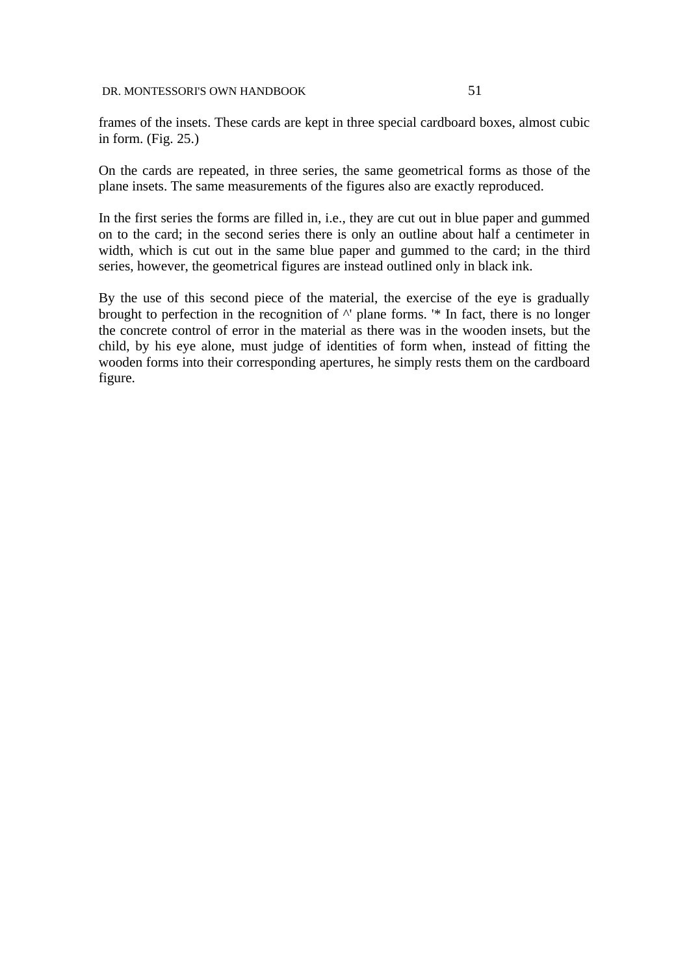frames of the insets. These cards are kept in three special cardboard boxes, almost cubic in form. (Fig. 25.)

On the cards are repeated, in three series, the same geometrical forms as those of the plane insets. The same measurements of the figures also are exactly reproduced.

In the first series the forms are filled in, i.e., they are cut out in blue paper and gummed on to the card; in the second series there is only an outline about half a centimeter in width, which is cut out in the same blue paper and gummed to the card; in the third series, however, the geometrical figures are instead outlined only in black ink.

By the use of this second piece of the material, the exercise of the eye is gradually brought to perfection in the recognition of  $\wedge$ ' plane forms. '\* In fact, there is no longer the concrete control of error in the material as there was in the wooden insets, but the child, by his eye alone, must judge of identities of form when, instead of fitting the wooden forms into their corresponding apertures, he simply rests them on the cardboard figure.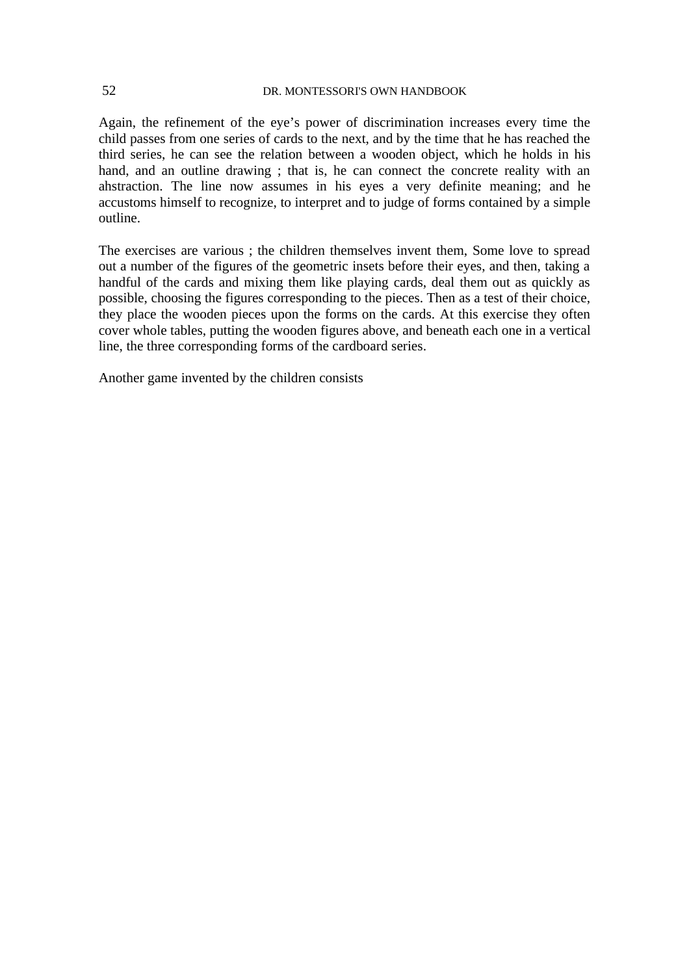Again, the refinement of the eye's power of discrimination increases every time the child passes from one series of cards to the next, and by the time that he has reached the third series, he can see the relation between a wooden object, which he holds in his hand, and an outline drawing ; that is, he can connect the concrete reality with an ahstraction. The line now assumes in his eyes a very definite meaning; and he accustoms himself to recognize, to interpret and to judge of forms contained by a simple outline.

The exercises are various ; the children themselves invent them, Some love to spread out a number of the figures of the geometric insets before their eyes, and then, taking a handful of the cards and mixing them like playing cards, deal them out as quickly as possible, choosing the figures corresponding to the pieces. Then as a test of their choice, they place the wooden pieces upon the forms on the cards. At this exercise they often cover whole tables, putting the wooden figures above, and beneath each one in a vertical line, the three corresponding forms of the cardboard series.

Another game invented by the children consists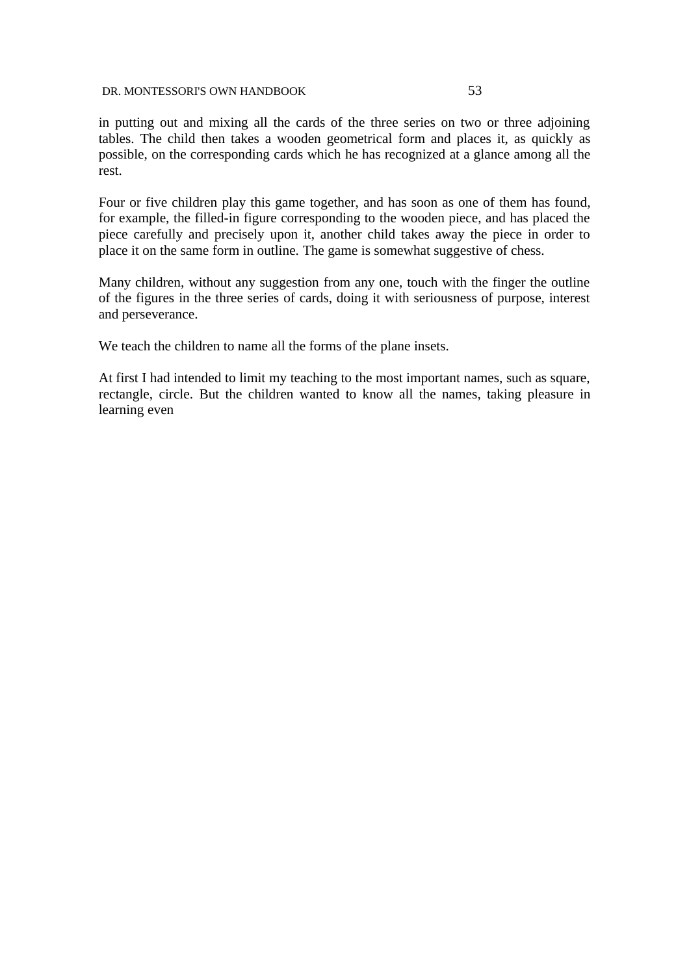in putting out and mixing all the cards of the three series on two or three adjoining tables. The child then takes a wooden geometrical form and places it, as quickly as possible, on the corresponding cards which he has recognized at a glance among all the rest.

Four or five children play this game together, and has soon as one of them has found, for example, the filled-in figure corresponding to the wooden piece, and has placed the piece carefully and precisely upon it, another child takes away the piece in order to place it on the same form in outline. The game is somewhat suggestive of chess.

Many children, without any suggestion from any one, touch with the finger the outline of the figures in the three series of cards, doing it with seriousness of purpose, interest and perseverance.

We teach the children to name all the forms of the plane insets.

At first I had intended to limit my teaching to the most important names, such as square, rectangle, circle. But the children wanted to know all the names, taking pleasure in learning even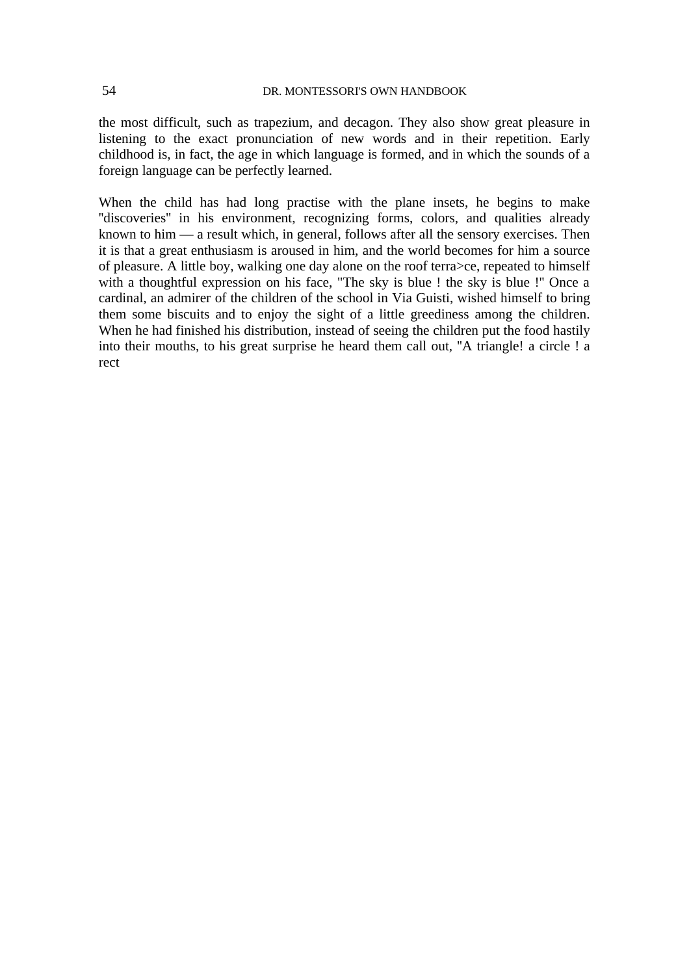the most difficult, such as trapezium, and decagon. They also show great pleasure in listening to the exact pronunciation of new words and in their repetition. Early childhood is, in fact, the age in which language is formed, and in which the sounds of a foreign language can be perfectly learned.

When the child has had long practise with the plane insets, he begins to make "discoveries" in his environment, recognizing forms, colors, and qualities already known to him — a result which, in general, follows after all the sensory exercises. Then it is that a great enthusiasm is aroused in him, and the world becomes for him a source of pleasure. A little boy, walking one day alone on the roof terra>ce, repeated to himself with a thoughtful expression on his face, "The sky is blue ! the sky is blue !" Once a cardinal, an admirer of the children of the school in Via Guisti, wished himself to bring them some biscuits and to enjoy the sight of a little greediness among the children. When he had finished his distribution, instead of seeing the children put the food hastily into their mouths, to his great surprise he heard them call out, ''A triangle! a circle ! a rect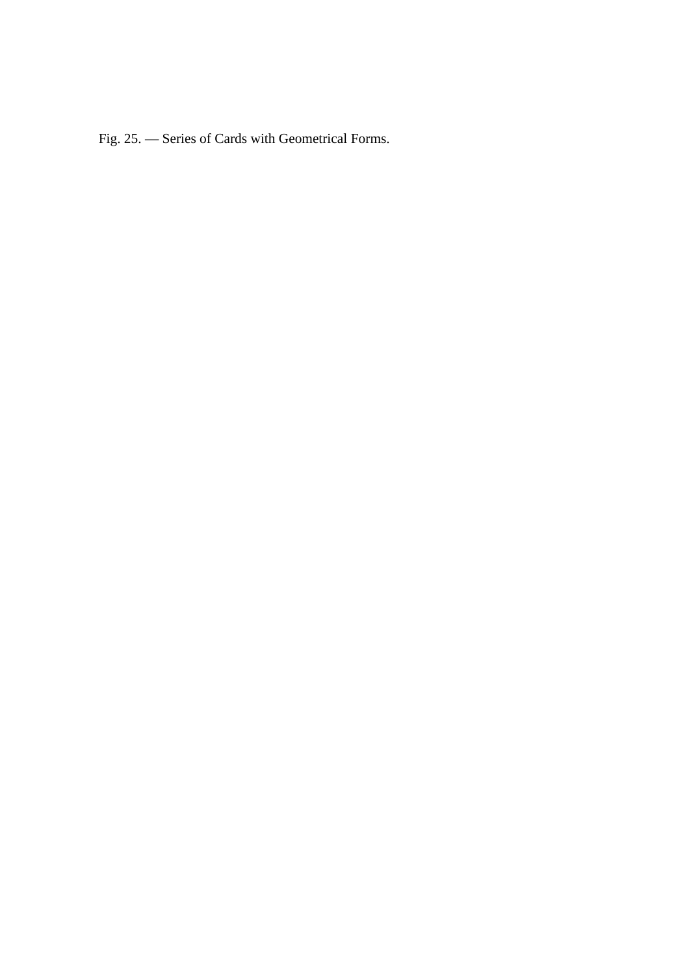Fig. 25. — Series of Cards with Geometrical Forms.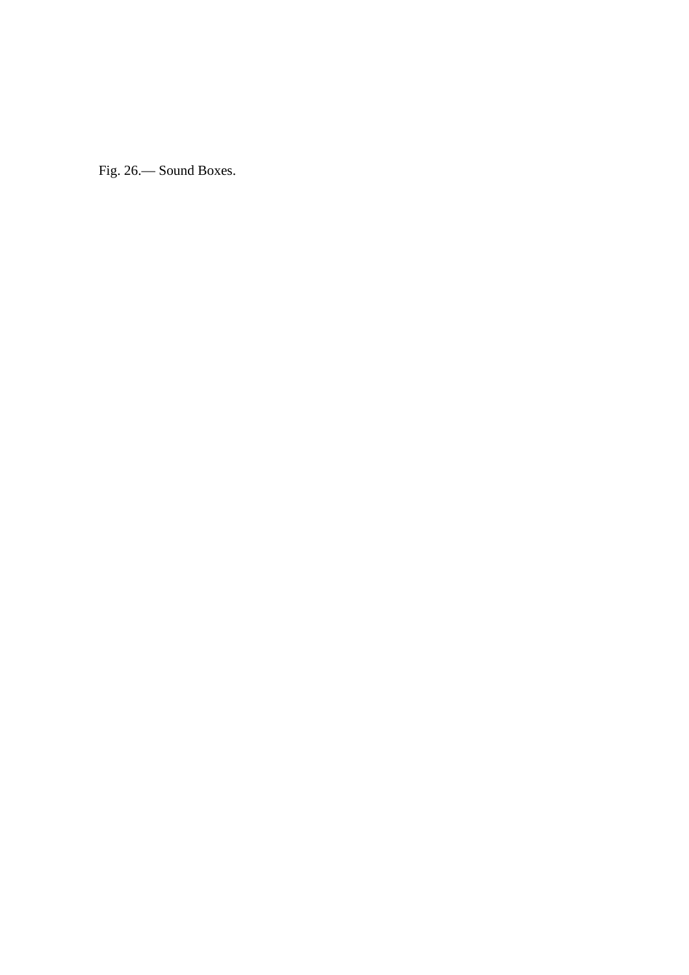Fig. 26.— Sound Boxes.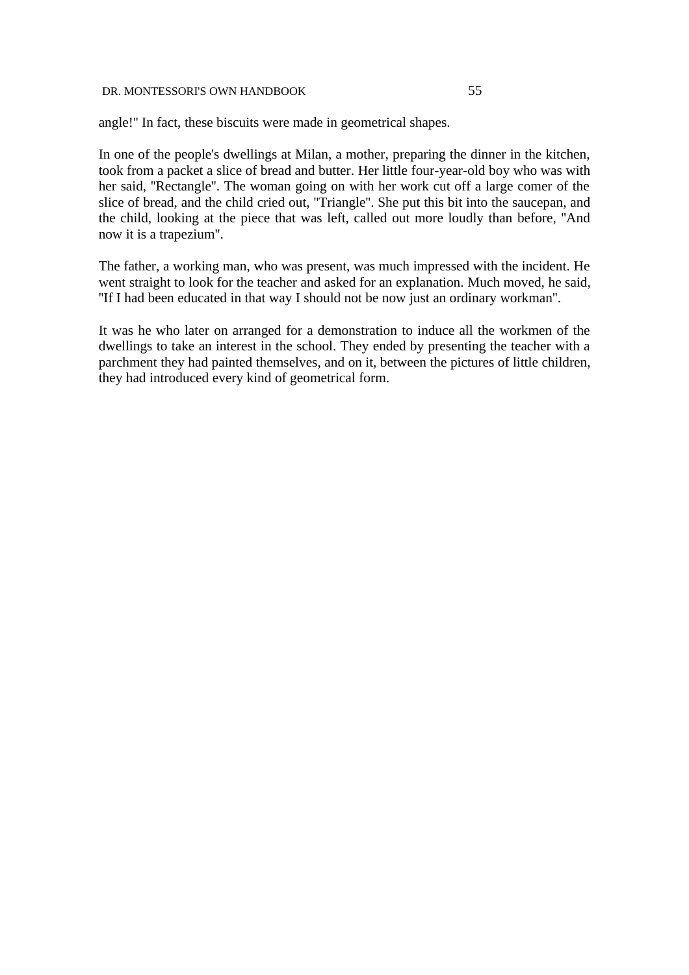angle!'' In fact, these biscuits were made in geometrical shapes.

In one of the people's dwellings at Milan, a mother, preparing the dinner in the kitchen, took from a packet a slice of bread and butter. Her little four-year-old boy who was with her said, ''Rectangle''. The woman going on with her work cut off a large comer of the slice of bread, and the child cried out, ''Triangle''. She put this bit into the saucepan, and the child, looking at the piece that was left, called out more loudly than before, ''And now it is a trapezium''.

The father, a working man, who was present, was much impressed with the incident. He went straight to look for the teacher and asked for an explanation. Much moved, he said, ''If I had been educated in that way I should not be now just an ordinary workman''.

It was he who later on arranged for a demonstration to induce all the workmen of the dwellings to take an interest in the school. They ended by presenting the teacher with a parchment they had painted themselves, and on it, between the pictures of little children, they had introduced every kind of geometrical form.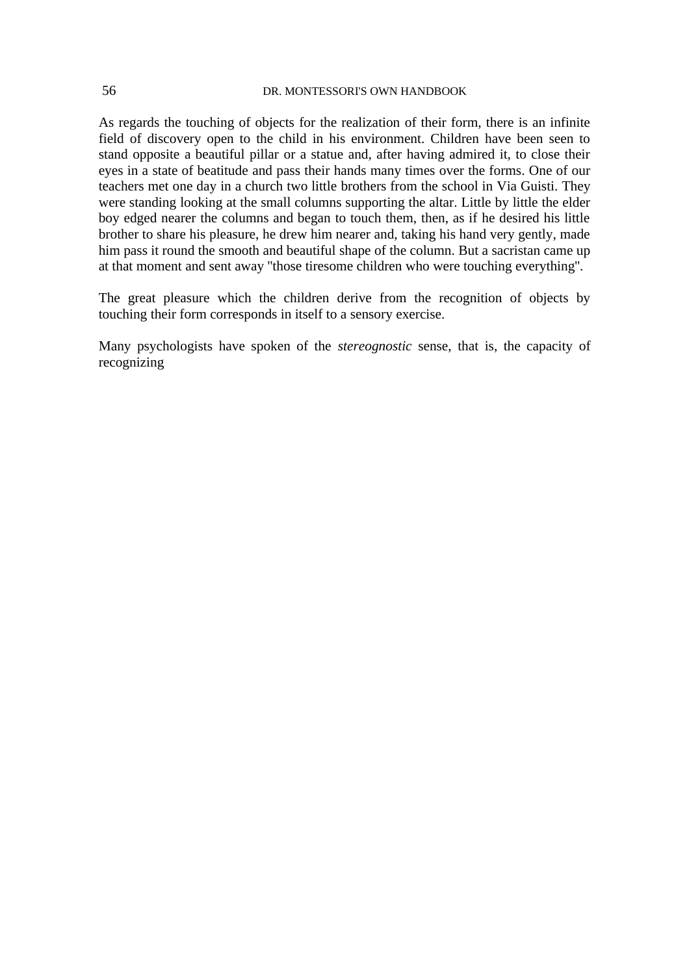As regards the touching of objects for the realization of their form, there is an infinite field of discovery open to the child in his environment. Children have been seen to stand opposite a beautiful pillar or a statue and, after having admired it, to close their eyes in a state of beatitude and pass their hands many times over the forms. One of our teachers met one day in a church two little brothers from the school in Via Guisti. They were standing looking at the small columns supporting the altar. Little by little the elder boy edged nearer the columns and began to touch them, then, as if he desired his little brother to share his pleasure, he drew him nearer and, taking his hand very gently, made him pass it round the smooth and beautiful shape of the column. But a sacristan came up at that moment and sent away ''those tiresome children who were touching everything''.

The great pleasure which the children derive from the recognition of objects by touching their form corresponds in itself to a sensory exercise.

Many psychologists have spoken of the *stereognostic* sense, that is, the capacity of recognizing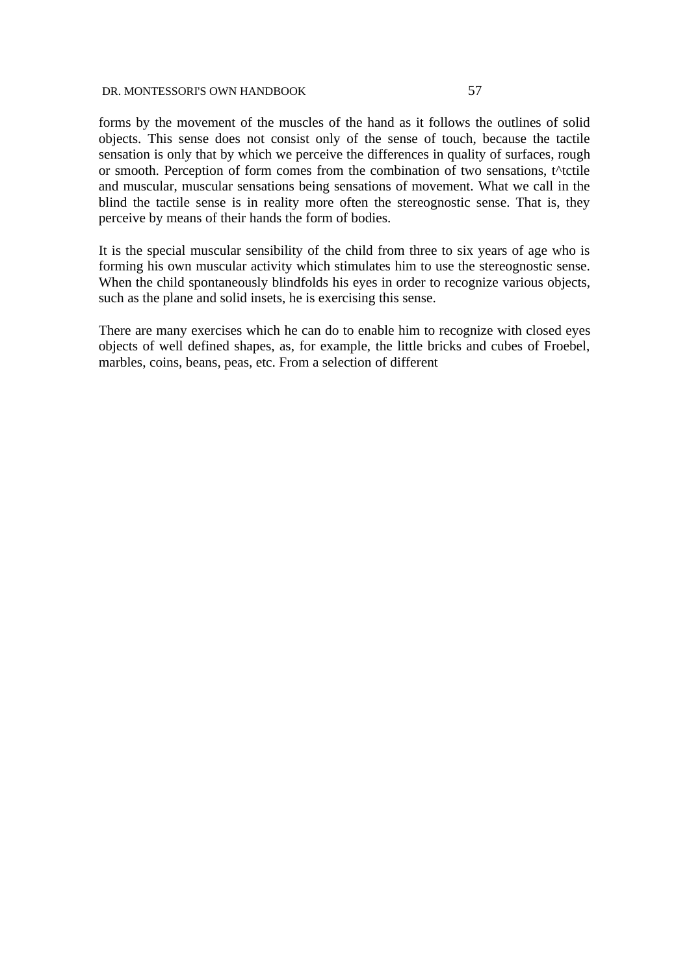forms by the movement of the muscles of the hand as it follows the outlines of solid objects. This sense does not consist only of the sense of touch, because the tactile sensation is only that by which we perceive the differences in quality of surfaces, rough or smooth. Perception of form comes from the combination of two sensations, t^tctile and muscular, muscular sensations being sensations of movement. What we call in the blind the tactile sense is in reality more often the stereognostic sense. That is, they perceive by means of their hands the form of bodies.

It is the special muscular sensibility of the child from three to six years of age who is forming his own muscular activity which stimulates him to use the stereognostic sense. When the child spontaneously blindfolds his eyes in order to recognize various objects, such as the plane and solid insets, he is exercising this sense.

There are many exercises which he can do to enable him to recognize with closed eyes objects of well defined shapes, as, for example, the little bricks and cubes of Froebel, marbles, coins, beans, peas, etc. From a selection of different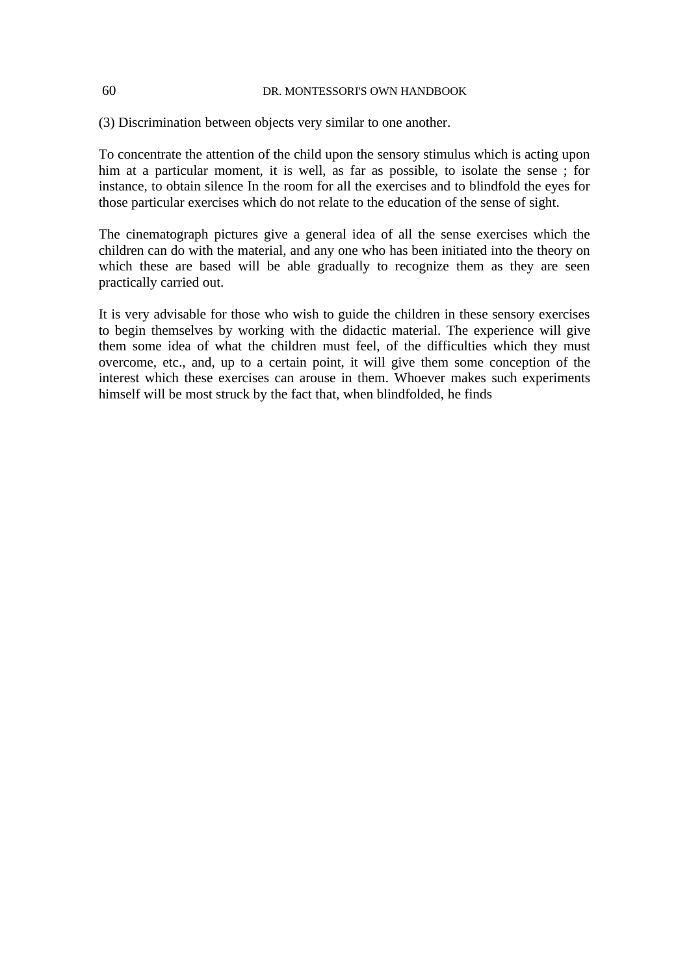(3) Discrimination between objects very similar to one another.

To concentrate the attention of the child upon the sensory stimulus which is acting upon him at a particular moment, it is well, as far as possible, to isolate the sense ; for instance, to obtain silence In the room for all the exercises and to blindfold the eyes for those particular exercises which do not relate to the education of the sense of sight.

The cinematograph pictures give a general idea of all the sense exercises which the children can do with the material, and any one who has been initiated into the theory on which these are based will be able gradually to recognize them as they are seen practically carried out.

It is very advisable for those who wish to guide the children in these sensory exercises to begin themselves by working with the didactic material. The experience will give them some idea of what the children must feel, of the difficulties which they must overcome, etc., and, up to a certain point, it will give them some conception of the interest which these exercises can arouse in them. Whoever makes such experiments himself will be most struck by the fact that, when blindfolded, he finds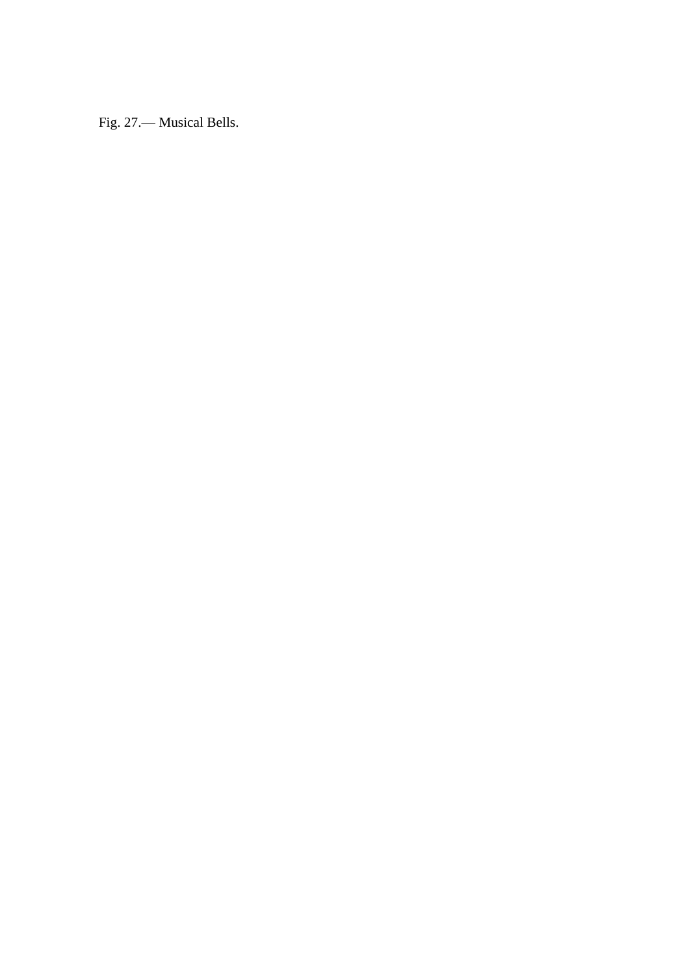Fig. 27.— Musical Bells.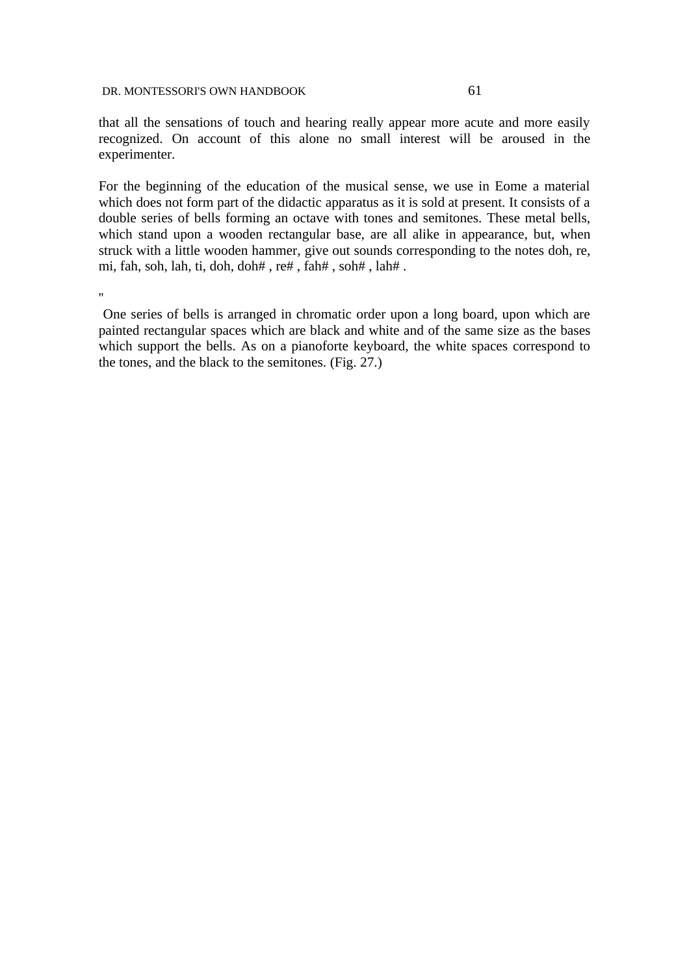that all the sensations of touch and hearing really appear more acute and more easily recognized. On account of this alone no small interest will be aroused in the experimenter.

For the beginning of the education of the musical sense, we use in Eome a material which does not form part of the didactic apparatus as it is sold at present. It consists of a double series of bells forming an octave with tones and semitones. These metal bells, which stand upon a wooden rectangular base, are all alike in appearance, but, when struck with a little wooden hammer, give out sounds corresponding to the notes doh, re, mi, fah, soh, lah, ti, doh, doh# , re# , fah# , soh# , lah# .

''

 One series of bells is arranged in chromatic order upon a long board, upon which are painted rectangular spaces which are black and white and of the same size as the bases which support the bells. As on a pianoforte keyboard, the white spaces correspond to the tones, and the black to the semitones. (Fig. 27.)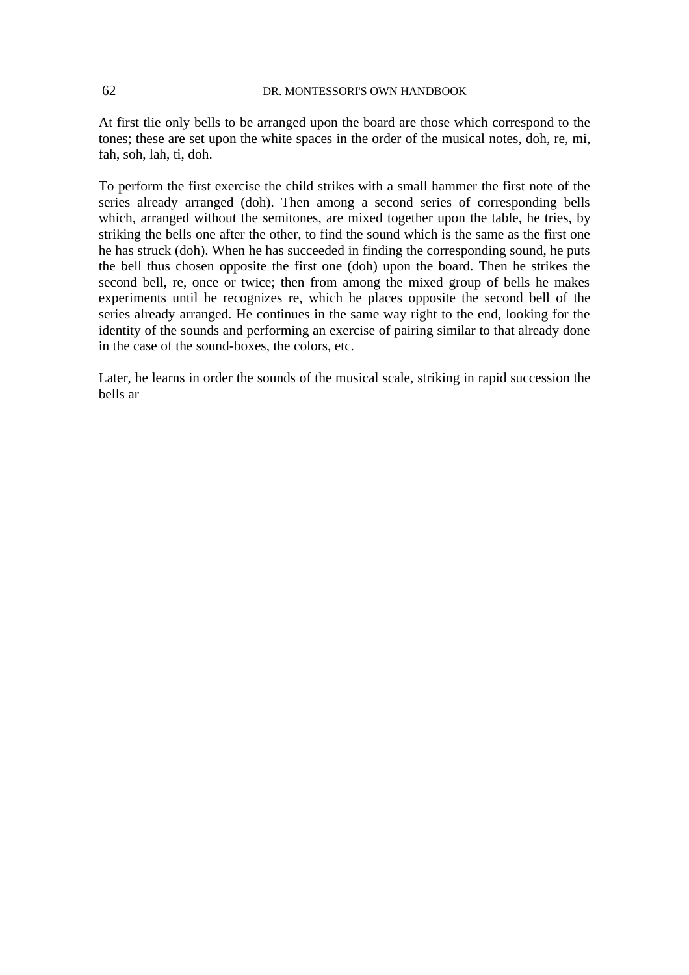At first tlie only bells to be arranged upon the board are those which correspond to the tones; these are set upon the white spaces in the order of the musical notes, doh, re, mi, fah, soh, lah, ti, doh.

To perform the first exercise the child strikes with a small hammer the first note of the series already arranged (doh). Then among a second series of corresponding bells which, arranged without the semitones, are mixed together upon the table, he tries, by striking the bells one after the other, to find the sound which is the same as the first one he has struck (doh). When he has succeeded in finding the corresponding sound, he puts the bell thus chosen opposite the first one (doh) upon the board. Then he strikes the second bell, re, once or twice; then from among the mixed group of bells he makes experiments until he recognizes re, which he places opposite the second bell of the series already arranged. He continues in the same way right to the end, looking for the identity of the sounds and performing an exercise of pairing similar to that already done in the case of the sound-boxes, the colors, etc.

Later, he learns in order the sounds of the musical scale, striking in rapid succession the bells ar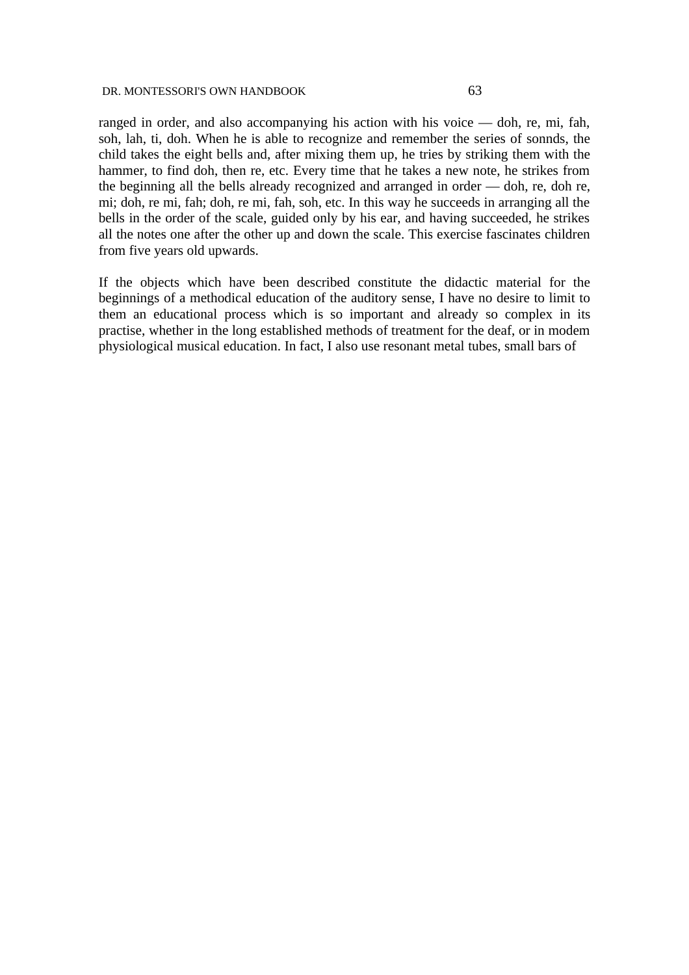ranged in order, and also accompanying his action with his voice — doh, re, mi, fah, soh, lah, ti, doh. When he is able to recognize and remember the series of sonnds, the child takes the eight bells and, after mixing them up, he tries by striking them with the hammer, to find doh, then re, etc. Every time that he takes a new note, he strikes from the beginning all the bells already recognized and arranged in order — doh, re, doh re, mi; doh, re mi, fah; doh, re mi, fah, soh, etc. In this way he succeeds in arranging all the bells in the order of the scale, guided only by his ear, and having succeeded, he strikes all the notes one after the other up and down the scale. This exercise fascinates children from five years old upwards.

If the objects which have been described constitute the didactic material for the beginnings of a methodical education of the auditory sense, I have no desire to limit to them an educational process which is so important and already so complex in its practise, whether in the long established methods of treatment for the deaf, or in modem physiological musical education. In fact, I also use resonant metal tubes, small bars of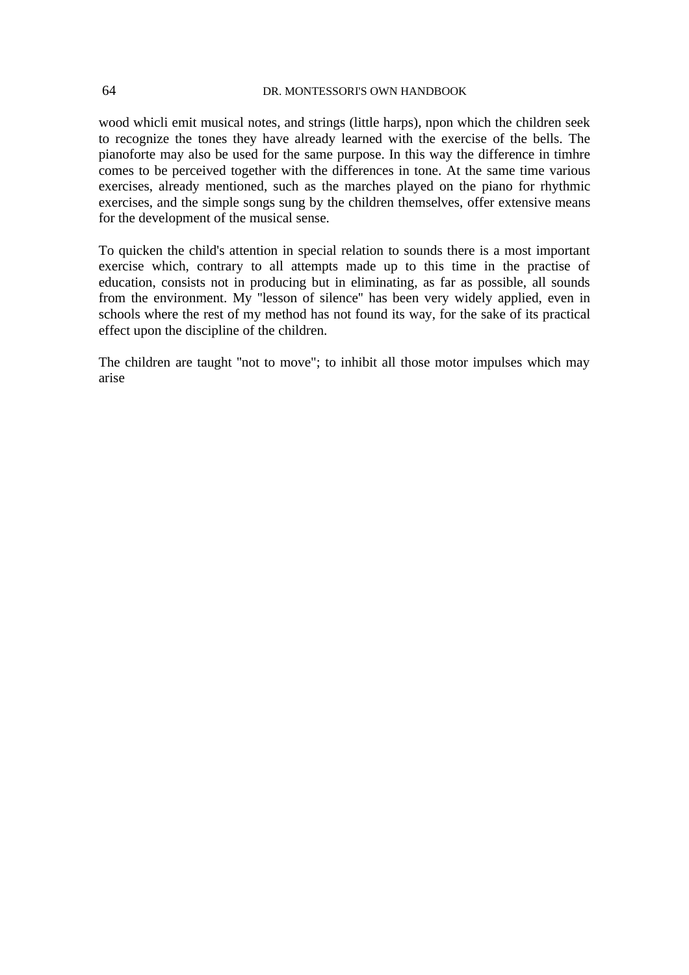wood whicli emit musical notes, and strings (little harps), npon which the children seek to recognize the tones they have already learned with the exercise of the bells. The pianoforte may also be used for the same purpose. In this way the difference in timhre comes to be perceived together with the differences in tone. At the same time various exercises, already mentioned, such as the marches played on the piano for rhythmic exercises, and the simple songs sung by the children themselves, offer extensive means for the development of the musical sense.

To quicken the child's attention in special relation to sounds there is a most important exercise which, contrary to all attempts made up to this time in the practise of education, consists not in producing but in eliminating, as far as possible, all sounds from the environment. My ''lesson of silence'' has been very widely applied, even in schools where the rest of my method has not found its way, for the sake of its practical effect upon the discipline of the children.

The children are taught ''not to move"; to inhibit all those motor impulses which may arise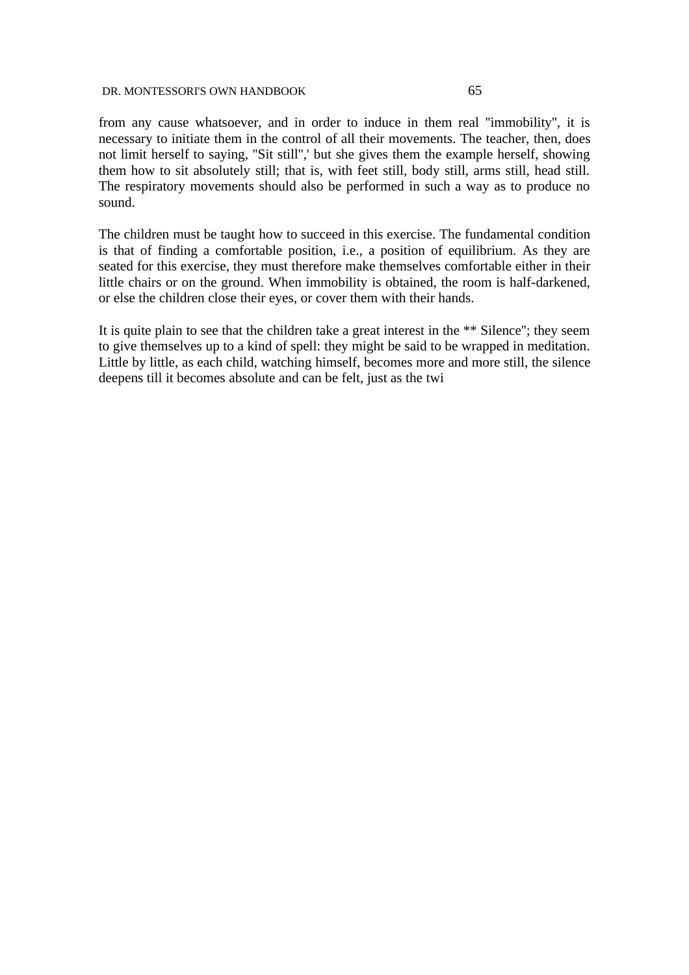from any cause whatsoever, and in order to induce in them real ''immobility'', it is necessary to initiate them in the control of all their movements. The teacher, then, does not limit herself to saying, ''Sit still'',' but she gives them the example herself, showing them how to sit absolutely still; that is, with feet still, body still, arms still, head still. The respiratory movements should also be performed in such a way as to produce no sound.

The children must be taught how to succeed in this exercise. The fundamental condition is that of finding a comfortable position, i.e., a position of equilibrium. As they are seated for this exercise, they must therefore make themselves comfortable either in their little chairs or on the ground. When immobility is obtained, the room is half-darkened, or else the children close their eyes, or cover them with their hands.

It is quite plain to see that the children take a great interest in the \*\* Silence''; they seem to give themselves up to a kind of spell: they might be said to be wrapped in meditation. Little by little, as each child, watching himself, becomes more and more still, the silence deepens till it becomes absolute and can be felt, just as the twi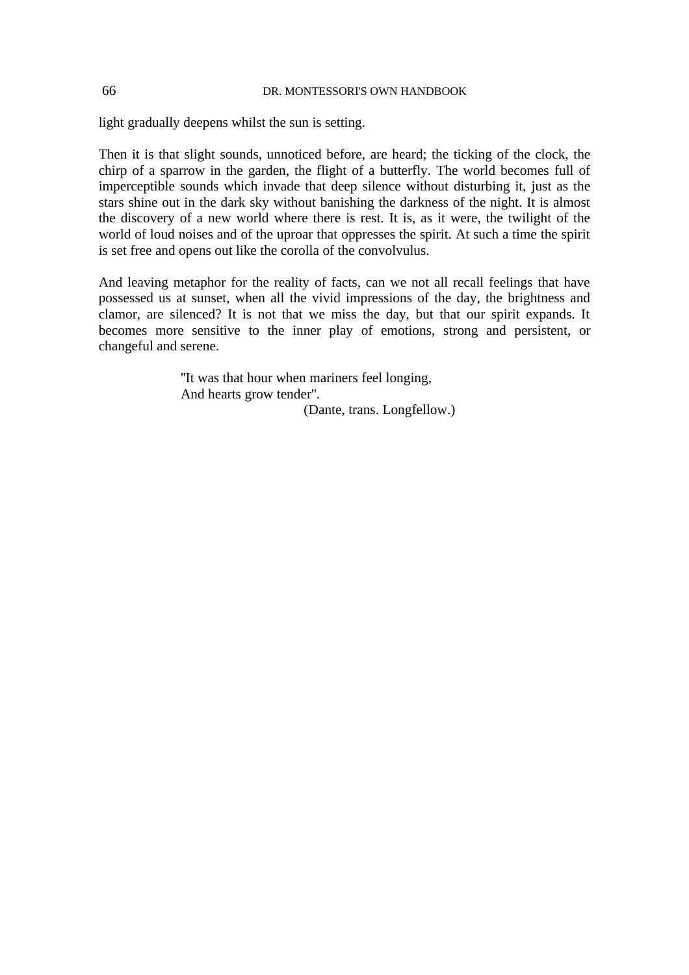light gradually deepens whilst the sun is setting.

Then it is that slight sounds, unnoticed before, are heard; the ticking of the clock, the chirp of a sparrow in the garden, the flight of a butterfly. The world becomes full of imperceptible sounds which invade that deep silence without disturbing it, just as the stars shine out in the dark sky without banishing the darkness of the night. It is almost the discovery of a new world where there is rest. It is, as it were, the twilight of the world of loud noises and of the uproar that oppresses the spirit. At such a time the spirit is set free and opens out like the corolla of the convolvulus.

And leaving metaphor for the reality of facts, can we not all recall feelings that have possessed us at sunset, when all the vivid impressions of the day, the brightness and clamor, are silenced? It is not that we miss the day, but that our spirit expands. It becomes more sensitive to the inner play of emotions, strong and persistent, or changeful and serene.

> ''It was that hour when mariners feel longing, And hearts grow tender''. (Dante, trans. Longfellow.)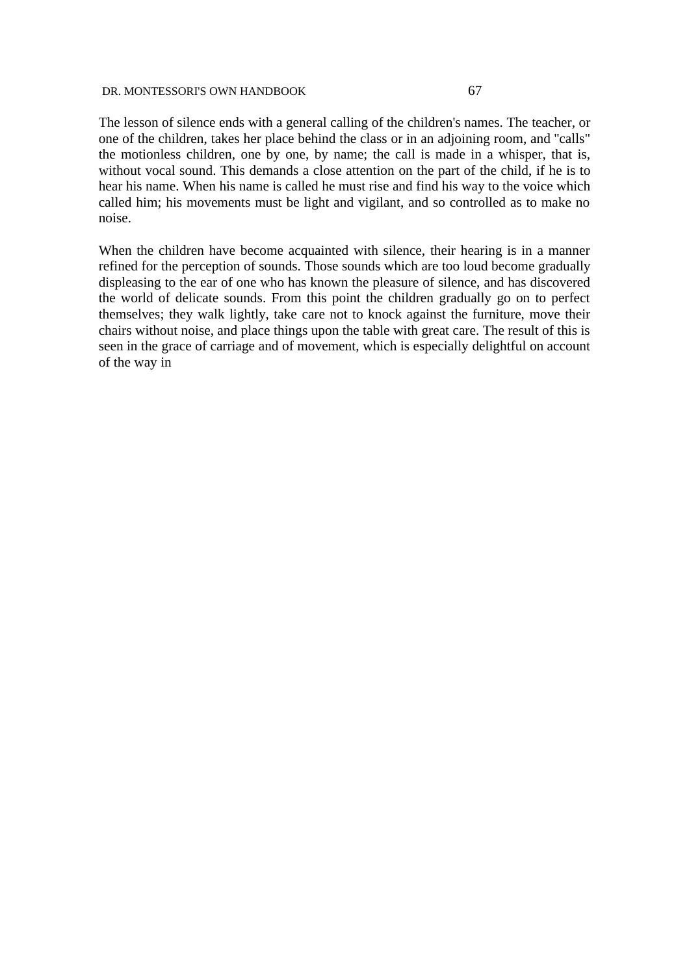The lesson of silence ends with a general calling of the children's names. The teacher, or one of the children, takes her place behind the class or in an adjoining room, and ''calls" the motionless children, one by one, by name; the call is made in a whisper, that is, without vocal sound. This demands a close attention on the part of the child, if he is to hear his name. When his name is called he must rise and find his way to the voice which called him; his movements must be light and vigilant, and so controlled as to make no noise.

When the children have become acquainted with silence, their hearing is in a manner refined for the perception of sounds. Those sounds which are too loud become gradually displeasing to the ear of one who has known the pleasure of silence, and has discovered the world of delicate sounds. From this point the children gradually go on to perfect themselves; they walk lightly, take care not to knock against the furniture, move their chairs without noise, and place things upon the table with great care. The result of this is seen in the grace of carriage and of movement, which is especially delightful on account of the way in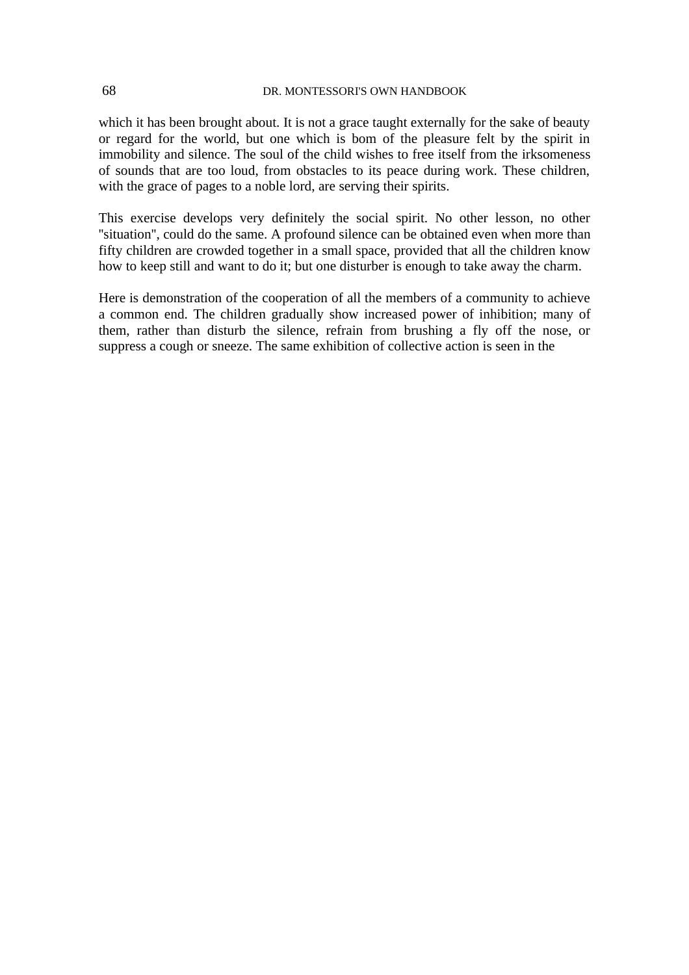which it has been brought about. It is not a grace taught externally for the sake of beauty or regard for the world, but one which is bom of the pleasure felt by the spirit in immobility and silence. The soul of the child wishes to free itself from the irksomeness of sounds that are too loud, from obstacles to its peace during work. These children, with the grace of pages to a noble lord, are serving their spirits.

This exercise develops very definitely the social spirit. No other lesson, no other "situation", could do the same. A profound silence can be obtained even when more than fifty children are crowded together in a small space, provided that all the children know how to keep still and want to do it; but one disturber is enough to take away the charm.

Here is demonstration of the cooperation of all the members of a community to achieve a common end. The children gradually show increased power of inhibition; many of them, rather than disturb the silence, refrain from brushing a fly off the nose, or suppress a cough or sneeze. The same exhibition of collective action is seen in the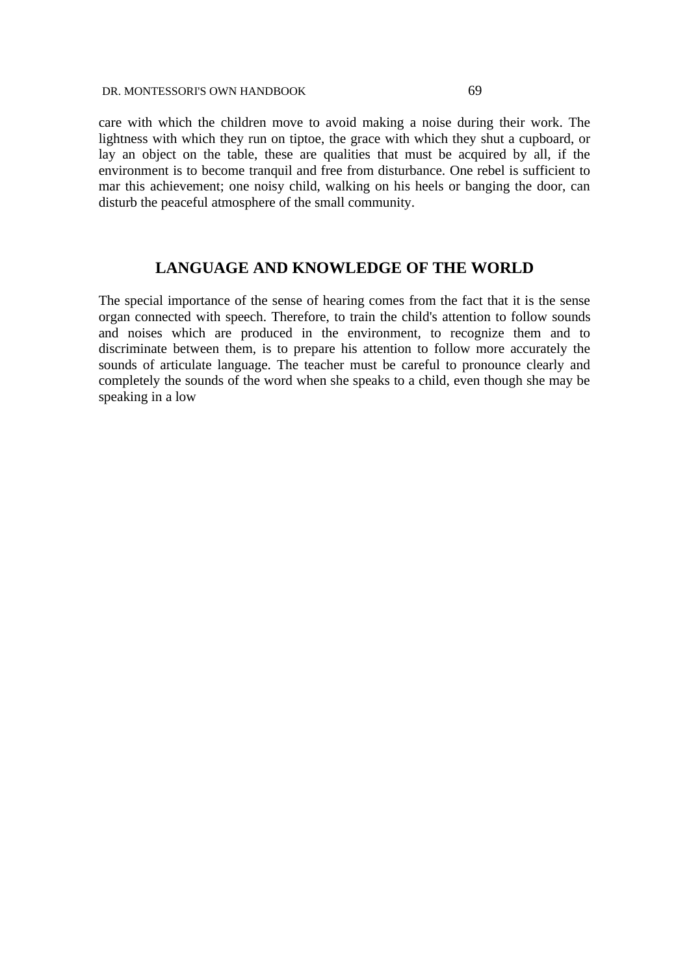care with which the children move to avoid making a noise during their work. The lightness with which they run on tiptoe, the grace with which they shut a cupboard, or lay an object on the table, these are qualities that must be acquired by all, if the environment is to become tranquil and free from disturbance. One rebel is sufficient to mar this achievement; one noisy child, walking on his heels or banging the door, can disturb the peaceful atmosphere of the small community.

# **LANGUAGE AND KNOWLEDGE OF THE WORLD**

The special importance of the sense of hearing comes from the fact that it is the sense organ connected with speech. Therefore, to train the child's attention to follow sounds and noises which are produced in the environment, to recognize them and to discriminate between them, is to prepare his attention to follow more accurately the sounds of articulate language. The teacher must be careful to pronounce clearly and completely the sounds of the word when she speaks to a child, even though she may be speaking in a low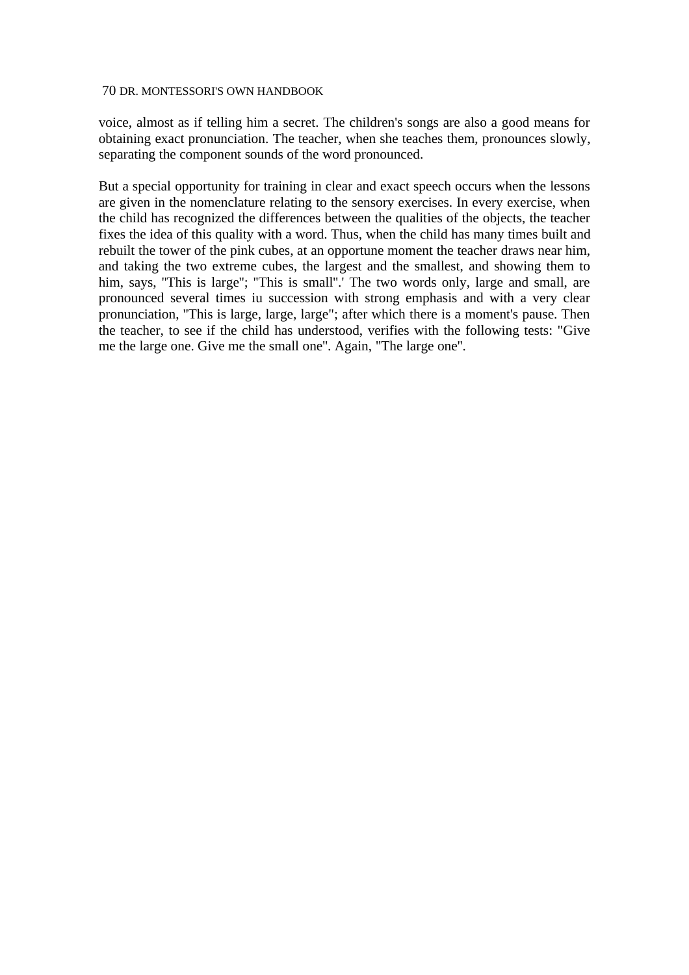voice, almost as if telling him a secret. The children's songs are also a good means for obtaining exact pronunciation. The teacher, when she teaches them, pronounces slowly, separating the component sounds of the word pronounced.

But a special opportunity for training in clear and exact speech occurs when the lessons are given in the nomenclature relating to the sensory exercises. In every exercise, when the child has recognized the differences between the qualities of the objects, the teacher fixes the idea of this quality with a word. Thus, when the child has many times built and rebuilt the tower of the pink cubes, at an opportune moment the teacher draws near him, and taking the two extreme cubes, the largest and the smallest, and showing them to him, says, "This is large"; "This is small". The two words only, large and small, are pronounced several times iu succession with strong emphasis and with a very clear pronunciation, ''This is large, large, large"; after which there is a moment's pause. Then the teacher, to see if the child has understood, verifies with the following tests: "Give me the large one. Give me the small one''. Again, "The large one''.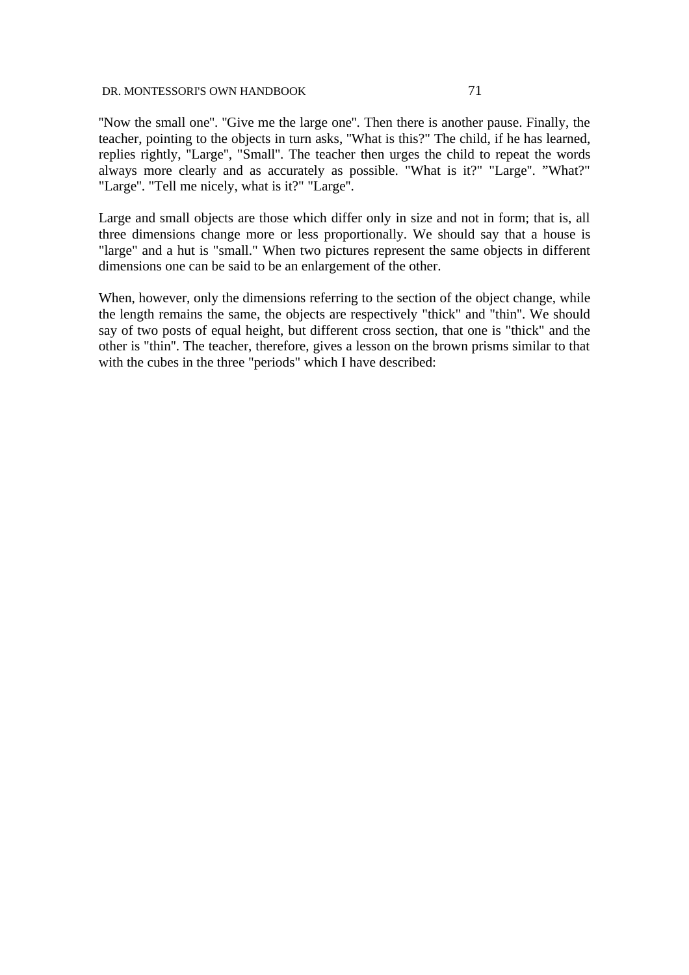''Now the small one''. ''Give me the large one''. Then there is another pause. Finally, the teacher, pointing to the objects in turn asks, ''What is this?" The child, if he has learned, replies rightly, ''Large'', "Small''. The teacher then urges the child to repeat the words always more clearly and as accurately as possible. "What is it?" "Large". "What?" "Large''. "Tell me nicely, what is it?" "Large''.

Large and small objects are those which differ only in size and not in form; that is, all three dimensions change more or less proportionally. We should say that a house is "large" and a hut is "small." When two pictures represent the same objects in different dimensions one can be said to be an enlargement of the other.

When, however, only the dimensions referring to the section of the object change, while the length remains the same, the objects are respectively "thick" and "thin''. We should say of two posts of equal height, but different cross section, that one is "thick" and the other is "thin''. The teacher, therefore, gives a lesson on the brown prisms similar to that with the cubes in the three "periods" which I have described: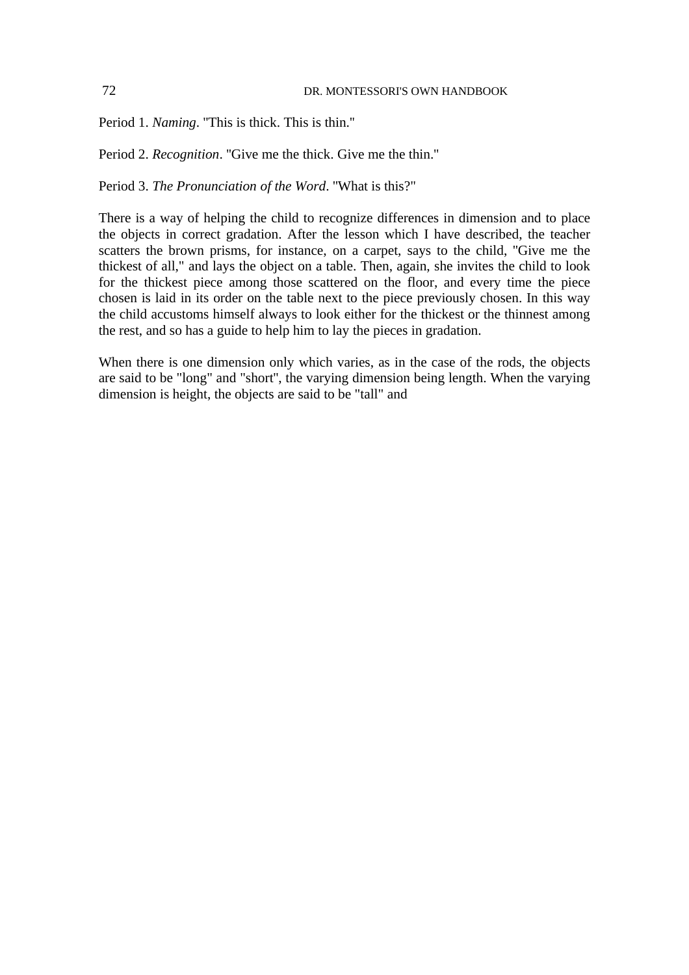Period 1. *Naming*. ''This is thick. This is thin.''

Period 2. *Recognition*. ''Give me the thick. Give me the thin.''

Period 3. *The Pronunciation of the Word*. ''What is this?"

There is a way of helping the child to recognize differences in dimension and to place the objects in correct gradation. After the lesson which I have described, the teacher scatters the brown prisms, for instance, on a carpet, says to the child, ''Give me the thickest of all," and lays the object on a table. Then, again, she invites the child to look for the thickest piece among those scattered on the floor, and every time the piece chosen is laid in its order on the table next to the piece previously chosen. In this way the child accustoms himself always to look either for the thickest or the thinnest among the rest, and so has a guide to help him to lay the pieces in gradation.

When there is one dimension only which varies, as in the case of the rods, the objects are said to be "long" and "short'', the varying dimension being length. When the varying dimension is height, the objects are said to be "tall" and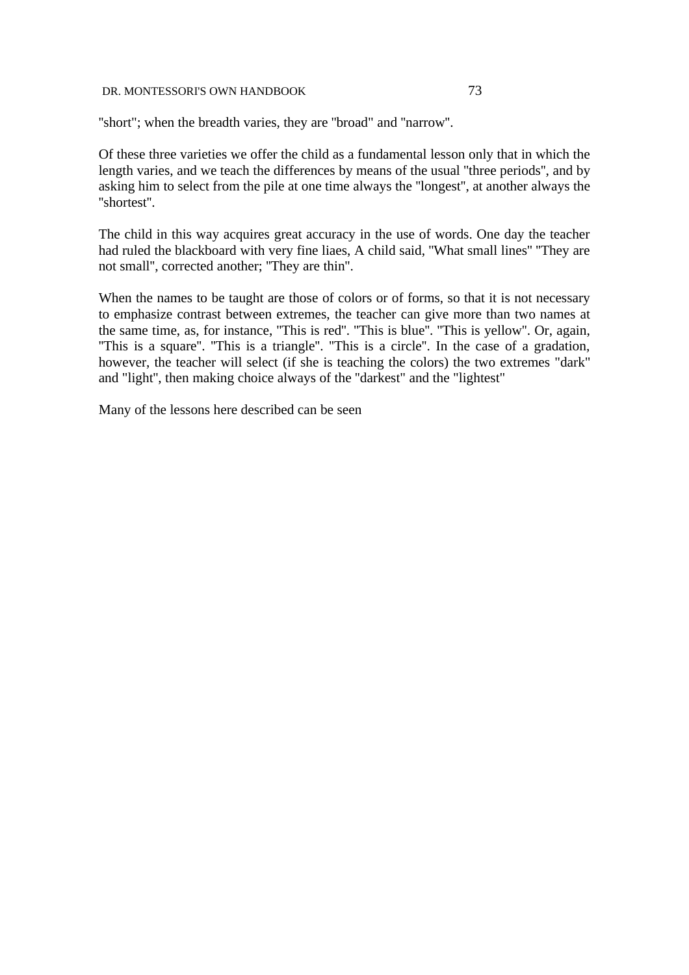''short"; when the breadth varies, they are ''broad" and ''narrow''.

Of these three varieties we offer the child as a fundamental lesson only that in which the length varies, and we teach the differences by means of the usual ''three periods'', and by asking him to select from the pile at one time always the ''longest'', at another always the ''shortest''.

The child in this way acquires great accuracy in the use of words. One day the teacher had ruled the blackboard with very fine liaes, A child said, ''What small lines'' ''They are not small'', corrected another; ''They are thin''.

When the names to be taught are those of colors or of forms, so that it is not necessary to emphasize contrast between extremes, the teacher can give more than two names at the same time, as, for instance, ''This is red''. ''This is blue''. ''This is yellow''. Or, again, "This is a square". "This is a triangle". "This is a circle". In the case of a gradation, however, the teacher will select (if she is teaching the colors) the two extremes "dark" and "light'', then making choice always of the ''darkest" and the "lightest"

Many of the lessons here described can be seen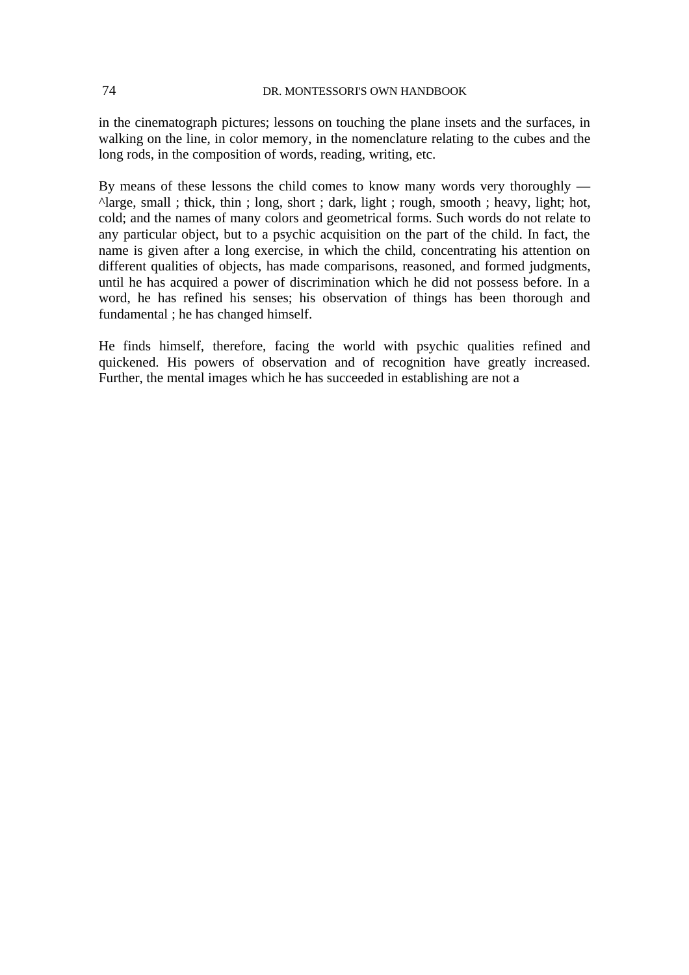in the cinematograph pictures; lessons on touching the plane insets and the surfaces, in walking on the line, in color memory, in the nomenclature relating to the cubes and the long rods, in the composition of words, reading, writing, etc.

By means of these lessons the child comes to know many words very thoroughly — ^large, small ; thick, thin ; long, short ; dark, light ; rough, smooth ; heavy, light; hot, cold; and the names of many colors and geometrical forms. Such words do not relate to any particular object, but to a psychic acquisition on the part of the child. In fact, the name is given after a long exercise, in which the child, concentrating his attention on different qualities of objects, has made comparisons, reasoned, and formed judgments, until he has acquired a power of discrimination which he did not possess before. In a word, he has refined his senses; his observation of things has been thorough and fundamental ; he has changed himself.

He finds himself, therefore, facing the world with psychic qualities refined and quickened. His powers of observation and of recognition have greatly increased. Further, the mental images which he has succeeded in establishing are not a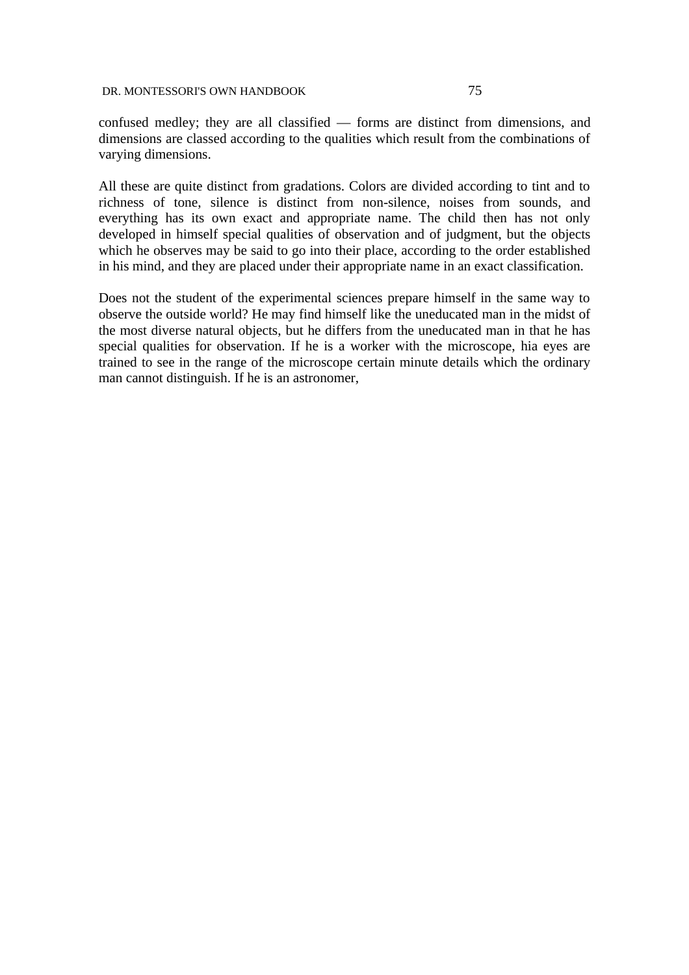confused medley; they are all classified — forms are distinct from dimensions, and dimensions are classed according to the qualities which result from the combinations of varying dimensions.

All these are quite distinct from gradations. Colors are divided according to tint and to richness of tone, silence is distinct from non-silence, noises from sounds, and everything has its own exact and appropriate name. The child then has not only developed in himself special qualities of observation and of judgment, but the objects which he observes may be said to go into their place, according to the order established in his mind, and they are placed under their appropriate name in an exact classification.

Does not the student of the experimental sciences prepare himself in the same way to observe the outside world? He may find himself like the uneducated man in the midst of the most diverse natural objects, but he differs from the uneducated man in that he has special qualities for observation. If he is a worker with the microscope, hia eyes are trained to see in the range of the microscope certain minute details which the ordinary man cannot distinguish. If he is an astronomer,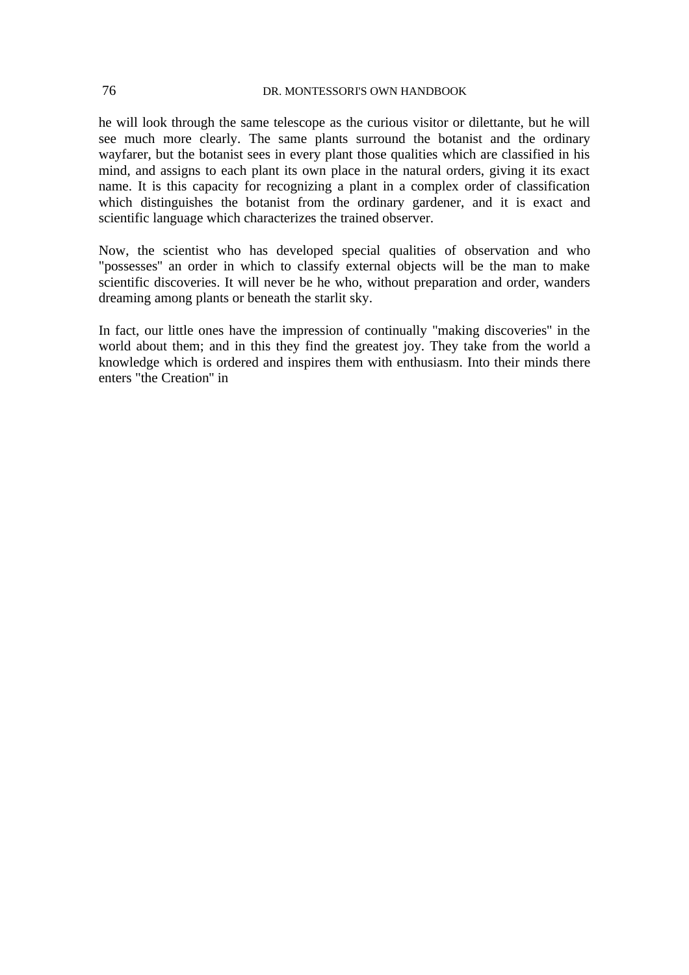he will look through the same telescope as the curious visitor or dilettante, but he will see much more clearly. The same plants surround the botanist and the ordinary wayfarer, but the botanist sees in every plant those qualities which are classified in his mind, and assigns to each plant its own place in the natural orders, giving it its exact name. It is this capacity for recognizing a plant in a complex order of classification which distinguishes the botanist from the ordinary gardener, and it is exact and scientific language which characterizes the trained observer.

Now, the scientist who has developed special qualities of observation and who "possesses'' an order in which to classify external objects will be the man to make scientific discoveries. It will never be he who, without preparation and order, wanders dreaming among plants or beneath the starlit sky.

In fact, our little ones have the impression of continually "making discoveries'' in the world about them; and in this they find the greatest joy. They take from the world a knowledge which is ordered and inspires them with enthusiasm. Into their minds there enters "the Creation'' in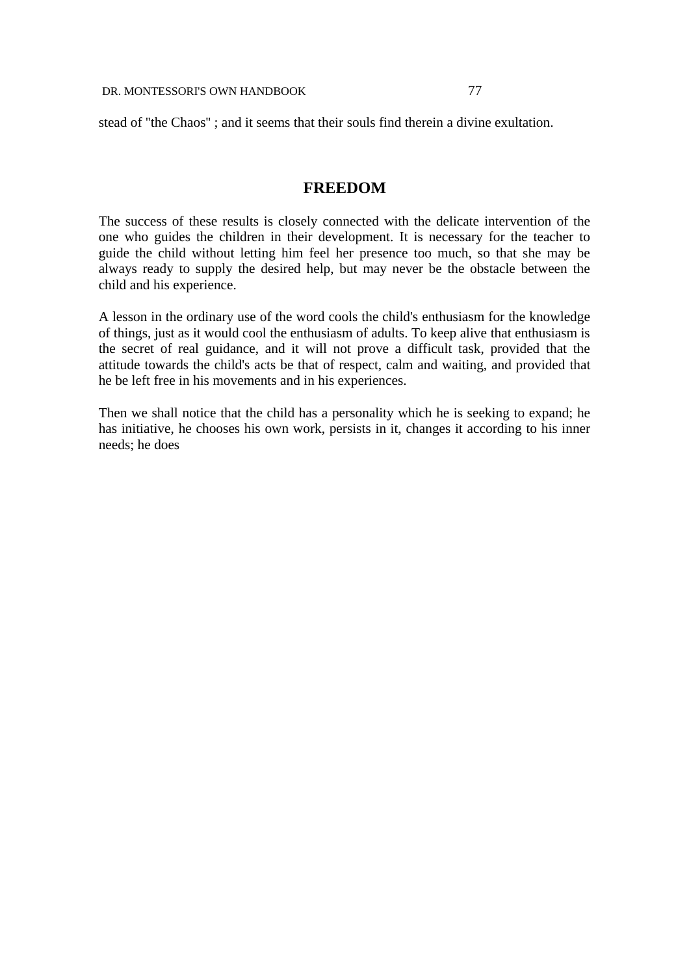stead of ''the Chaos'' ; and it seems that their souls find therein a divine exultation.

# **FREEDOM**

The success of these results is closely connected with the delicate intervention of the one who guides the children in their development. It is necessary for the teacher to guide the child without letting him feel her presence too much, so that she may be always ready to supply the desired help, but may never be the obstacle between the child and his experience.

A lesson in the ordinary use of the word cools the child's enthusiasm for the knowledge of things, just as it would cool the enthusiasm of adults. To keep alive that enthusiasm is the secret of real guidance, and it will not prove a difficult task, provided that the attitude towards the child's acts be that of respect, calm and waiting, and provided that he be left free in his movements and in his experiences.

Then we shall notice that the child has a personality which he is seeking to expand; he has initiative, he chooses his own work, persists in it, changes it according to his inner needs; he does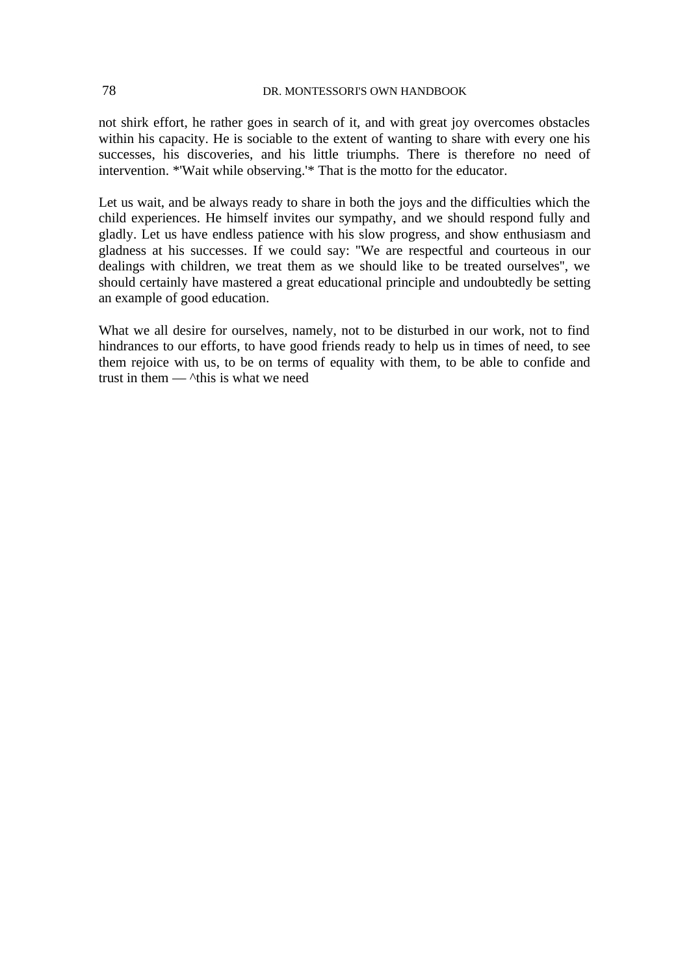not shirk effort, he rather goes in search of it, and with great joy overcomes obstacles within his capacity. He is sociable to the extent of wanting to share with every one his successes, his discoveries, and his little triumphs. There is therefore no need of intervention. \*'Wait while observing.'\* That is the motto for the educator.

Let us wait, and be always ready to share in both the joys and the difficulties which the child experiences. He himself invites our sympathy, and we should respond fully and gladly. Let us have endless patience with his slow progress, and show enthusiasm and gladness at his successes. If we could say: ''We are respectful and courteous in our dealings with children, we treat them as we should like to be treated ourselves'', we should certainly have mastered a great educational principle and undoubtedly be setting an example of good education.

What we all desire for ourselves, namely, not to be disturbed in our work, not to find hindrances to our efforts, to have good friends ready to help us in times of need, to see them rejoice with us, to be on terms of equality with them, to be able to confide and trust in them  $\frac{1}{10}$   $\lambda$  this is what we need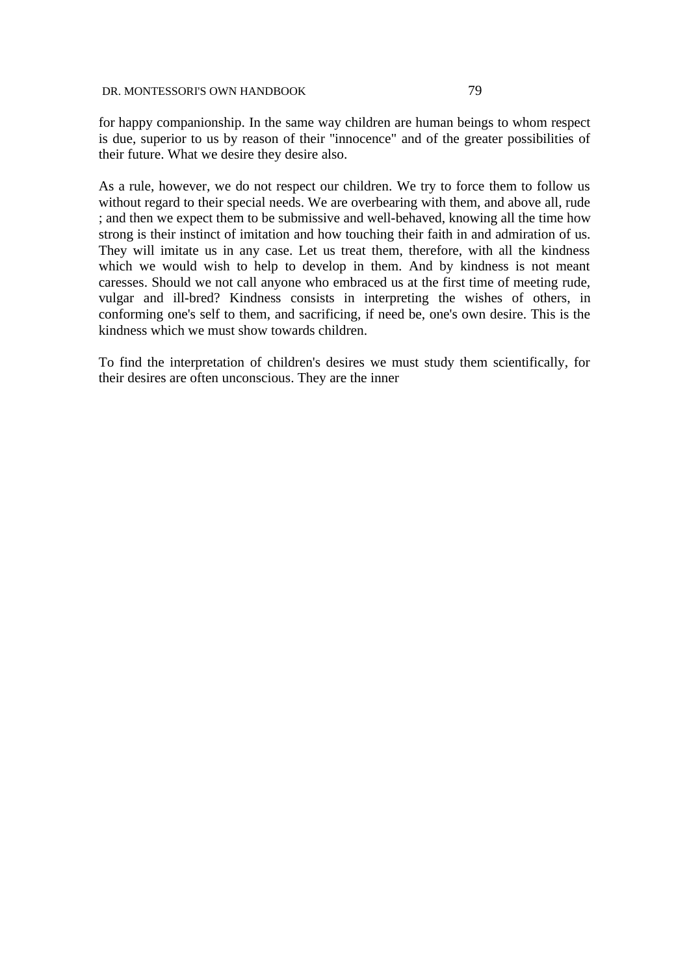for happy companionship. In the same way children are human beings to whom respect is due, superior to us by reason of their ''innocence" and of the greater possibilities of their future. What we desire they desire also.

As a rule, however, we do not respect our children. We try to force them to follow us without regard to their special needs. We are overbearing with them, and above all, rude ; and then we expect them to be submissive and well-behaved, knowing all the time how strong is their instinct of imitation and how touching their faith in and admiration of us. They will imitate us in any case. Let us treat them, therefore, with all the kindness which we would wish to help to develop in them. And by kindness is not meant caresses. Should we not call anyone who embraced us at the first time of meeting rude, vulgar and ill-bred? Kindness consists in interpreting the wishes of others, in conforming one's self to them, and sacrificing, if need be, one's own desire. This is the kindness which we must show towards children.

To find the interpretation of children's desires we must study them scientifically, for their desires are often unconscious. They are the inner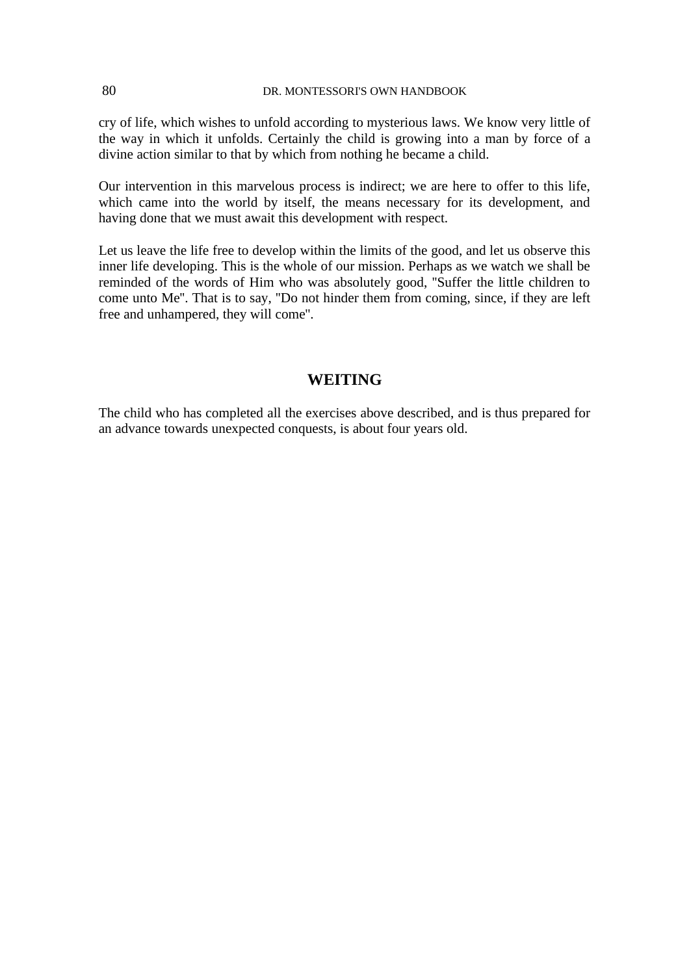cry of life, which wishes to unfold according to mysterious laws. We know very little of the way in which it unfolds. Certainly the child is growing into a man by force of a divine action similar to that by which from nothing he became a child.

Our intervention in this marvelous process is indirect; we are here to offer to this life, which came into the world by itself, the means necessary for its development, and having done that we must await this development with respect.

Let us leave the life free to develop within the limits of the good, and let us observe this inner life developing. This is the whole of our mission. Perhaps as we watch we shall be reminded of the words of Him who was absolutely good, ''Suffer the little children to come unto Me''. That is to say, ''Do not hinder them from coming, since, if they are left free and unhampered, they will come''.

# **WEITING**

The child who has completed all the exercises above described, and is thus prepared for an advance towards unexpected conquests, is about four years old.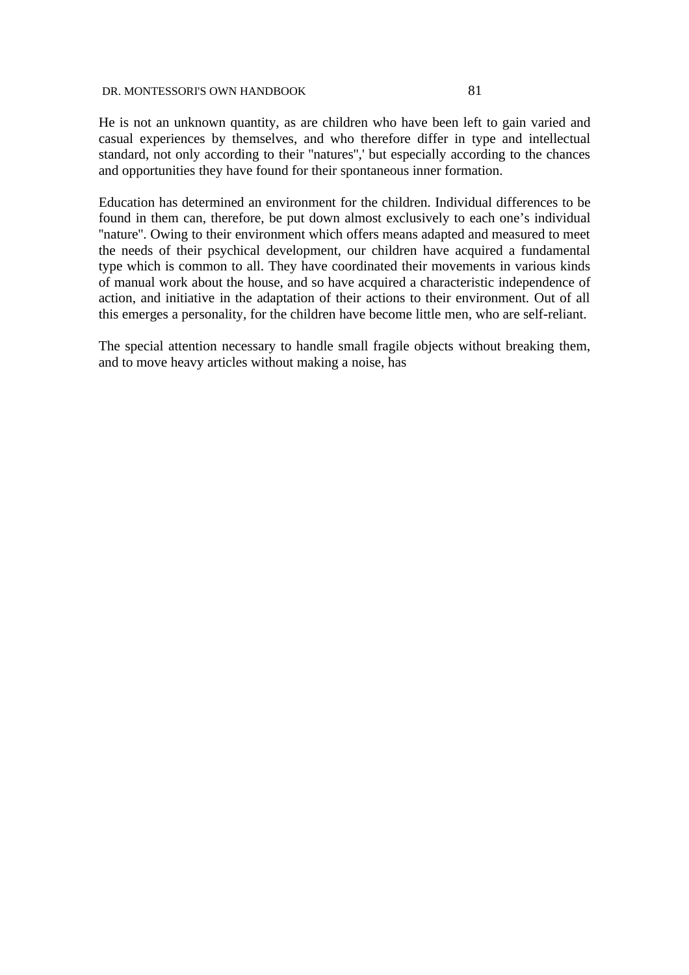He is not an unknown quantity, as are children who have been left to gain varied and casual experiences by themselves, and who therefore differ in type and intellectual standard, not only according to their ''natures'',' but especially according to the chances and opportunities they have found for their spontaneous inner formation.

Education has determined an environment for the children. Individual differences to be found in them can, therefore, be put down almost exclusively to each one's individual "nature". Owing to their environment which offers means adapted and measured to meet the needs of their psychical development, our children have acquired a fundamental type which is common to all. They have coordinated their movements in various kinds of manual work about the house, and so have acquired a characteristic independence of action, and initiative in the adaptation of their actions to their environment. Out of all this emerges a personality, for the children have become little men, who are self-reliant.

The special attention necessary to handle small fragile objects without breaking them, and to move heavy articles without making a noise, has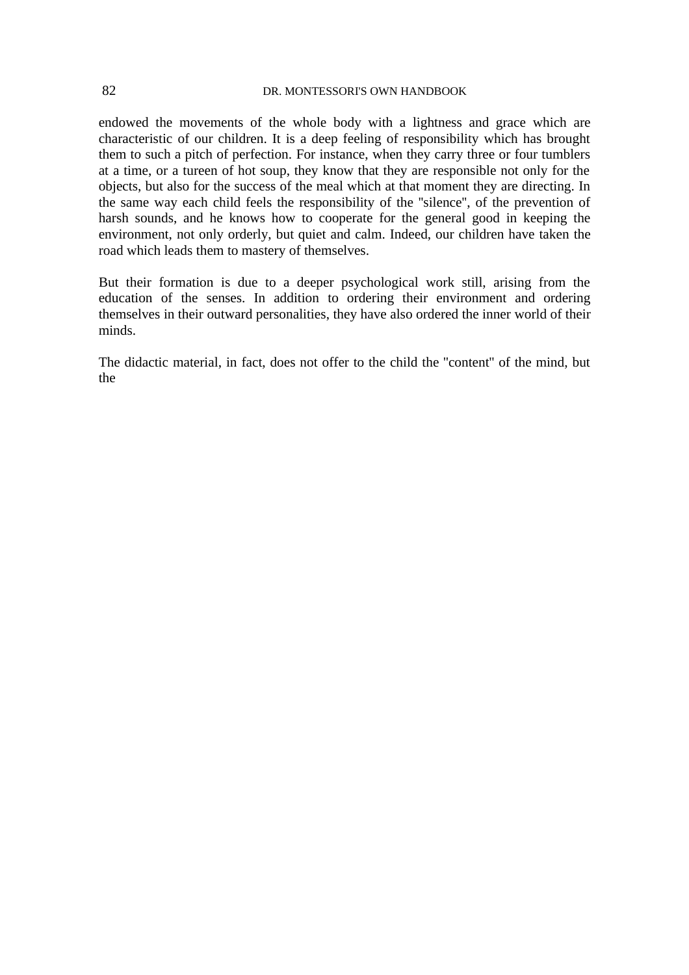endowed the movements of the whole body with a lightness and grace which are characteristic of our children. It is a deep feeling of responsibility which has brought them to such a pitch of perfection. For instance, when they carry three or four tumblers at a time, or a tureen of hot soup, they know that they are responsible not only for the objects, but also for the success of the meal which at that moment they are directing. In the same way each child feels the responsibility of the ''silence'', of the prevention of harsh sounds, and he knows how to cooperate for the general good in keeping the environment, not only orderly, but quiet and calm. Indeed, our children have taken the road which leads them to mastery of themselves.

But their formation is due to a deeper psychological work still, arising from the education of the senses. In addition to ordering their environment and ordering themselves in their outward personalities, they have also ordered the inner world of their minds.

The didactic material, in fact, does not offer to the child the ''content'' of the mind, but the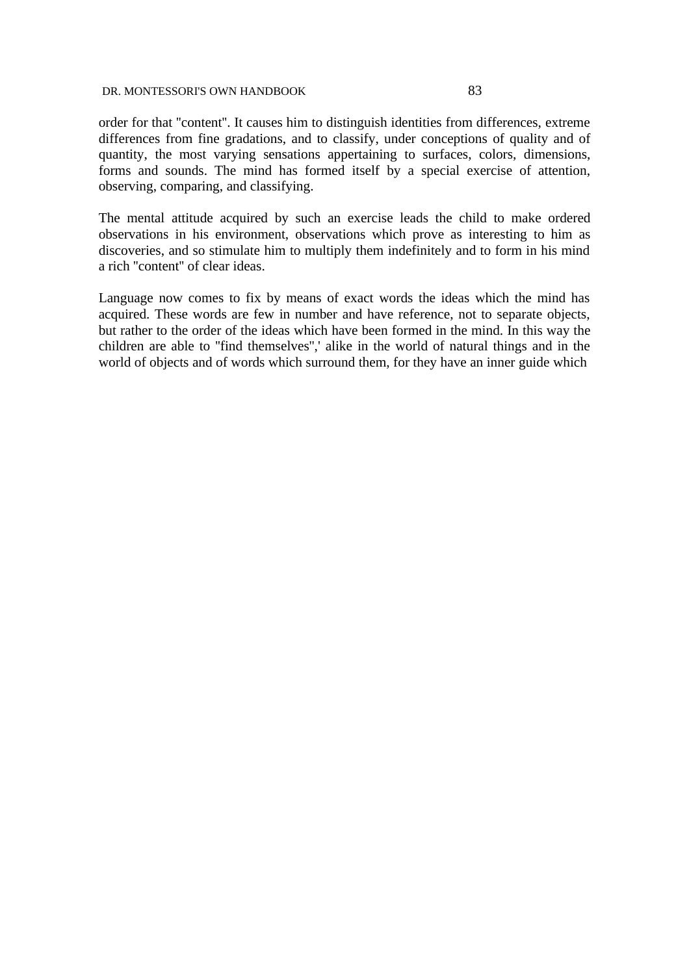order for that ''content''. It causes him to distinguish identities from differences, extreme differences from fine gradations, and to classify, under conceptions of quality and of quantity, the most varying sensations appertaining to surfaces, colors, dimensions, forms and sounds. The mind has formed itself by a special exercise of attention, observing, comparing, and classifying.

The mental attitude acquired by such an exercise leads the child to make ordered observations in his environment, observations which prove as interesting to him as discoveries, and so stimulate him to multiply them indefinitely and to form in his mind a rich ''content'' of clear ideas.

Language now comes to fix by means of exact words the ideas which the mind has acquired. These words are few in number and have reference, not to separate objects, but rather to the order of the ideas which have been formed in the mind. In this way the children are able to ''find themselves'',' alike in the world of natural things and in the world of objects and of words which surround them, for they have an inner guide which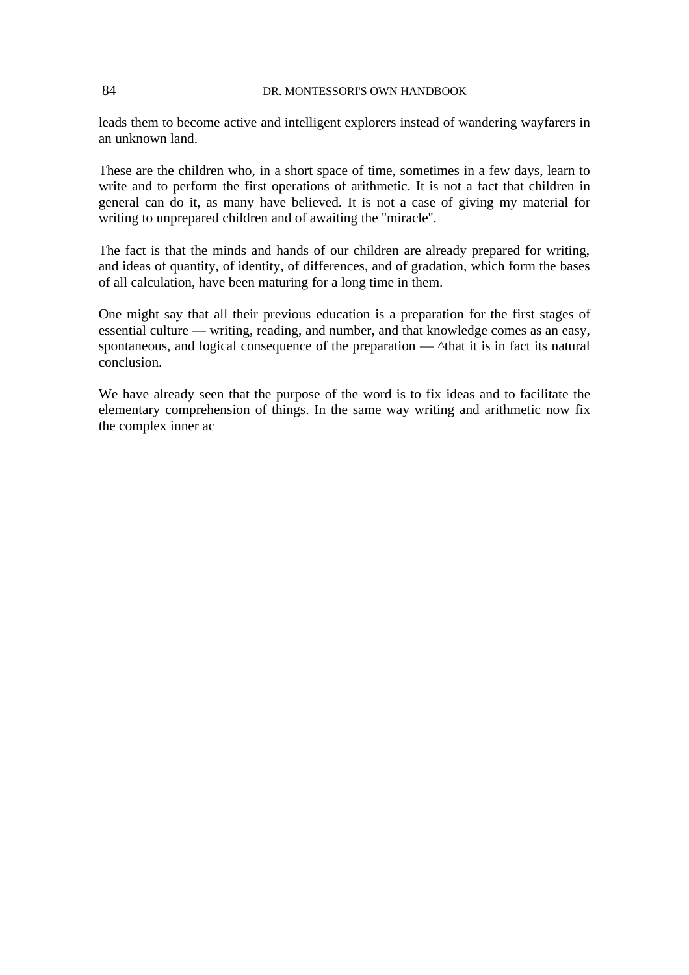leads them to become active and intelligent explorers instead of wandering wayfarers in an unknown land.

These are the children who, in a short space of time, sometimes in a few days, learn to write and to perform the first operations of arithmetic. It is not a fact that children in general can do it, as many have believed. It is not a case of giving my material for writing to unprepared children and of awaiting the ''miracle''.

The fact is that the minds and hands of our children are already prepared for writing, and ideas of quantity, of identity, of differences, and of gradation, which form the bases of all calculation, have been maturing for a long time in them.

One might say that all their previous education is a preparation for the first stages of essential culture — writing, reading, and number, and that knowledge comes as an easy, spontaneous, and logical consequence of the preparation  $\land$ that it is in fact its natural conclusion.

We have already seen that the purpose of the word is to fix ideas and to facilitate the elementary comprehension of things. In the same way writing and arithmetic now fix the complex inner ac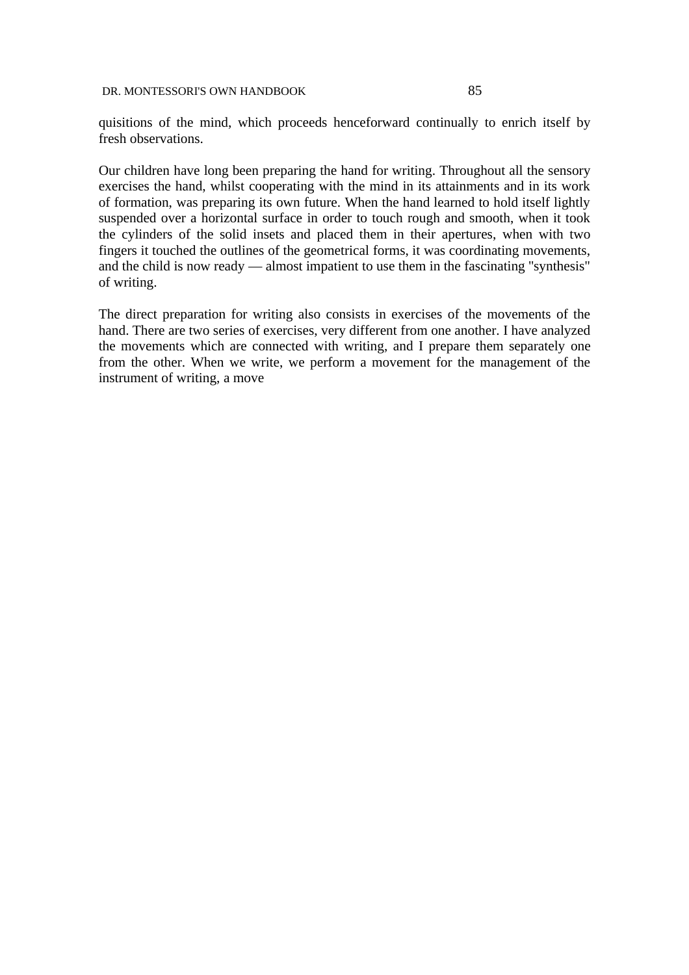quisitions of the mind, which proceeds henceforward continually to enrich itself by fresh observations.

Our children have long been preparing the hand for writing. Throughout all the sensory exercises the hand, whilst cooperating with the mind in its attainments and in its work of formation, was preparing its own future. When the hand learned to hold itself lightly suspended over a horizontal surface in order to touch rough and smooth, when it took the cylinders of the solid insets and placed them in their apertures, when with two fingers it touched the outlines of the geometrical forms, it was coordinating movements, and the child is now ready — almost impatient to use them in the fascinating "synthesis" of writing.

The direct preparation for writing also consists in exercises of the movements of the hand. There are two series of exercises, very different from one another. I have analyzed the movements which are connected with writing, and I prepare them separately one from the other. When we write, we perform a movement for the management of the instrument of writing, a move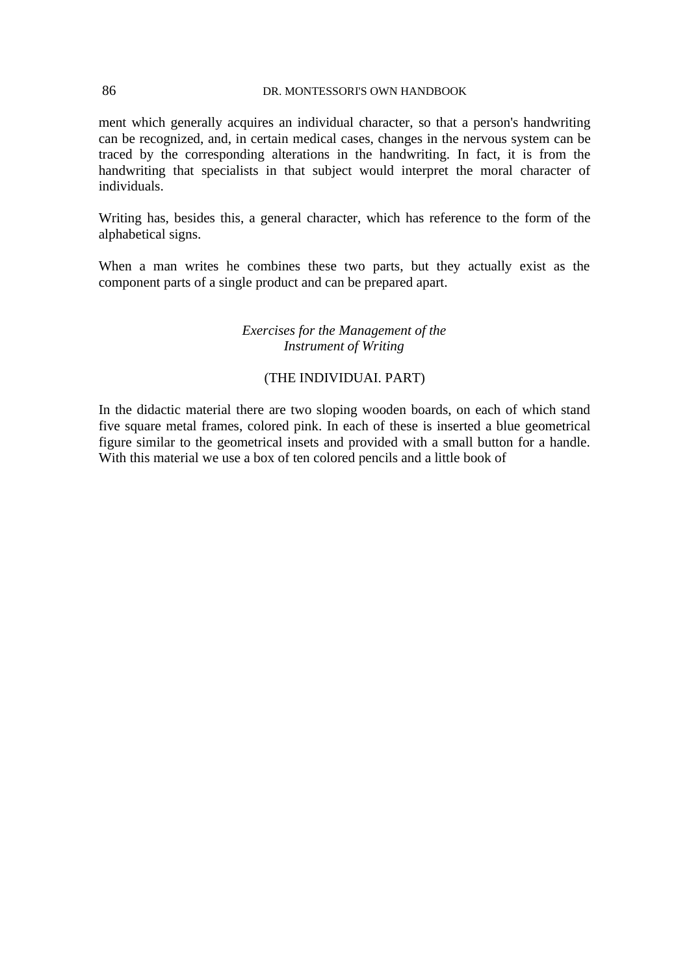ment which generally acquires an individual character, so that a person's handwriting can be recognized, and, in certain medical cases, changes in the nervous system can be traced by the corresponding alterations in the handwriting. In fact, it is from the handwriting that specialists in that subject would interpret the moral character of individuals.

Writing has, besides this, a general character, which has reference to the form of the alphabetical signs.

When a man writes he combines these two parts, but they actually exist as the component parts of a single product and can be prepared apart.

# *Exercises for the Management of the Instrument of Writing*

# (THE INDIVIDUAI. PART)

In the didactic material there are two sloping wooden boards, on each of which stand five square metal frames, colored pink. In each of these is inserted a blue geometrical figure similar to the geometrical insets and provided with a small button for a handle. With this material we use a box of ten colored pencils and a little book of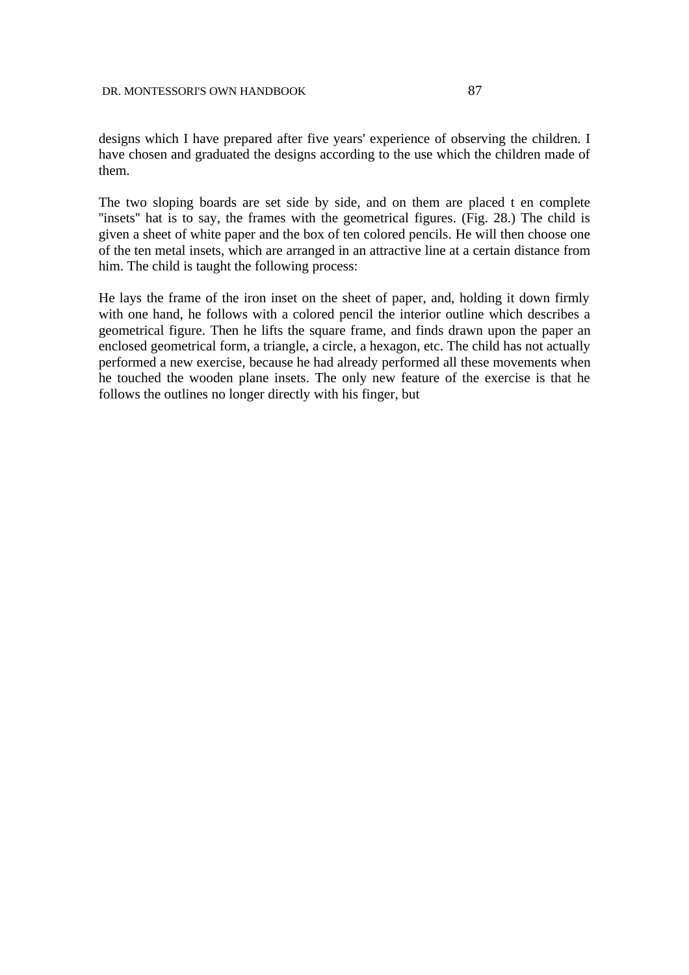designs which I have prepared after five years' experience of observing the children. I have chosen and graduated the designs according to the use which the children made of them.

The two sloping boards are set side by side, and on them are placed t en complete "insets" hat is to say, the frames with the geometrical figures. (Fig. 28.) The child is given a sheet of white paper and the box of ten colored pencils. He will then choose one of the ten metal insets, which are arranged in an attractive line at a certain distance from him. The child is taught the following process:

He lays the frame of the iron inset on the sheet of paper, and, holding it down firmly with one hand, he follows with a colored pencil the interior outline which describes a geometrical figure. Then he lifts the square frame, and finds drawn upon the paper an enclosed geometrical form, a triangle, a circle, a hexagon, etc. The child has not actually performed a new exercise, because he had already performed all these movements when he touched the wooden plane insets. The only new feature of the exercise is that he follows the outlines no longer directly with his finger, but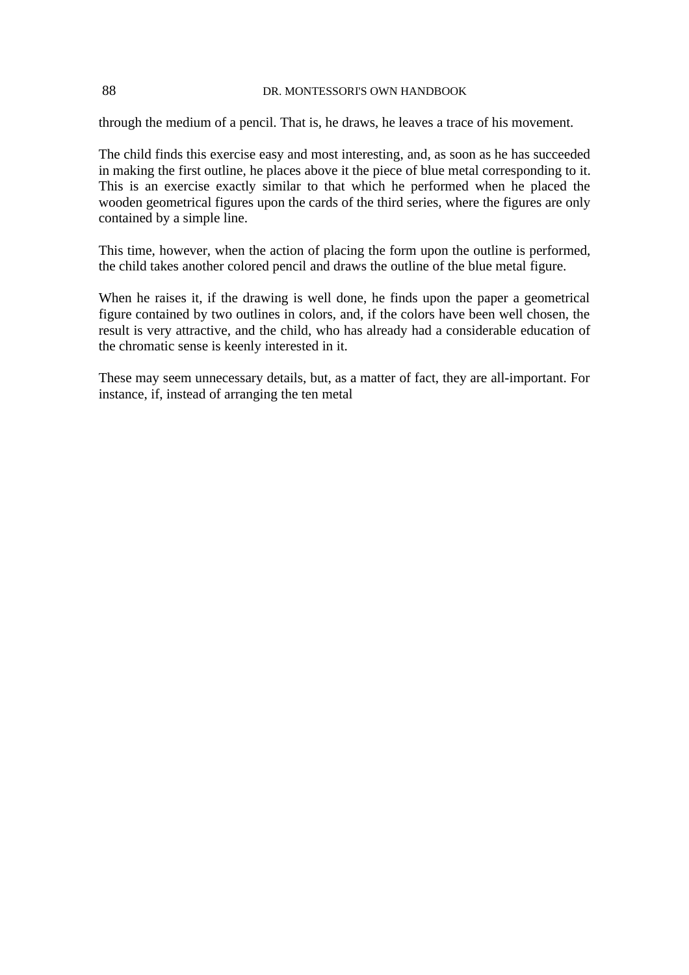through the medium of a pencil. That is, he draws, he leaves a trace of his movement.

The child finds this exercise easy and most interesting, and, as soon as he has succeeded in making the first outline, he places above it the piece of blue metal corresponding to it. This is an exercise exactly similar to that which he performed when he placed the wooden geometrical figures upon the cards of the third series, where the figures are only contained by a simple line.

This time, however, when the action of placing the form upon the outline is performed, the child takes another colored pencil and draws the outline of the blue metal figure.

When he raises it, if the drawing is well done, he finds upon the paper a geometrical figure contained by two outlines in colors, and, if the colors have been well chosen, the result is very attractive, and the child, who has already had a considerable education of the chromatic sense is keenly interested in it.

These may seem unnecessary details, but, as a matter of fact, they are all-important. For instance, if, instead of arranging the ten metal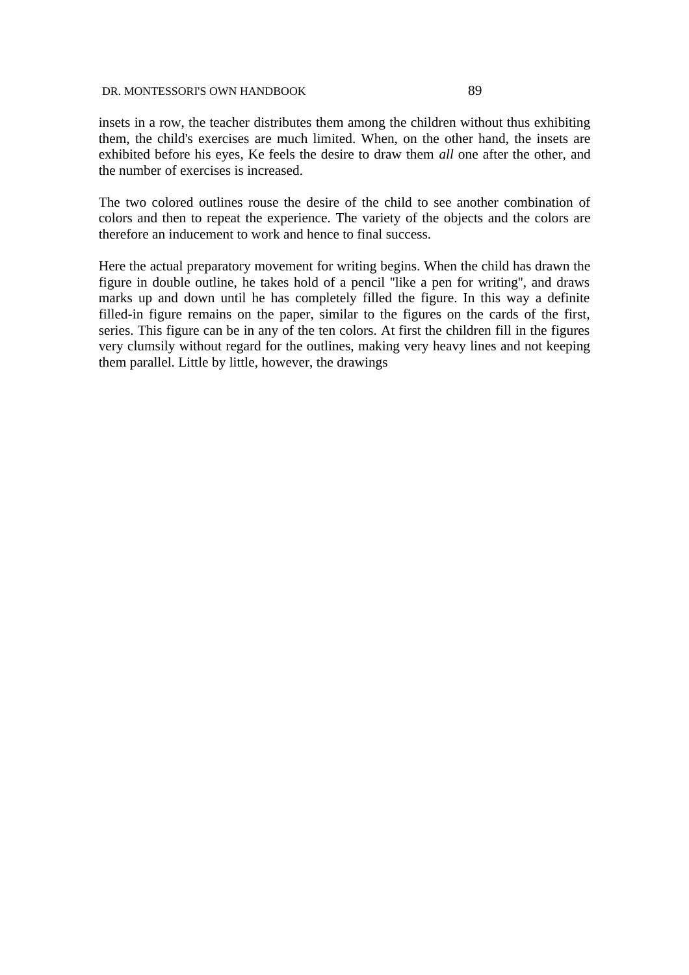insets in a row, the teacher distributes them among the children without thus exhibiting them, the child's exercises are much limited. When, on the other hand, the insets are exhibited before his eyes, Ke feels the desire to draw them *all* one after the other, and the number of exercises is increased.

The two colored outlines rouse the desire of the child to see another combination of colors and then to repeat the experience. The variety of the objects and the colors are therefore an inducement to work and hence to final success.

Here the actual preparatory movement for writing begins. When the child has drawn the figure in double outline, he takes hold of a pencil ''like a pen for writing'', and draws marks up and down until he has completely filled the figure. In this way a definite filled-in figure remains on the paper, similar to the figures on the cards of the first, series. This figure can be in any of the ten colors. At first the children fill in the figures very clumsily without regard for the outlines, making very heavy lines and not keeping them parallel. Little by little, however, the drawings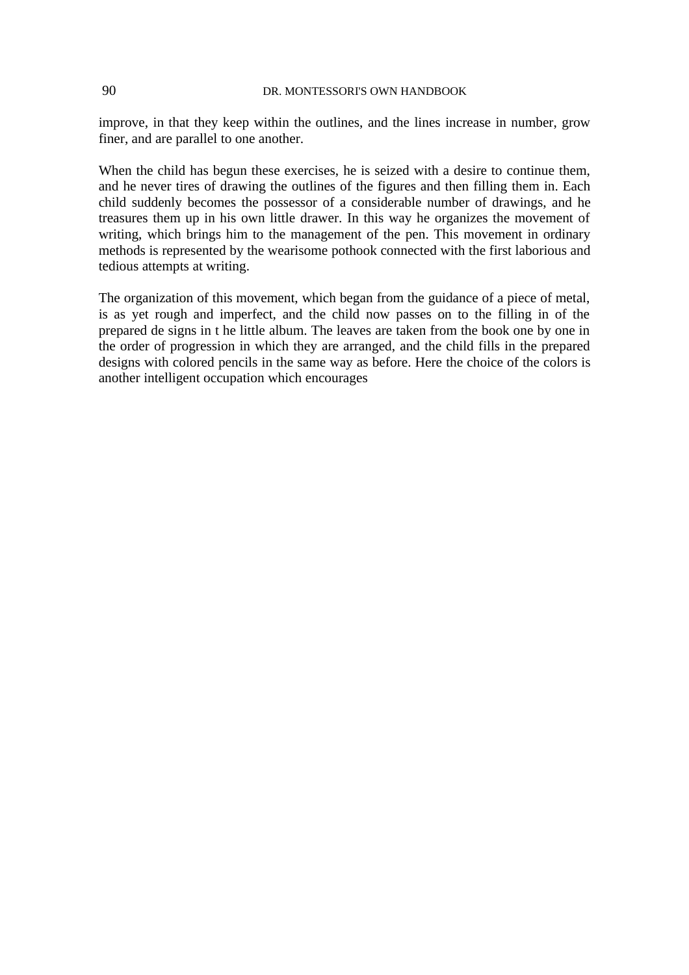improve, in that they keep within the outlines, and the lines increase in number, grow finer, and are parallel to one another.

When the child has begun these exercises, he is seized with a desire to continue them, and he never tires of drawing the outlines of the figures and then filling them in. Each child suddenly becomes the possessor of a considerable number of drawings, and he treasures them up in his own little drawer. In this way he organizes the movement of writing, which brings him to the management of the pen. This movement in ordinary methods is represented by the wearisome pothook connected with the first laborious and tedious attempts at writing.

The organization of this movement, which began from the guidance of a piece of metal, is as yet rough and imperfect, and the child now passes on to the filling in of the prepared de signs in t he little album. The leaves are taken from the book one by one in the order of progression in which they are arranged, and the child fills in the prepared designs with colored pencils in the same way as before. Here the choice of the colors is another intelligent occupation which encourages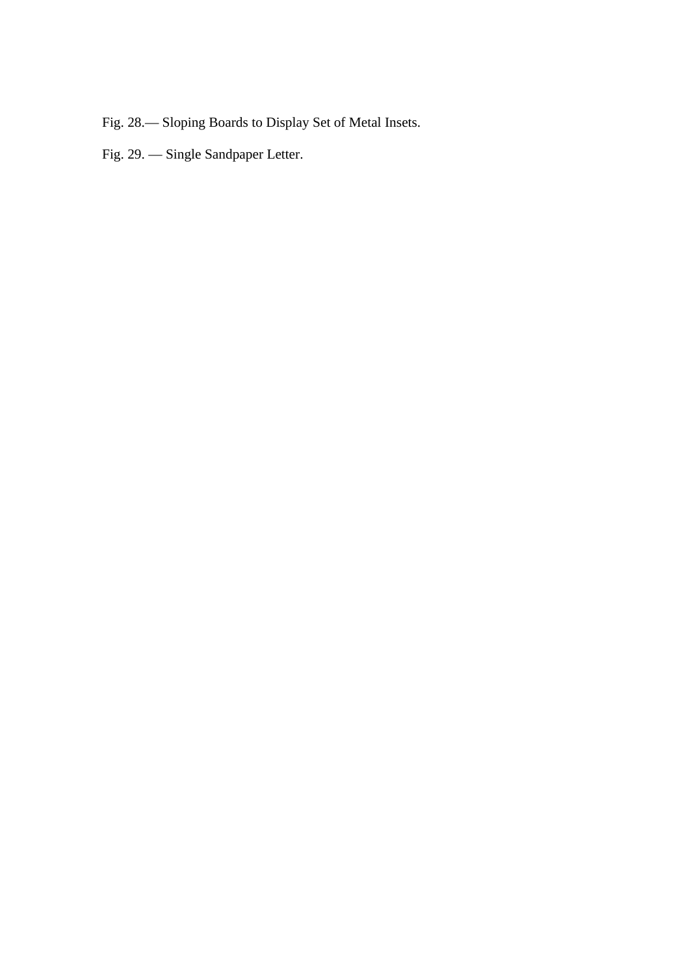- Fig. 28.— Sloping Boards to Display Set of Metal Insets.
- Fig. 29. Single Sandpaper Letter.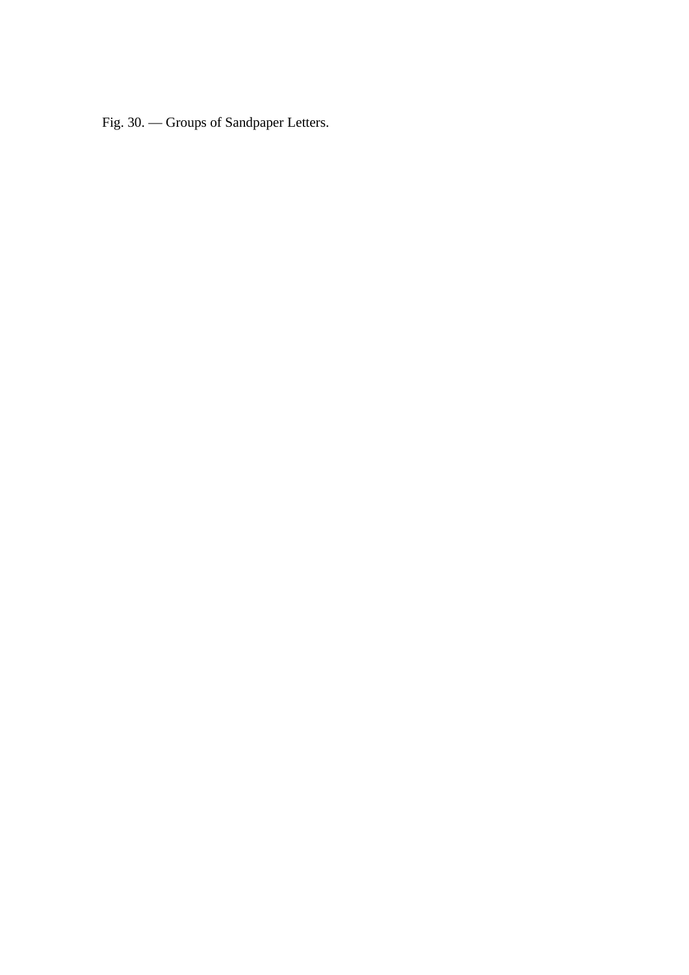Fig. 30. — Groups of Sandpaper Letters.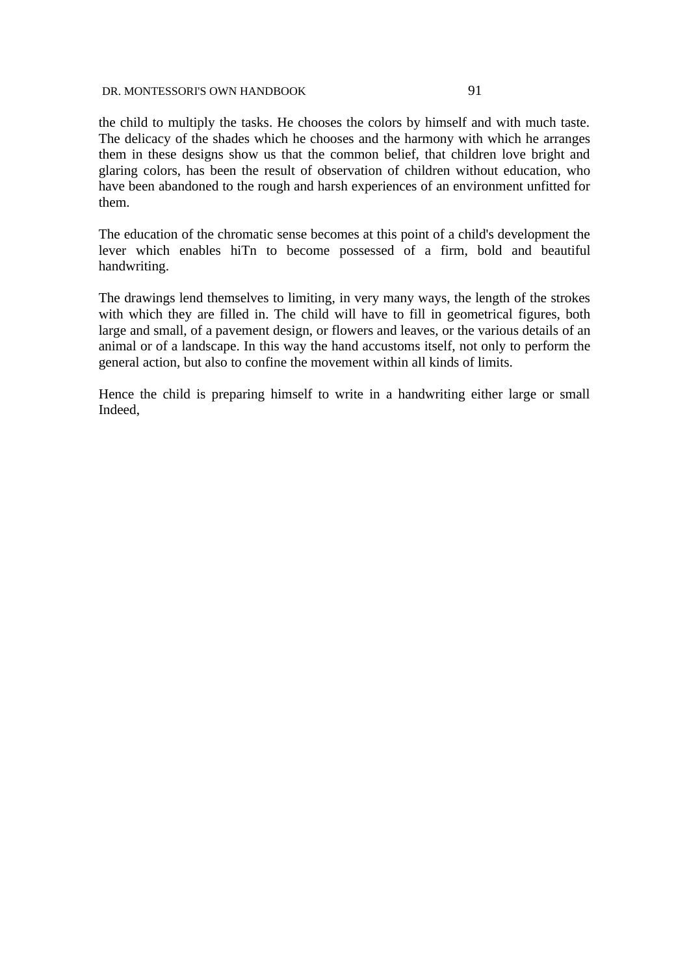the child to multiply the tasks. He chooses the colors by himself and with much taste. The delicacy of the shades which he chooses and the harmony with which he arranges them in these designs show us that the common belief, that children love bright and glaring colors, has been the result of observation of children without education, who have been abandoned to the rough and harsh experiences of an environment unfitted for them.

The education of the chromatic sense becomes at this point of a child's development the lever which enables hiTn to become possessed of a firm, bold and beautiful handwriting.

The drawings lend themselves to limiting, in very many ways, the length of the strokes with which they are filled in. The child will have to fill in geometrical figures, both large and small, of a pavement design, or flowers and leaves, or the various details of an animal or of a landscape. In this way the hand accustoms itself, not only to perform the general action, but also to confine the movement within all kinds of limits.

Hence the child is preparing himself to write in a handwriting either large or small Indeed,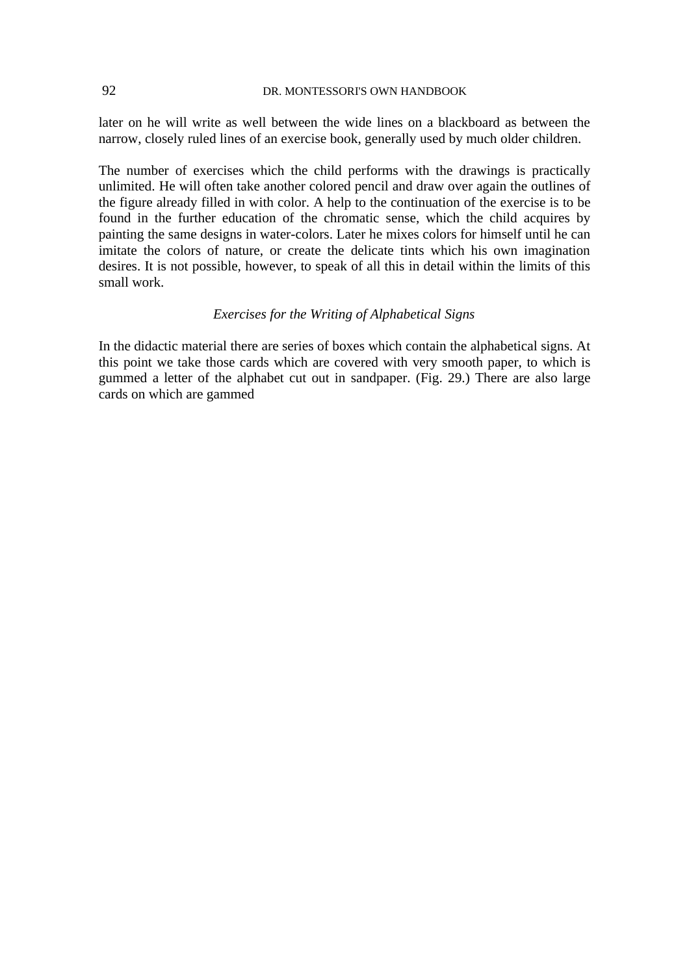later on he will write as well between the wide lines on a blackboard as between the narrow, closely ruled lines of an exercise book, generally used by much older children.

The number of exercises which the child performs with the drawings is practically unlimited. He will often take another colored pencil and draw over again the outlines of the figure already filled in with color. A help to the continuation of the exercise is to be found in the further education of the chromatic sense, which the child acquires by painting the same designs in water-colors. Later he mixes colors for himself until he can imitate the colors of nature, or create the delicate tints which his own imagination desires. It is not possible, however, to speak of all this in detail within the limits of this small work.

# *Exercises for the Writing of Alphabetical Signs*

In the didactic material there are series of boxes which contain the alphabetical signs. At this point we take those cards which are covered with very smooth paper, to which is gummed a letter of the alphabet cut out in sandpaper. (Fig. 29.) There are also large cards on which are gammed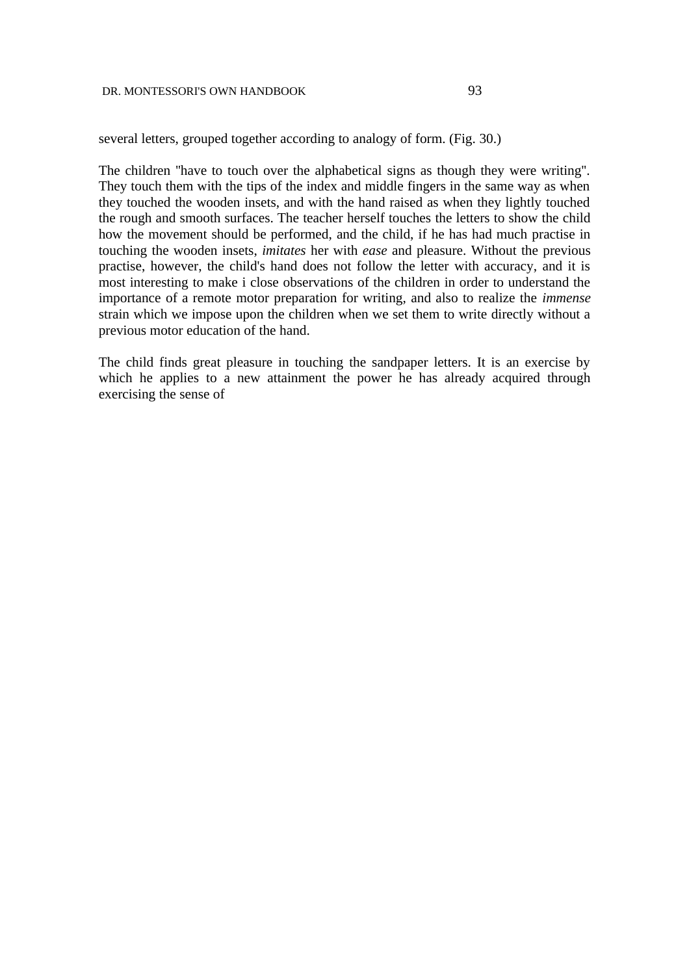several letters, grouped together according to analogy of form. (Fig. 30.)

The children ''have to touch over the alphabetical signs as though they were writing''. They touch them with the tips of the index and middle fingers in the same way as when they touched the wooden insets, and with the hand raised as when they lightly touched the rough and smooth surfaces. The teacher herself touches the letters to show the child how the movement should be performed, and the child, if he has had much practise in touching the wooden insets, *imitates* her with *ease* and pleasure. Without the previous practise, however, the child's hand does not follow the letter with accuracy, and it is most interesting to make i close observations of the children in order to understand the importance of a remote motor preparation for writing, and also to realize the *immense* strain which we impose upon the children when we set them to write directly without a previous motor education of the hand.

The child finds great pleasure in touching the sandpaper letters. It is an exercise by which he applies to a new attainment the power he has already acquired through exercising the sense of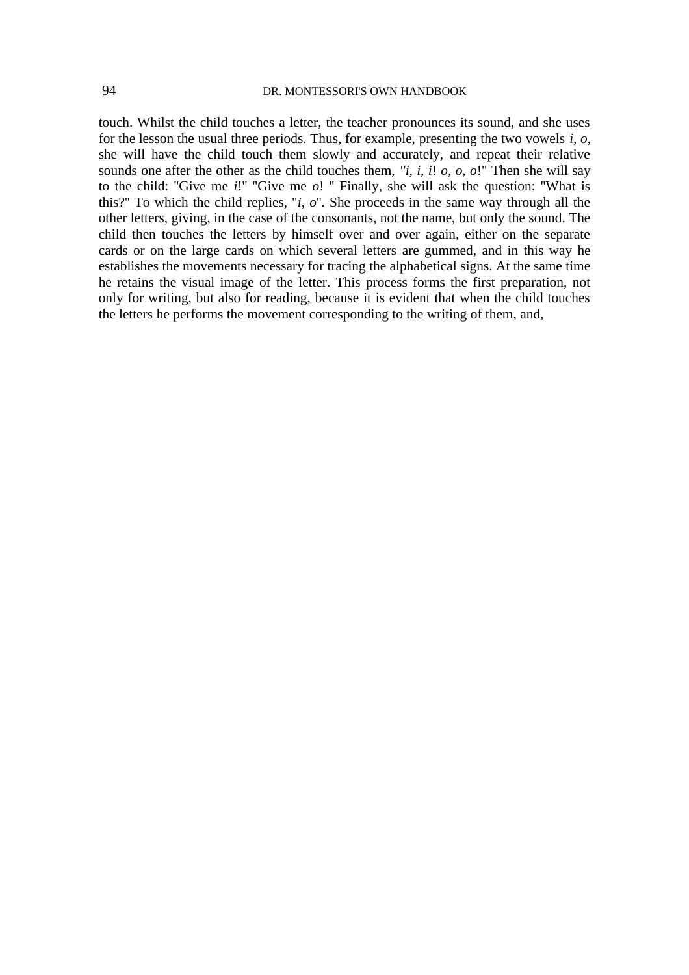touch. Whilst the child touches a letter, the teacher pronounces its sound, and she uses for the lesson the usual three periods. Thus, for example, presenting the two vowels *i*, *o*, she will have the child touch them slowly and accurately, and repeat their relative sounds one after the other as the child touches them, *''i, i, i*! *o, o, o*!" Then she will say to the child: ''Give me *i*!'' ''Give me *o*! '' Finally, she will ask the question: ''What is this?'' To which the child replies, ''*i*, *o*''. She proceeds in the same way through all the other letters, giving, in the case of the consonants, not the name, but only the sound. The child then touches the letters by himself over and over again, either on the separate cards or on the large cards on which several letters are gummed, and in this way he establishes the movements necessary for tracing the alphabetical signs. At the same time he retains the visual image of the letter. This process forms the first preparation, not only for writing, but also for reading, because it is evident that when the child touches the letters he performs the movement corresponding to the writing of them, and,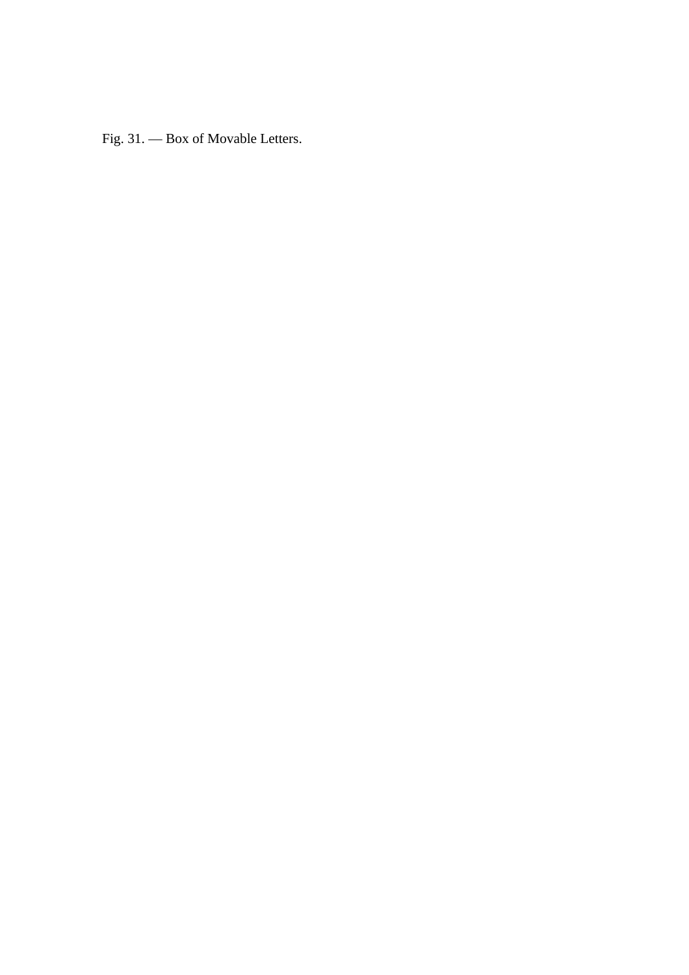Fig. 31. — Box of Movable Letters.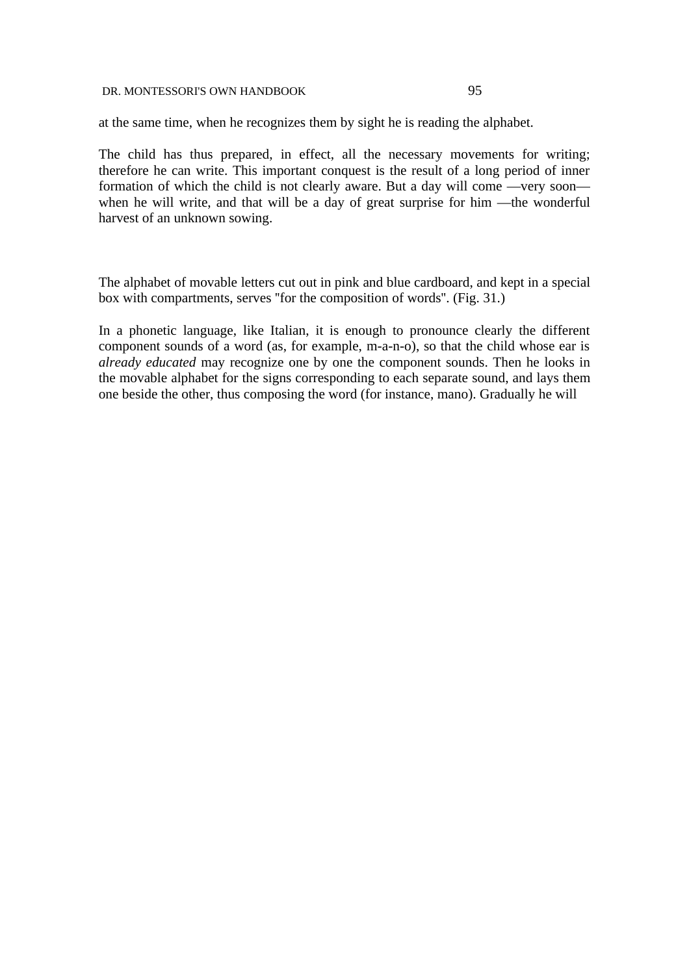at the same time, when he recognizes them by sight he is reading the alphabet.

The child has thus prepared, in effect, all the necessary movements for writing; therefore he can write. This important conquest is the result of a long period of inner formation of which the child is not clearly aware. But a day will come —very soon when he will write, and that will be a day of great surprise for him —the wonderful harvest of an unknown sowing.

The alphabet of movable letters cut out in pink and blue cardboard, and kept in a special box with compartments, serves ''for the composition of words''. (Fig. 31.)

In a phonetic language, like Italian, it is enough to pronounce clearly the different component sounds of a word (as, for example, m-a-n-o), so that the child whose ear is *already educated* may recognize one by one the component sounds. Then he looks in the movable alphabet for the signs corresponding to each separate sound, and lays them one beside the other, thus composing the word (for instance, mano). Gradually he will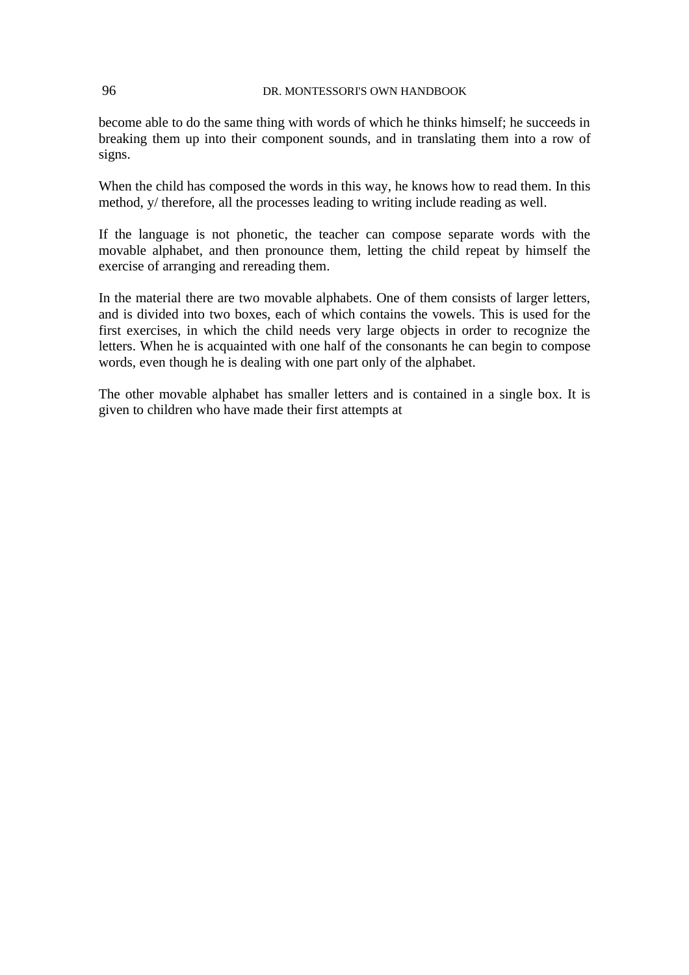become able to do the same thing with words of which he thinks himself; he succeeds in breaking them up into their component sounds, and in translating them into a row of signs.

When the child has composed the words in this way, he knows how to read them. In this method, y/ therefore, all the processes leading to writing include reading as well.

If the language is not phonetic, the teacher can compose separate words with the movable alphabet, and then pronounce them, letting the child repeat by himself the exercise of arranging and rereading them.

In the material there are two movable alphabets. One of them consists of larger letters, and is divided into two boxes, each of which contains the vowels. This is used for the first exercises, in which the child needs very large objects in order to recognize the letters. When he is acquainted with one half of the consonants he can begin to compose words, even though he is dealing with one part only of the alphabet.

The other movable alphabet has smaller letters and is contained in a single box. It is given to children who have made their first attempts at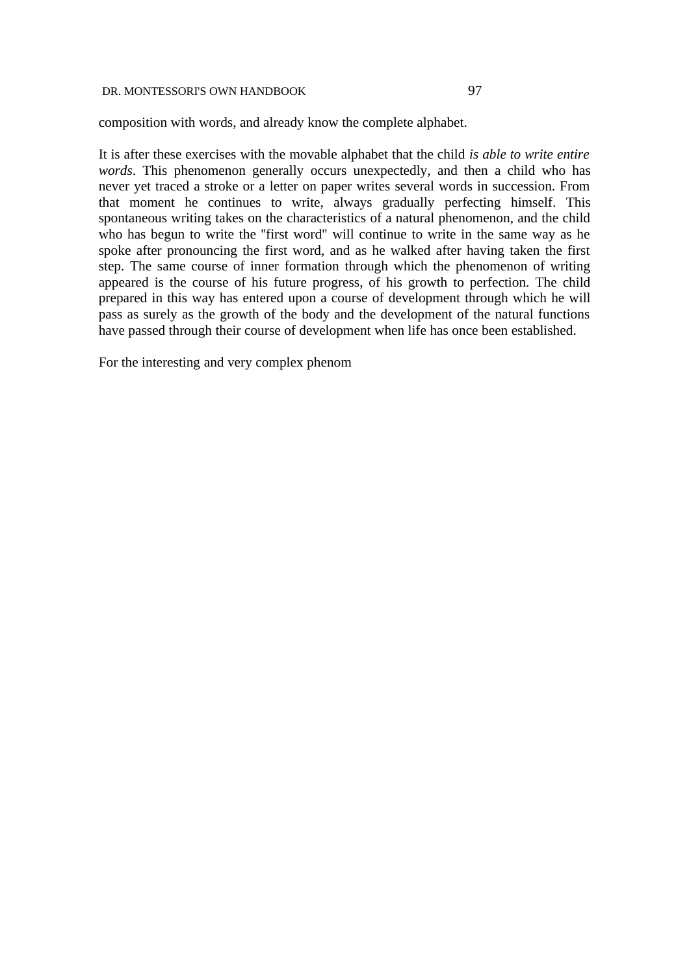composition with words, and already know the complete alphabet.

It is after these exercises with the movable alphabet that the child *is able to write entire words*. This phenomenon generally occurs unexpectedly, and then a child who has never yet traced a stroke or a letter on paper writes several words in succession. From that moment he continues to write, always gradually perfecting himself. This spontaneous writing takes on the characteristics of a natural phenomenon, and the child who has begun to write the ''first word" will continue to write in the same way as he spoke after pronouncing the first word, and as he walked after having taken the first step. The same course of inner formation through which the phenomenon of writing appeared is the course of his future progress, of his growth to perfection. The child prepared in this way has entered upon a course of development through which he will pass as surely as the growth of the body and the development of the natural functions have passed through their course of development when life has once been established.

For the interesting and very complex phenom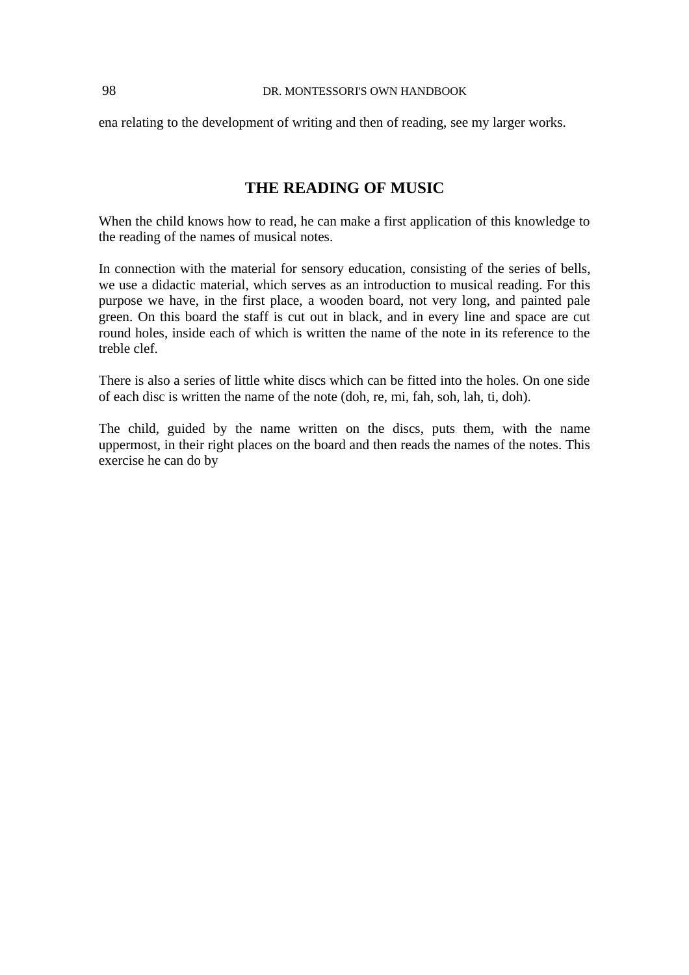ena relating to the development of writing and then of reading, see my larger works.

# **THE READING OF MUSIC**

When the child knows how to read, he can make a first application of this knowledge to the reading of the names of musical notes.

In connection with the material for sensory education, consisting of the series of bells, we use a didactic material, which serves as an introduction to musical reading. For this purpose we have, in the first place, a wooden board, not very long, and painted pale green. On this board the staff is cut out in black, and in every line and space are cut round holes, inside each of which is written the name of the note in its reference to the treble clef.

There is also a series of little white discs which can be fitted into the holes. On one side of each disc is written the name of the note (doh, re, mi, fah, soh, lah, ti, doh).

The child, guided by the name written on the discs, puts them, with the name uppermost, in their right places on the board and then reads the names of the notes. This exercise he can do by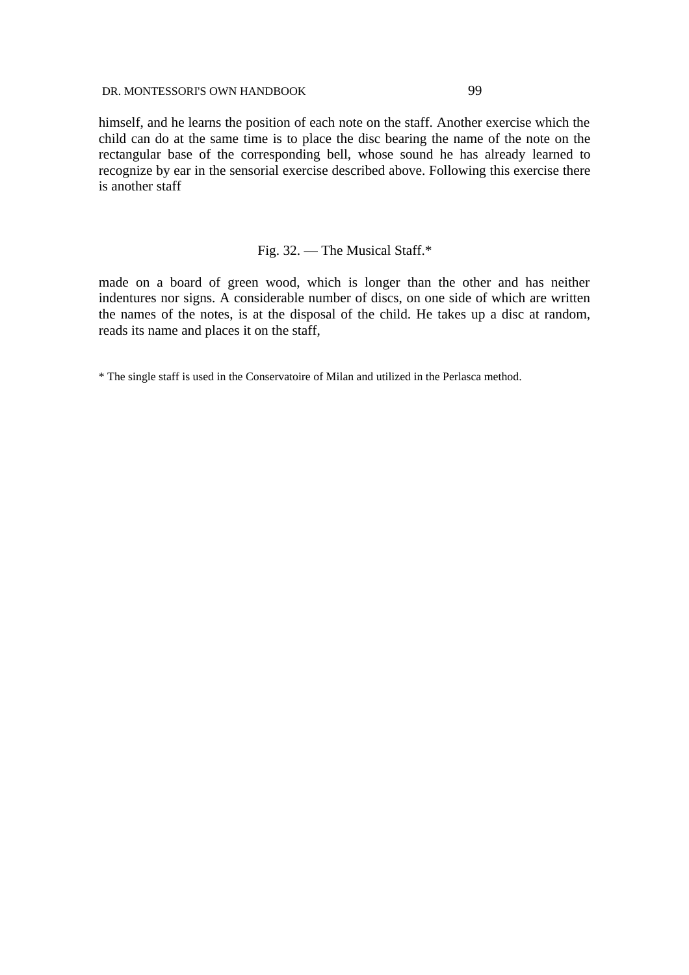himself, and he learns the position of each note on the staff. Another exercise which the child can do at the same time is to place the disc bearing the name of the note on the rectangular base of the corresponding bell, whose sound he has already learned to recognize by ear in the sensorial exercise described above. Following this exercise there is another staff

# Fig. 32. — The Musical Staff.\*

made on a board of green wood, which is longer than the other and has neither indentures nor signs. A considerable number of discs, on one side of which are written the names of the notes, is at the disposal of the child. He takes up a disc at random, reads its name and places it on the staff,

\* The single staff is used in the Conservatoire of Milan and utilized in the Perlasca method.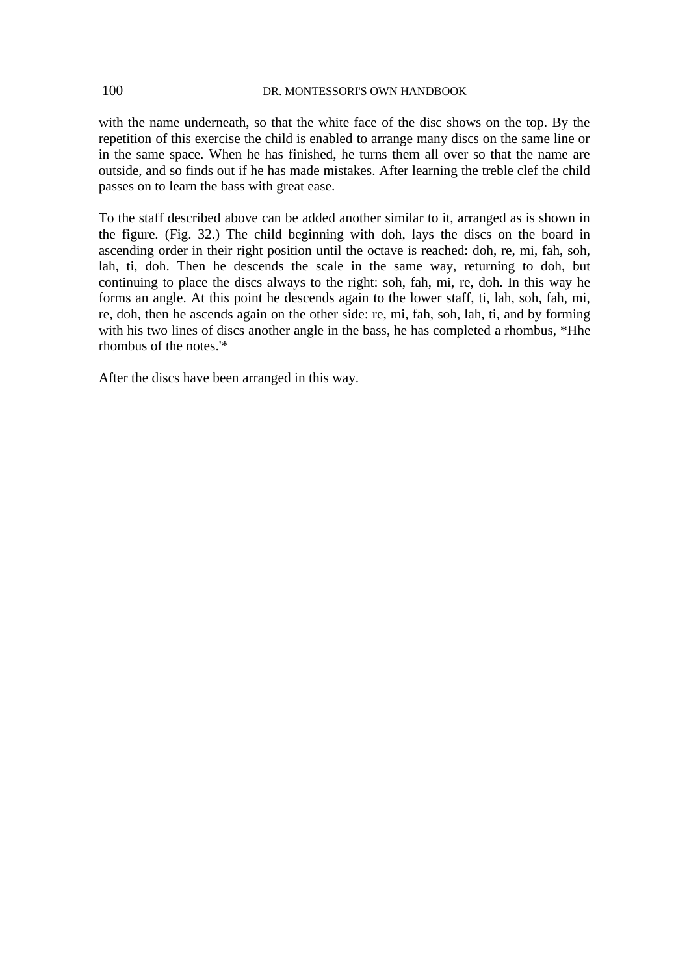with the name underneath, so that the white face of the disc shows on the top. By the repetition of this exercise the child is enabled to arrange many discs on the same line or in the same space. When he has finished, he turns them all over so that the name are outside, and so finds out if he has made mistakes. After learning the treble clef the child passes on to learn the bass with great ease.

To the staff described above can be added another similar to it, arranged as is shown in the figure. (Fig. 32.) The child beginning with doh, lays the discs on the board in ascending order in their right position until the octave is reached: doh, re, mi, fah, soh, lah, ti, doh. Then he descends the scale in the same way, returning to doh, but continuing to place the discs always to the right: soh, fah, mi, re, doh. In this way he forms an angle. At this point he descends again to the lower staff, ti, lah, soh, fah, mi, re, doh, then he ascends again on the other side: re, mi, fah, soh, lah, ti, and by forming with his two lines of discs another angle in the bass, he has completed a rhombus, \*Hhe rhombus of the notes.'\*

After the discs have been arranged in this way.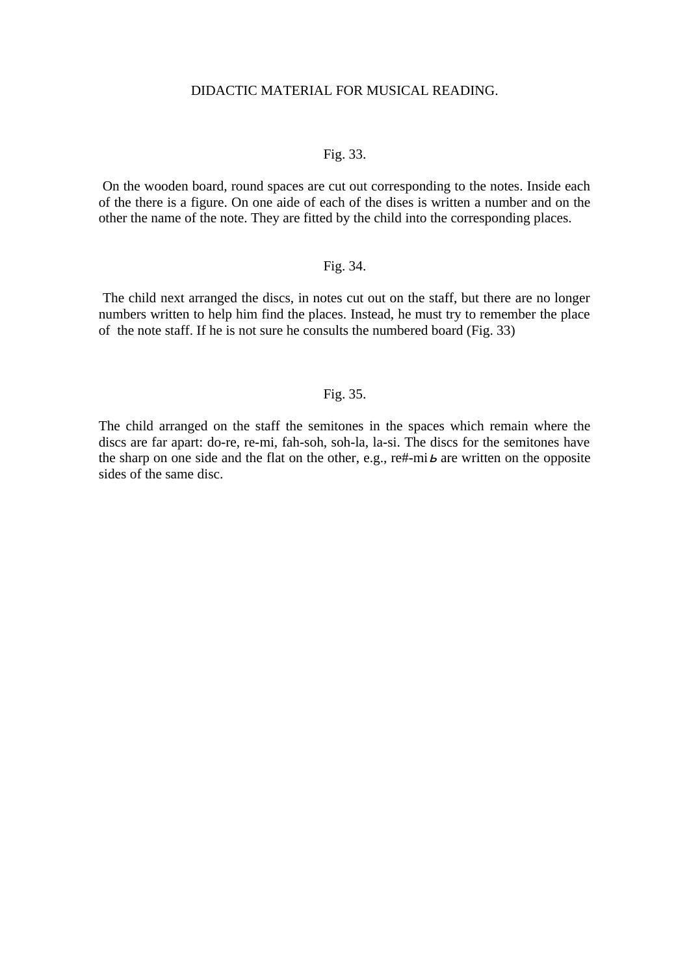# DIDACTIC MATERIAL FOR MUSICAL READING.

#### Fig. 33.

 On the wooden board, round spaces are cut out corresponding to the notes. Inside each of the there is a figure. On one aide of each of the dises is written a number and on the other the name of the note. They are fitted by the child into the corresponding places.

### Fig. 34.

 The child next arranged the discs, in notes cut out on the staff, but there are no longer numbers written to help him find the places. Instead, he must try to remember the place of the note staff. If he is not sure he consults the numbered board (Fig. 33)

## Fig. 35.

The child arranged on the staff the semitones in the spaces which remain where the discs are far apart: do-re, re-mi, fah-soh, soh-la, la-si. The discs for the semitones have the sharp on one side and the flat on the other, e.g.,  $\text{re}\# \text{-mi}$   $\boldsymbol{b}$  are written on the opposite sides of the same disc.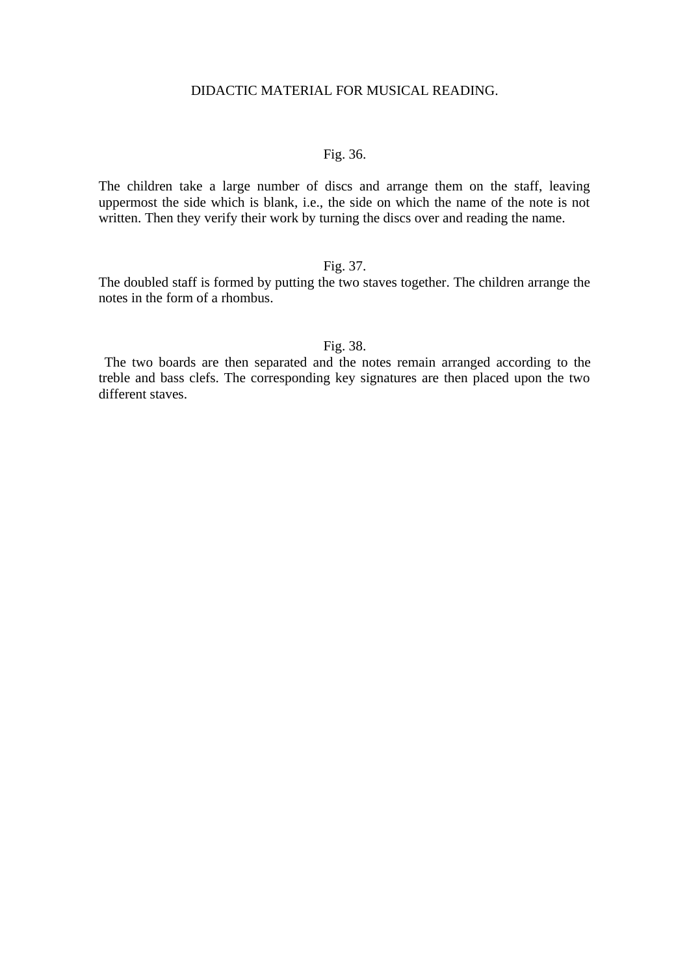# DIDACTIC MATERIAL FOR MUSICAL READING.

# Fig. 36.

The children take a large number of discs and arrange them on the staff, leaving uppermost the side which is blank, i.e., the side on which the name of the note is not written. Then they verify their work by turning the discs over and reading the name.

# Fig. 37.

The doubled staff is formed by putting the two staves together. The children arrange the notes in the form of a rhombus.

### Fig. 38.

 The two boards are then separated and the notes remain arranged according to the treble and bass clefs. The corresponding key signatures are then placed upon the two different staves.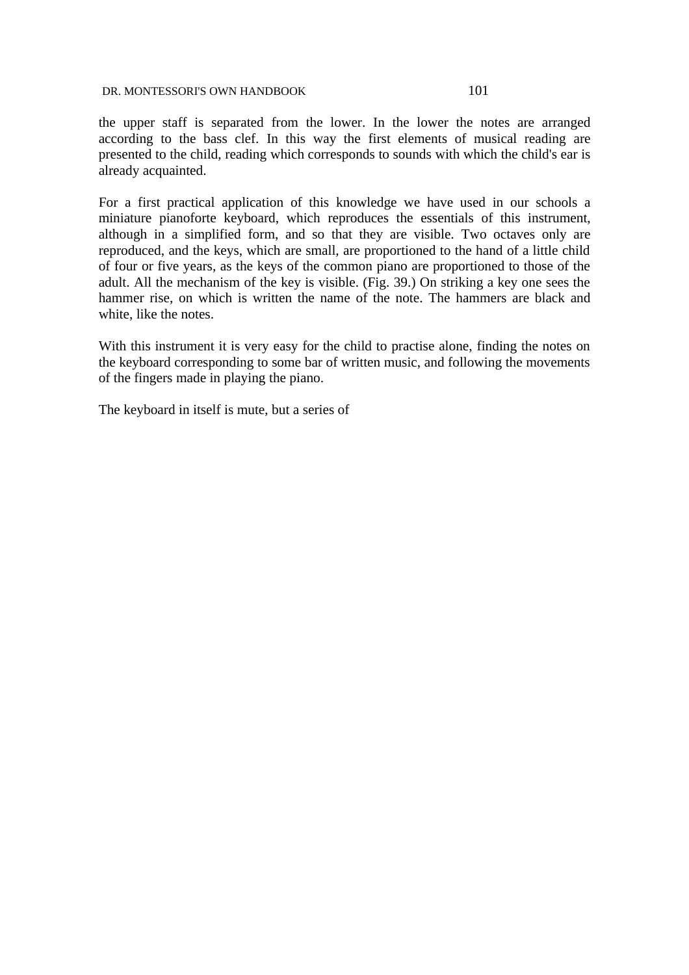the upper staff is separated from the lower. In the lower the notes are arranged according to the bass clef. In this way the first elements of musical reading are presented to the child, reading which corresponds to sounds with which the child's ear is already acquainted.

For a first practical application of this knowledge we have used in our schools a miniature pianoforte keyboard, which reproduces the essentials of this instrument, although in a simplified form, and so that they are visible. Two octaves only are reproduced, and the keys, which are small, are proportioned to the hand of a little child of four or five years, as the keys of the common piano are proportioned to those of the adult. All the mechanism of the key is visible. (Fig. 39.) On striking a key one sees the hammer rise, on which is written the name of the note. The hammers are black and white, like the notes.

With this instrument it is very easy for the child to practise alone, finding the notes on the keyboard corresponding to some bar of written music, and following the movements of the fingers made in playing the piano.

The keyboard in itself is mute, but a series of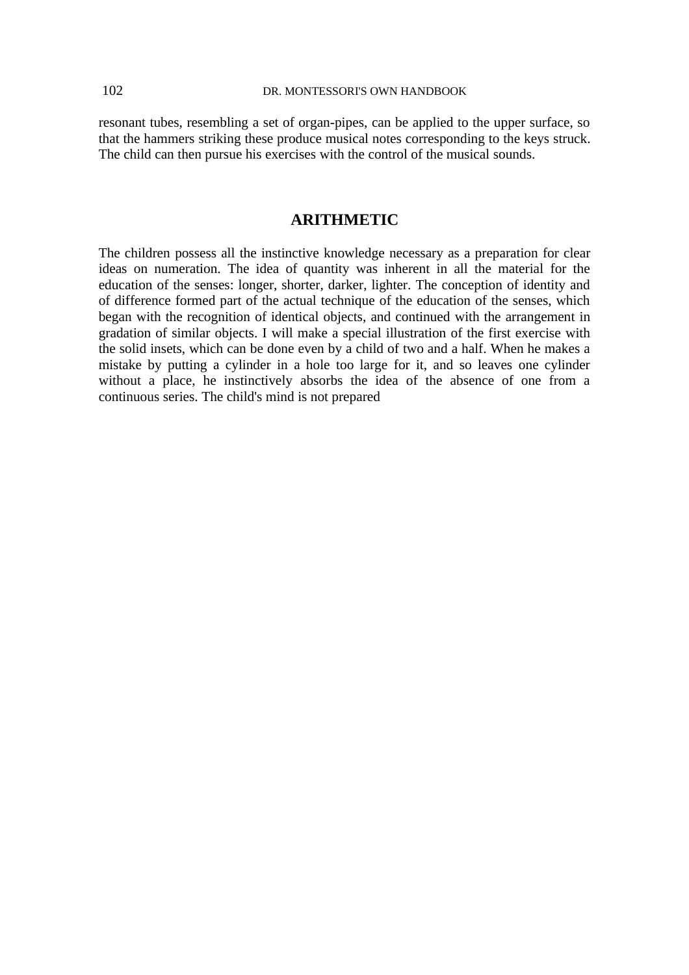resonant tubes, resembling a set of organ-pipes, can be applied to the upper surface, so that the hammers striking these produce musical notes corresponding to the keys struck. The child can then pursue his exercises with the control of the musical sounds.

# **ARITHMETIC**

The children possess all the instinctive knowledge necessary as a preparation for clear ideas on numeration. The idea of quantity was inherent in all the material for the education of the senses: longer, shorter, darker, lighter. The conception of identity and of difference formed part of the actual technique of the education of the senses, which began with the recognition of identical objects, and continued with the arrangement in gradation of similar objects. I will make a special illustration of the first exercise with the solid insets, which can be done even by a child of two and a half. When he makes a mistake by putting a cylinder in a hole too large for it, and so leaves one cylinder without a place, he instinctively absorbs the idea of the absence of one from a continuous series. The child's mind is not prepared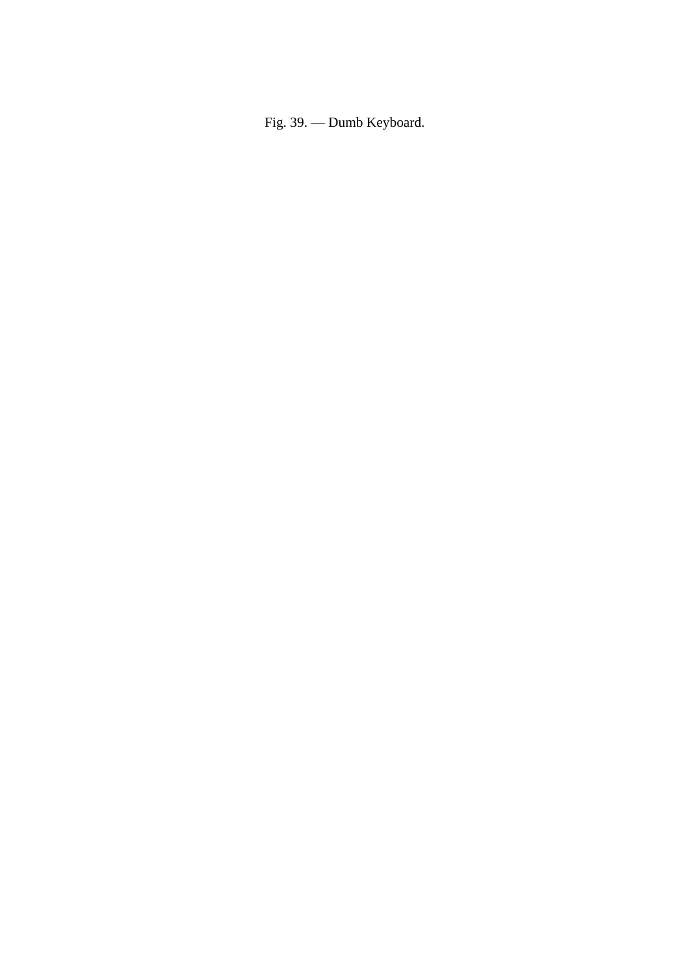Fig. 39. — Dumb Keyboard.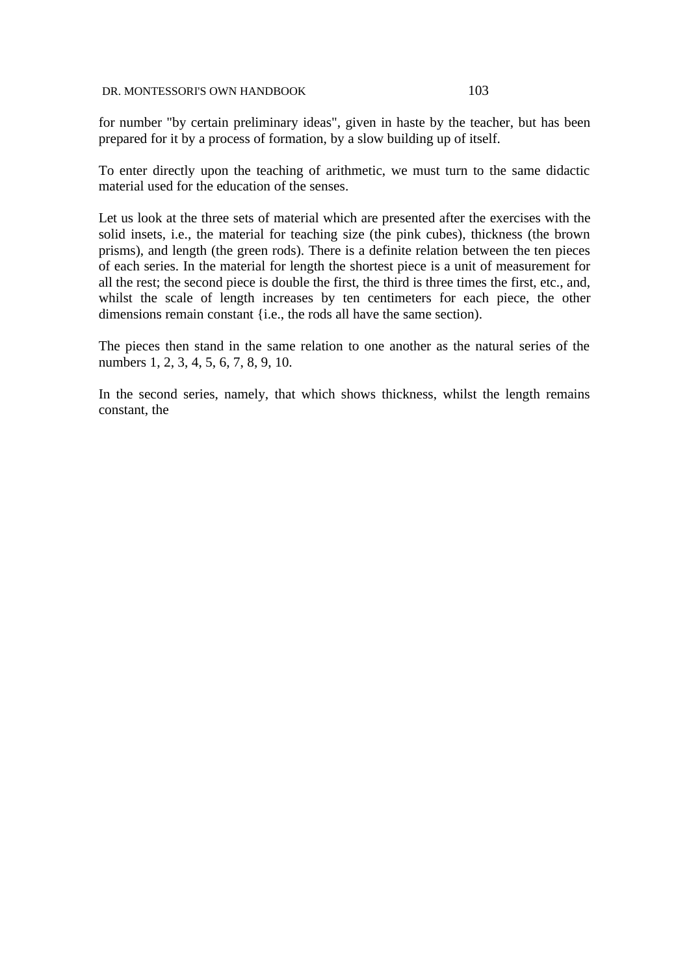for number "by certain preliminary ideas", given in haste by the teacher, but has been prepared for it by a process of formation, by a slow building up of itself.

To enter directly upon the teaching of arithmetic, we must turn to the same didactic material used for the education of the senses.

Let us look at the three sets of material which are presented after the exercises with the solid insets, i.e., the material for teaching size (the pink cubes), thickness (the brown prisms), and length (the green rods). There is a definite relation between the ten pieces of each series. In the material for length the shortest piece is a unit of measurement for all the rest; the second piece is double the first, the third is three times the first, etc., and, whilst the scale of length increases by ten centimeters for each piece, the other dimensions remain constant {i.e., the rods all have the same section).

The pieces then stand in the same relation to one another as the natural series of the numbers 1, 2, 3, 4, 5, 6, 7, 8, 9, 10.

In the second series, namely, that which shows thickness, whilst the length remains constant, the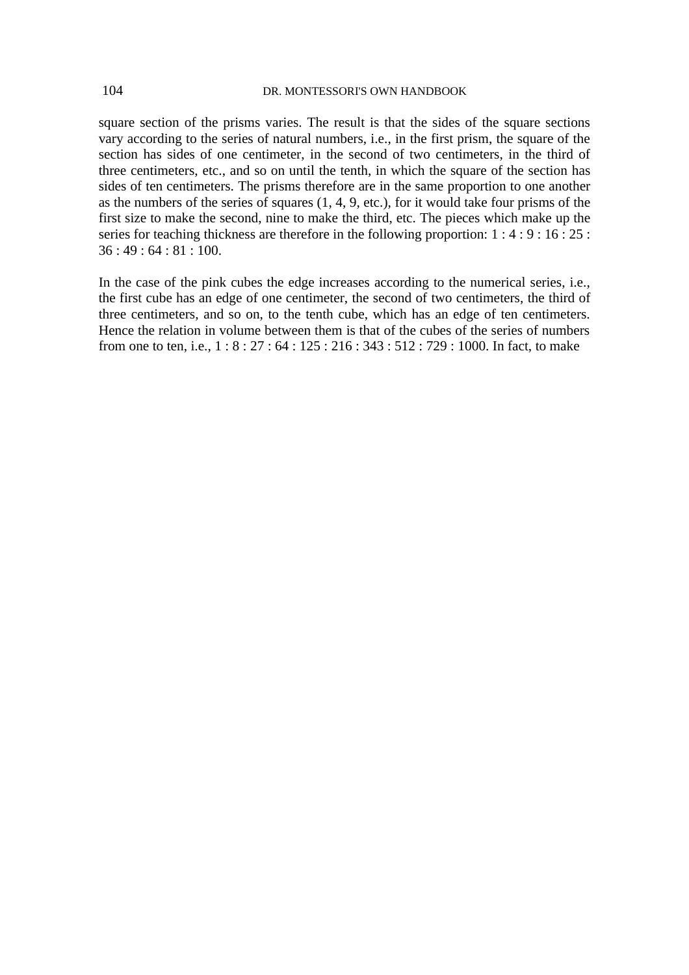square section of the prisms varies. The result is that the sides of the square sections vary according to the series of natural numbers, i.e., in the first prism, the square of the section has sides of one centimeter, in the second of two centimeters, in the third of three centimeters, etc., and so on until the tenth, in which the square of the section has sides of ten centimeters. The prisms therefore are in the same proportion to one another as the numbers of the series of squares (1, 4, 9, etc.), for it would take four prisms of the first size to make the second, nine to make the third, etc. The pieces which make up the series for teaching thickness are therefore in the following proportion: 1 : 4 : 9 : 16 : 25 : 36 : 49 : 64 : 81 : 100.

In the case of the pink cubes the edge increases according to the numerical series, i.e., the first cube has an edge of one centimeter, the second of two centimeters, the third of three centimeters, and so on, to the tenth cube, which has an edge of ten centimeters. Hence the relation in volume between them is that of the cubes of the series of numbers from one to ten, i.e., 1 : 8 : 27 : 64 : 125 : 216 : 343 : 512 : 729 : 1000. In fact, to make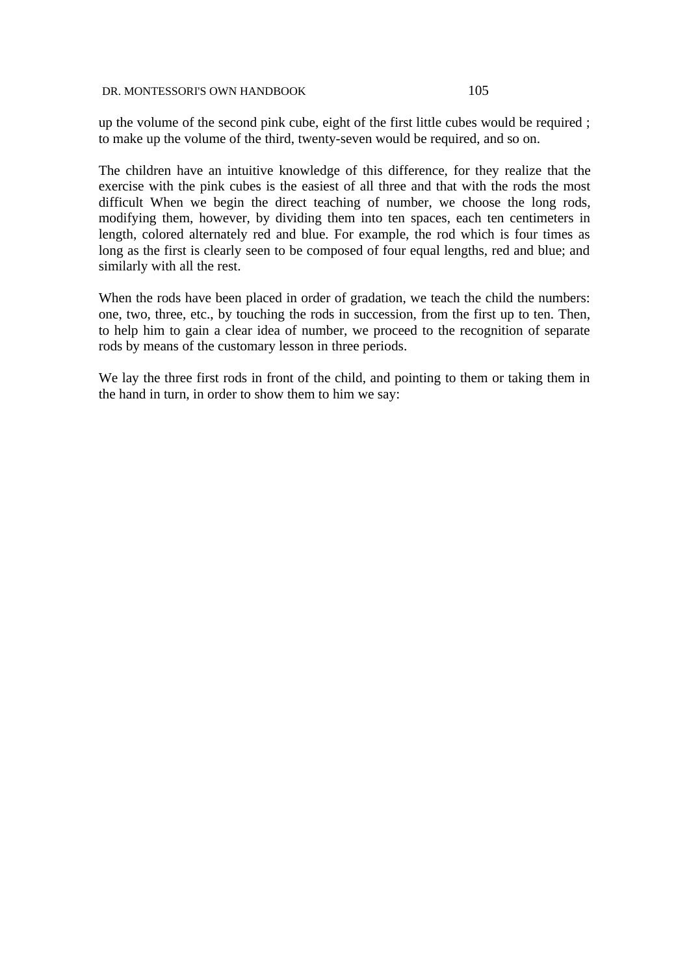up the volume of the second pink cube, eight of the first little cubes would be required ; to make up the volume of the third, twenty-seven would be required, and so on.

The children have an intuitive knowledge of this difference, for they realize that the exercise with the pink cubes is the easiest of all three and that with the rods the most difficult When we begin the direct teaching of number, we choose the long rods, modifying them, however, by dividing them into ten spaces, each ten centimeters in length, colored alternately red and blue. For example, the rod which is four times as long as the first is clearly seen to be composed of four equal lengths, red and blue; and similarly with all the rest.

When the rods have been placed in order of gradation, we teach the child the numbers: one, two, three, etc., by touching the rods in succession, from the first up to ten. Then, to help him to gain a clear idea of number, we proceed to the recognition of separate rods by means of the customary lesson in three periods.

We lay the three first rods in front of the child, and pointing to them or taking them in the hand in turn, in order to show them to him we say: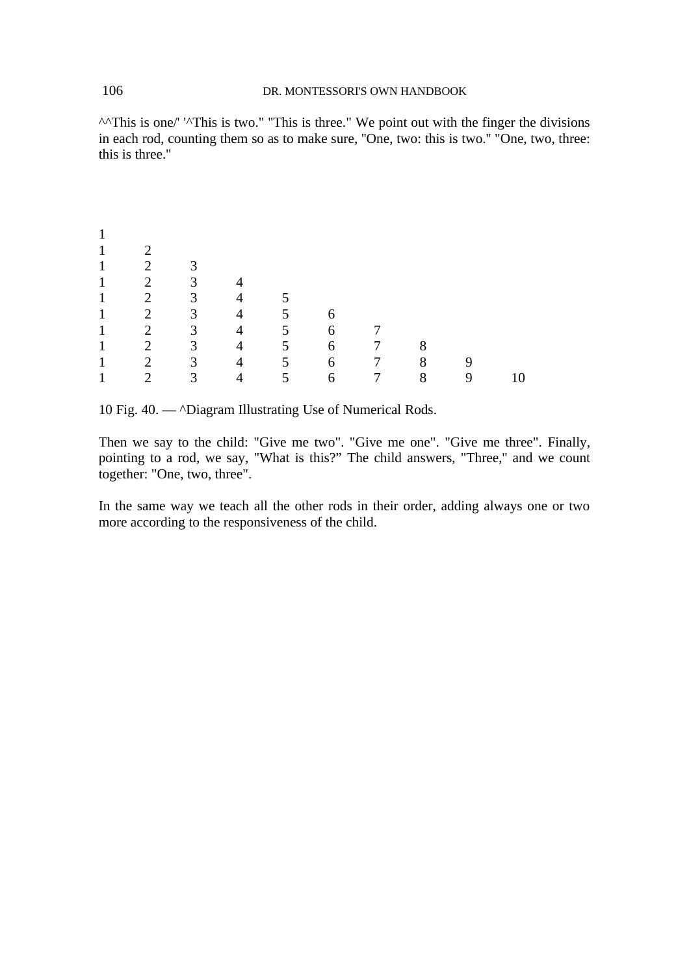$\wedge$ <sup> $\wedge$ This is one/' ' $\wedge$ This is two." "This is three." We point out with the finger the divisions</sup> in each rod, counting them so as to make sure, ''One, two: this is two.'' "One, two, three: this is three.''

| 1            |                |                |                |                |   |                 |   |   |    |
|--------------|----------------|----------------|----------------|----------------|---|-----------------|---|---|----|
| 1            | $\mathcal{D}$  |                |                |                |   |                 |   |   |    |
| $\mathbf{1}$ | $\overline{2}$ | $\mathbf{3}$   |                |                |   |                 |   |   |    |
| $\mathbf{1}$ | $\overline{2}$ | 3              |                |                |   |                 |   |   |    |
| $\mathbf{1}$ | $2^{\circ}$    | 3              | $\overline{4}$ |                |   |                 |   |   |    |
| $\mathbf{1}$ | $\overline{2}$ | 3 <sup>1</sup> | $\overline{4}$ | 5.             | 6 |                 |   |   |    |
| $\mathbf{1}$ | $\overline{2}$ | 3              | $\overline{4}$ | 5              | 6 |                 |   |   |    |
| $\mathbf{1}$ | $2^{\circ}$    | 3 <sup>1</sup> | $\overline{4}$ | 5 <sup>1</sup> | 6 | 7               | 8 |   |    |
| $\mathbf{1}$ | $\overline{2}$ | 3              | 4              | 5              | 6 | $7\overline{ }$ | 8 | 9 |    |
| 1            | ר              | 3              |                | 5              | 6 | 7               | 8 | 9 | 10 |

10 Fig. 40. — ^Diagram Illustrating Use of Numerical Rods.

Then we say to the child: "Give me two". "Give me one". "Give me three". Finally, pointing to a rod, we say, "What is this?" The child answers, "Three,'' and we count together: "One, two, three".

In the same way we teach all the other rods in their order, adding always one or two more according to the responsiveness of the child.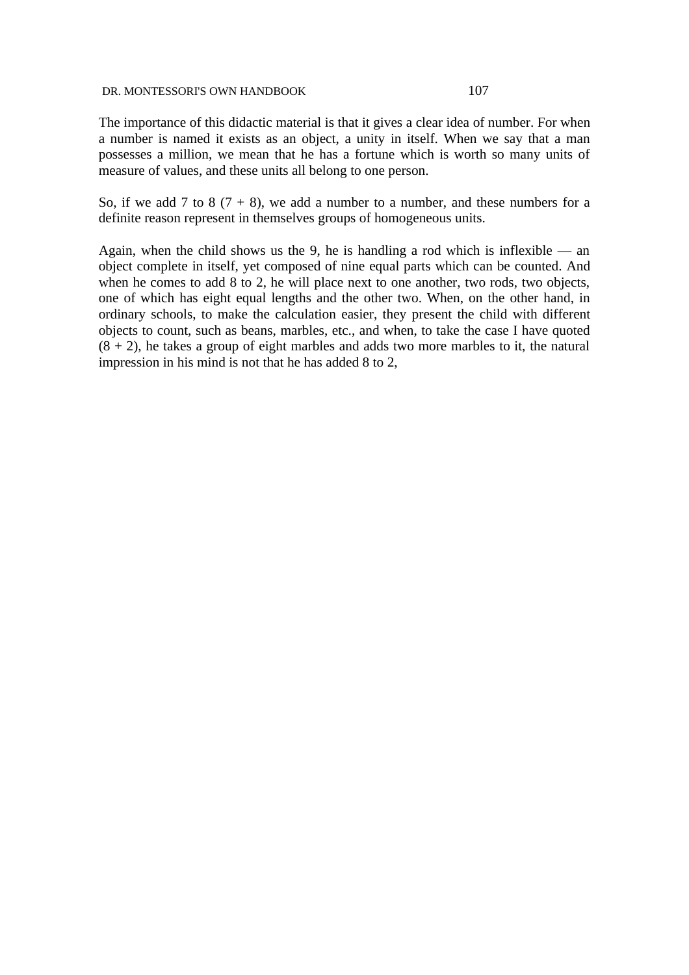The importance of this didactic material is that it gives a clear idea of number. For when a number is named it exists as an object, a unity in itself. When we say that a man possesses a million, we mean that he has a fortune which is worth so many units of measure of values, and these units all belong to one person.

So, if we add 7 to 8 ( $7 + 8$ ), we add a number to a number, and these numbers for a definite reason represent in themselves groups of homogeneous units.

Again, when the child shows us the 9, he is handling a rod which is inflexible — an object complete in itself, yet composed of nine equal parts which can be counted. And when he comes to add 8 to 2, he will place next to one another, two rods, two objects, one of which has eight equal lengths and the other two. When, on the other hand, in ordinary schools, to make the calculation easier, they present the child with different objects to count, such as beans, marbles, etc., and when, to take the case I have quoted  $(8 + 2)$ , he takes a group of eight marbles and adds two more marbles to it, the natural impression in his mind is not that he has added 8 to 2,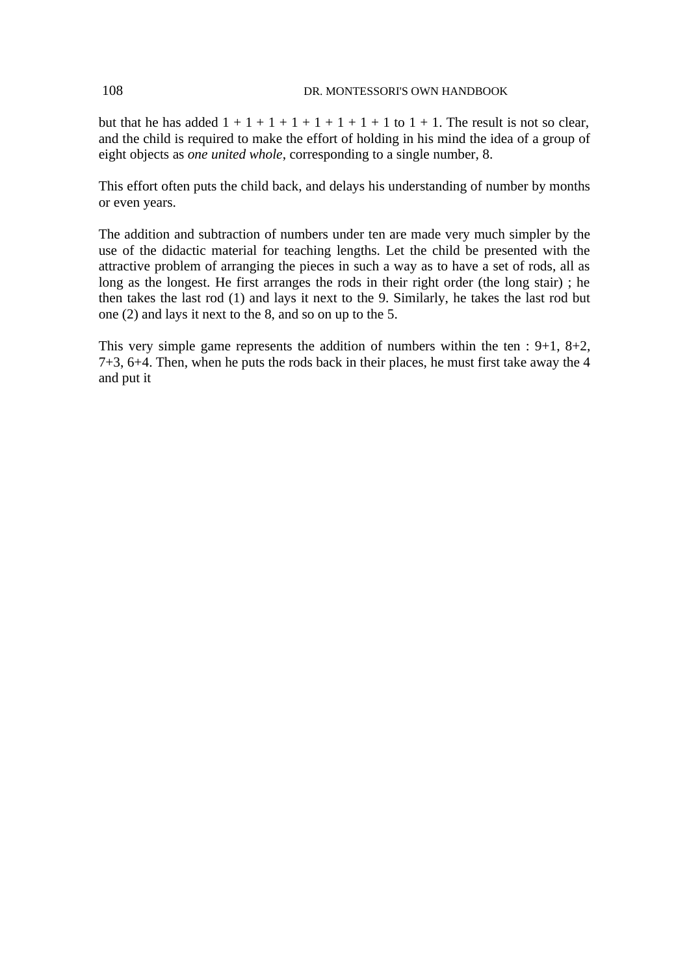but that he has added  $1 + 1 + 1 + 1 + 1 + 1 + 1 + 1$  to  $1 + 1$ . The result is not so clear, and the child is required to make the effort of holding in his mind the idea of a group of eight objects as *one united whole*, corresponding to a single number, 8.

This effort often puts the child back, and delays his understanding of number by months or even years.

The addition and subtraction of numbers under ten are made very much simpler by the use of the didactic material for teaching lengths. Let the child be presented with the attractive problem of arranging the pieces in such a way as to have a set of rods, all as long as the longest. He first arranges the rods in their right order (the long stair) ; he then takes the last rod (1) and lays it next to the 9. Similarly, he takes the last rod but one (2) and lays it next to the 8, and so on up to the 5.

This very simple game represents the addition of numbers within the ten :  $9+1$ ,  $8+2$ , 7+3, 6+4. Then, when he puts the rods back in their places, he must first take away the 4 and put it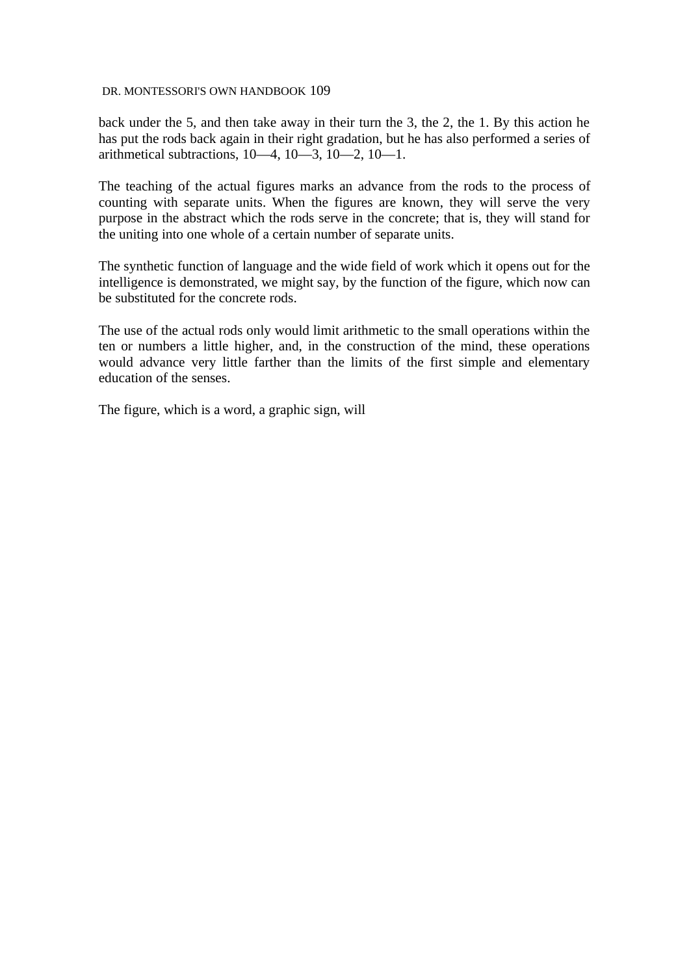back under the 5, and then take away in their turn the 3, the 2, the 1. By this action he has put the rods back again in their right gradation, but he has also performed a series of arithmetical subtractions, 10—4, 10—3, 10—2, 10—1.

The teaching of the actual figures marks an advance from the rods to the process of counting with separate units. When the figures are known, they will serve the very purpose in the abstract which the rods serve in the concrete; that is, they will stand for the uniting into one whole of a certain number of separate units.

The synthetic function of language and the wide field of work which it opens out for the intelligence is demonstrated, we might say, by the function of the figure, which now can be substituted for the concrete rods.

The use of the actual rods only would limit arithmetic to the small operations within the ten or numbers a little higher, and, in the construction of the mind, these operations would advance very little farther than the limits of the first simple and elementary education of the senses.

The figure, which is a word, a graphic sign, will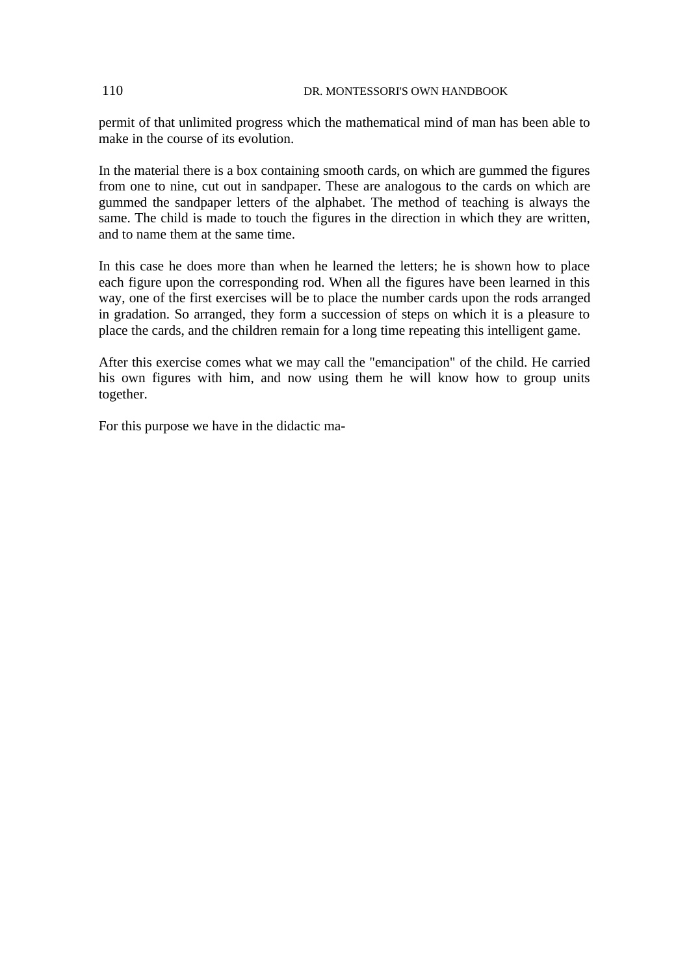permit of that unlimited progress which the mathematical mind of man has been able to make in the course of its evolution.

In the material there is a box containing smooth cards, on which are gummed the figures from one to nine, cut out in sandpaper. These are analogous to the cards on which are gummed the sandpaper letters of the alphabet. The method of teaching is always the same. The child is made to touch the figures in the direction in which they are written, and to name them at the same time.

In this case he does more than when he learned the letters; he is shown how to place each figure upon the corresponding rod. When all the figures have been learned in this way, one of the first exercises will be to place the number cards upon the rods arranged in gradation. So arranged, they form a succession of steps on which it is a pleasure to place the cards, and the children remain for a long time repeating this intelligent game.

After this exercise comes what we may call the "emancipation" of the child. He carried his own figures with him, and now using them he will know how to group units together.

For this purpose we have in the didactic ma-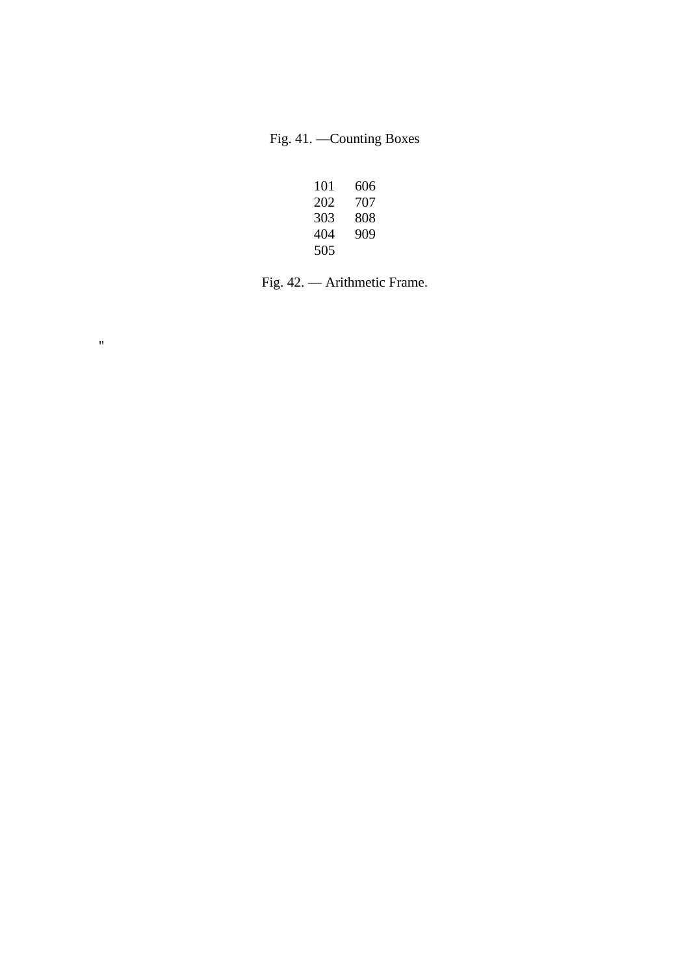Fig. 41. —Counting Boxes

| 101 | 606 |
|-----|-----|
| 202 | 707 |
| 303 | 808 |
| 404 | 909 |
| 505 |     |

Fig. 42. — Arithmetic Frame.

 $\mathbf{u}$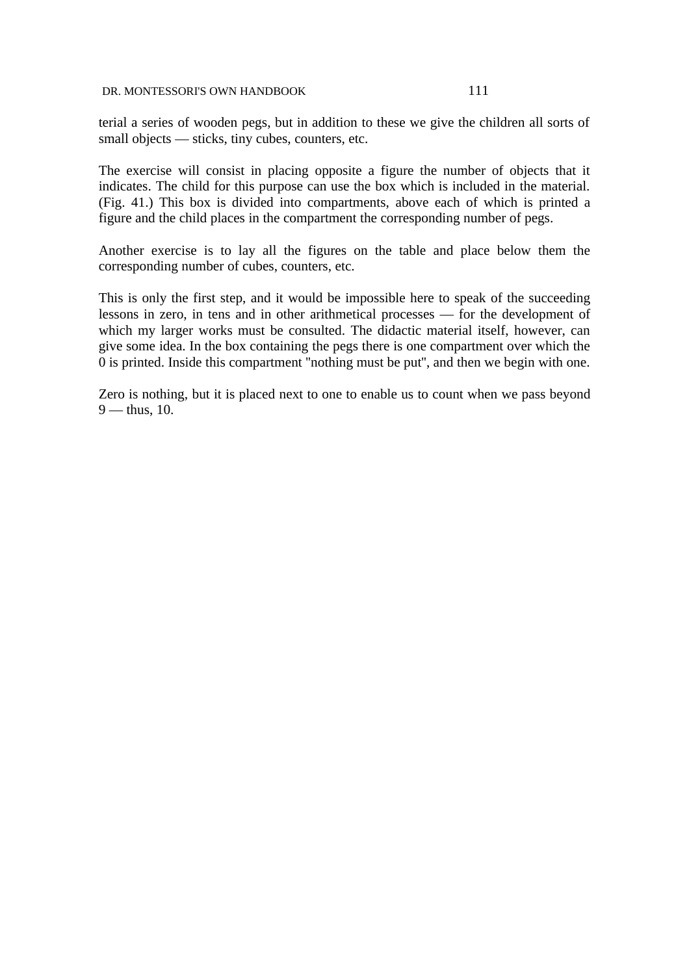terial a series of wooden pegs, but in addition to these we give the children all sorts of small objects — sticks, tiny cubes, counters, etc.

The exercise will consist in placing opposite a figure the number of objects that it indicates. The child for this purpose can use the box which is included in the material. (Fig. 41.) This box is divided into compartments, above each of which is printed a figure and the child places in the compartment the corresponding number of pegs.

Another exercise is to lay all the figures on the table and place below them the corresponding number of cubes, counters, etc.

This is only the first step, and it would be impossible here to speak of the succeeding lessons in zero, in tens and in other arithmetical processes — for the development of which my larger works must be consulted. The didactic material itself, however, can give some idea. In the box containing the pegs there is one compartment over which the 0 is printed. Inside this compartment ''nothing must be put'', and then we begin with one.

Zero is nothing, but it is placed next to one to enable us to count when we pass beyond  $9$  — thus, 10.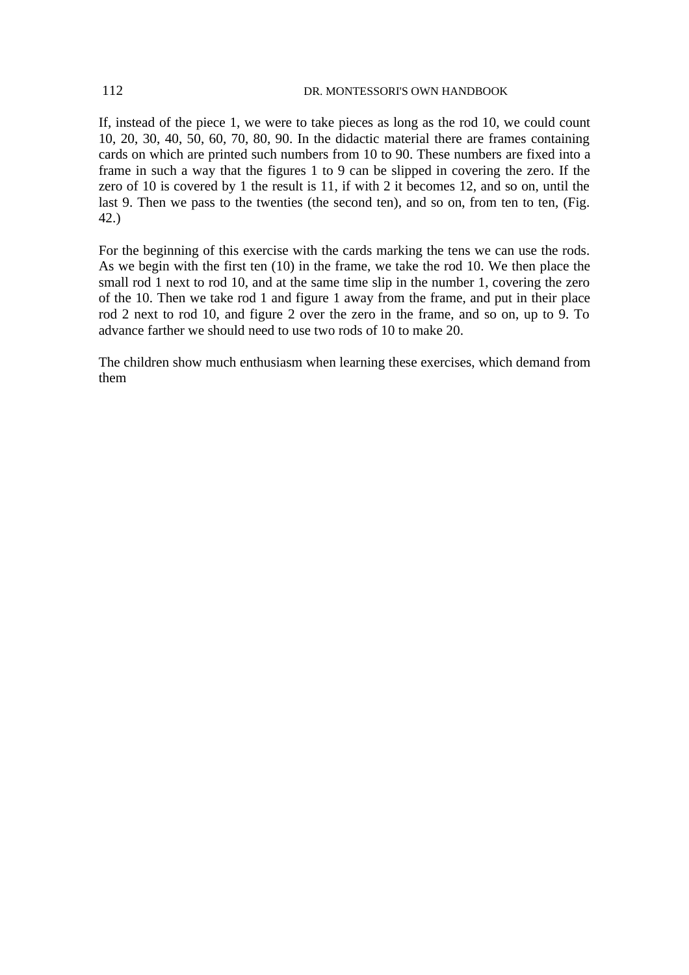If, instead of the piece 1, we were to take pieces as long as the rod 10, we could count 10, 20, 30, 40, 50, 60, 70, 80, 90. In the didactic material there are frames containing cards on which are printed such numbers from 10 to 90. These numbers are fixed into a frame in such a way that the figures 1 to 9 can be slipped in covering the zero. If the zero of 10 is covered by 1 the result is 11, if with 2 it becomes 12, and so on, until the last 9. Then we pass to the twenties (the second ten), and so on, from ten to ten, (Fig. 42.)

For the beginning of this exercise with the cards marking the tens we can use the rods. As we begin with the first ten (10) in the frame, we take the rod 10. We then place the small rod 1 next to rod 10, and at the same time slip in the number 1, covering the zero of the 10. Then we take rod 1 and figure 1 away from the frame, and put in their place rod 2 next to rod 10, and figure 2 over the zero in the frame, and so on, up to 9. To advance farther we should need to use two rods of 10 to make 20.

The children show much enthusiasm when learning these exercises, which demand from them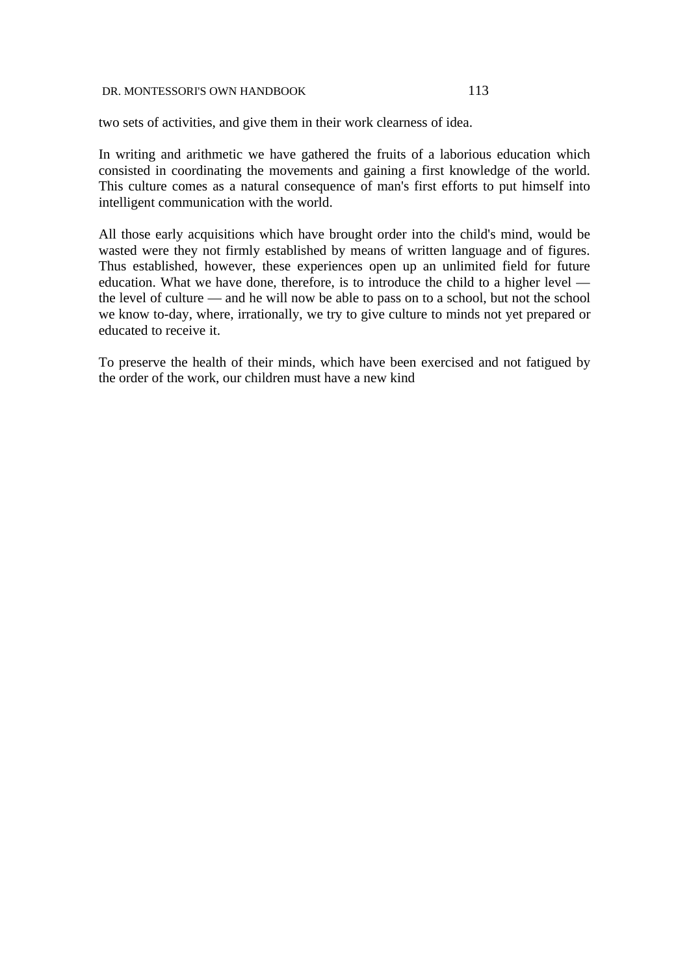two sets of activities, and give them in their work clearness of idea.

In writing and arithmetic we have gathered the fruits of a laborious education which consisted in coordinating the movements and gaining a first knowledge of the world. This culture comes as a natural consequence of man's first efforts to put himself into intelligent communication with the world.

All those early acquisitions which have brought order into the child's mind, would be wasted were they not firmly established by means of written language and of figures. Thus established, however, these experiences open up an unlimited field for future education. What we have done, therefore, is to introduce the child to a higher level the level of culture — and he will now be able to pass on to a school, but not the school we know to-day, where, irrationally, we try to give culture to minds not yet prepared or educated to receive it.

To preserve the health of their minds, which have been exercised and not fatigued by the order of the work, our children must have a new kind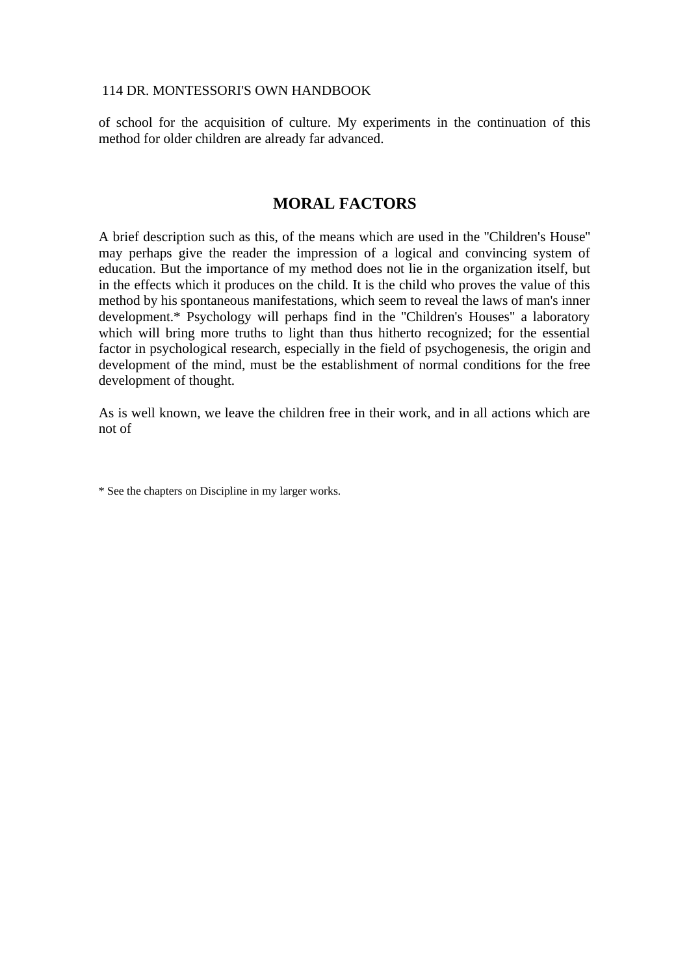of school for the acquisition of culture. My experiments in the continuation of this method for older children are already far advanced.

# **MORAL FACTORS**

A brief description such as this, of the means which are used in the ''Children's House'' may perhaps give the reader the impression of a logical and convincing system of education. But the importance of my method does not lie in the organization itself, but in the effects which it produces on the child. It is the child who proves the value of this method by his spontaneous manifestations, which seem to reveal the laws of man's inner development.\* Psychology will perhaps find in the ''Children's Houses" a laboratory which will bring more truths to light than thus hitherto recognized; for the essential factor in psychological research, especially in the field of psychogenesis, the origin and development of the mind, must be the establishment of normal conditions for the free development of thought.

As is well known, we leave the children free in their work, and in all actions which are not of

\* See the chapters on Discipline in my larger works.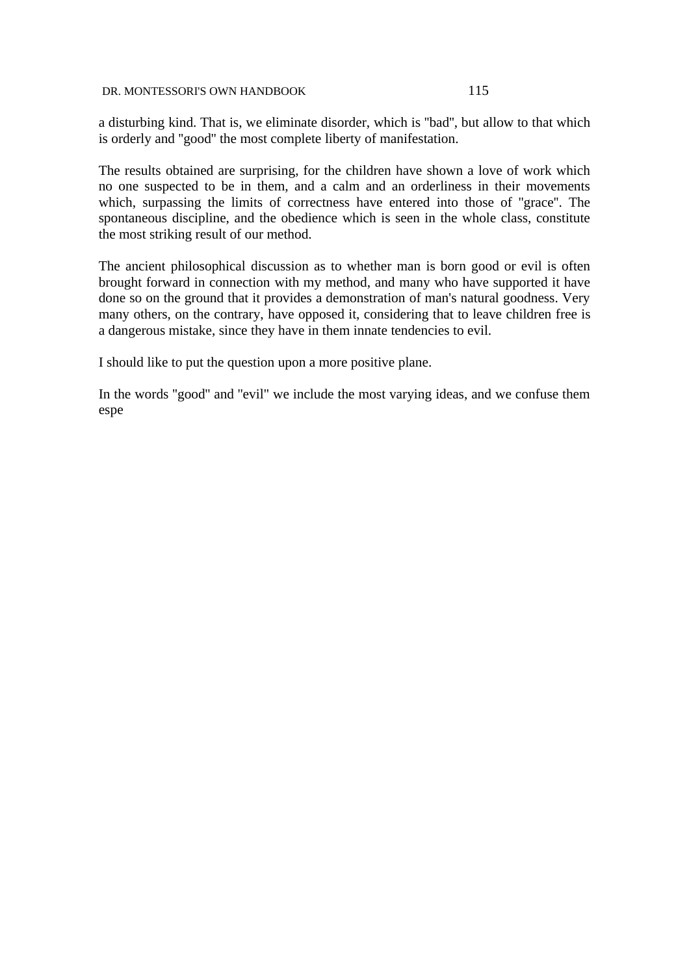a disturbing kind. That is, we eliminate disorder, which is ''bad'', but allow to that which is orderly and ''good'' the most complete liberty of manifestation.

The results obtained are surprising, for the children have shown a love of work which no one suspected to be in them, and a calm and an orderliness in their movements which, surpassing the limits of correctness have entered into those of ''grace''. The spontaneous discipline, and the obedience which is seen in the whole class, constitute the most striking result of our method.

The ancient philosophical discussion as to whether man is born good or evil is often brought forward in connection with my method, and many who have supported it have done so on the ground that it provides a demonstration of man's natural goodness. Very many others, on the contrary, have opposed it, considering that to leave children free is a dangerous mistake, since they have in them innate tendencies to evil.

I should like to put the question upon a more positive plane.

In the words ''good'' and ''evil" we include the most varying ideas, and we confuse them espe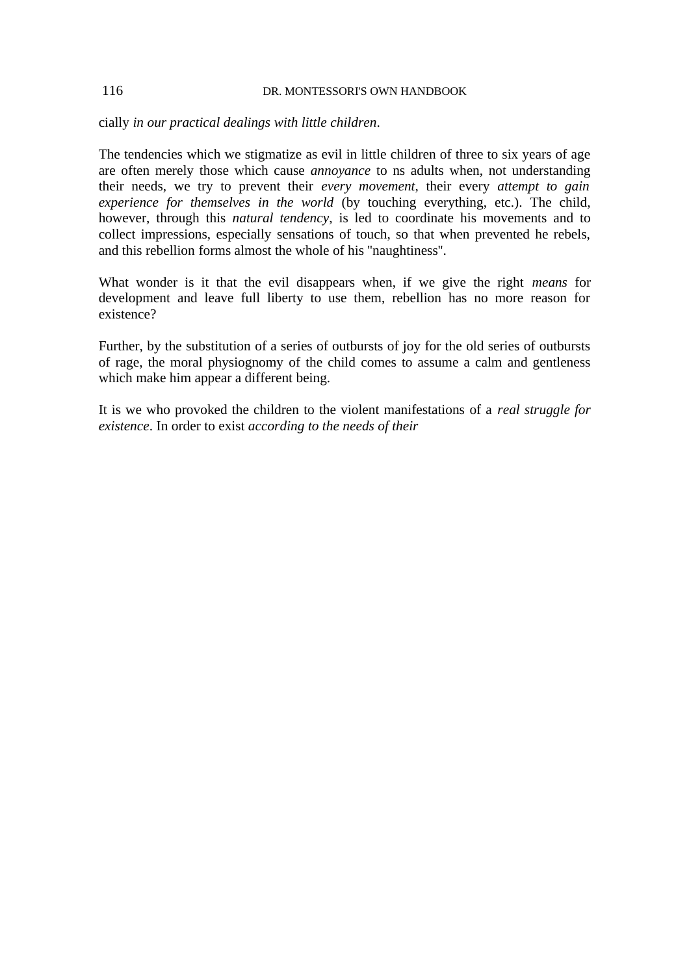cially *in our practical dealings with little children*.

The tendencies which we stigmatize as evil in little children of three to six years of age are often merely those which cause *annoyance* to ns adults when, not understanding their needs, we try to prevent their *every movement*, their every *attempt to gain experience for themselves in the world* (by touching everything, etc.). The child, however, through this *natural tendency*, is led to coordinate his movements and to collect impressions, especially sensations of touch, so that when prevented he rebels, and this rebellion forms almost the whole of his ''naughtiness''.

What wonder is it that the evil disappears when, if we give the right *means* for development and leave full liberty to use them, rebellion has no more reason for existence?

Further, by the substitution of a series of outbursts of joy for the old series of outbursts of rage, the moral physiognomy of the child comes to assume a calm and gentleness which make him appear a different being.

It is we who provoked the children to the violent manifestations of a *real struggle for existence*. In order to exist *according to the needs of their*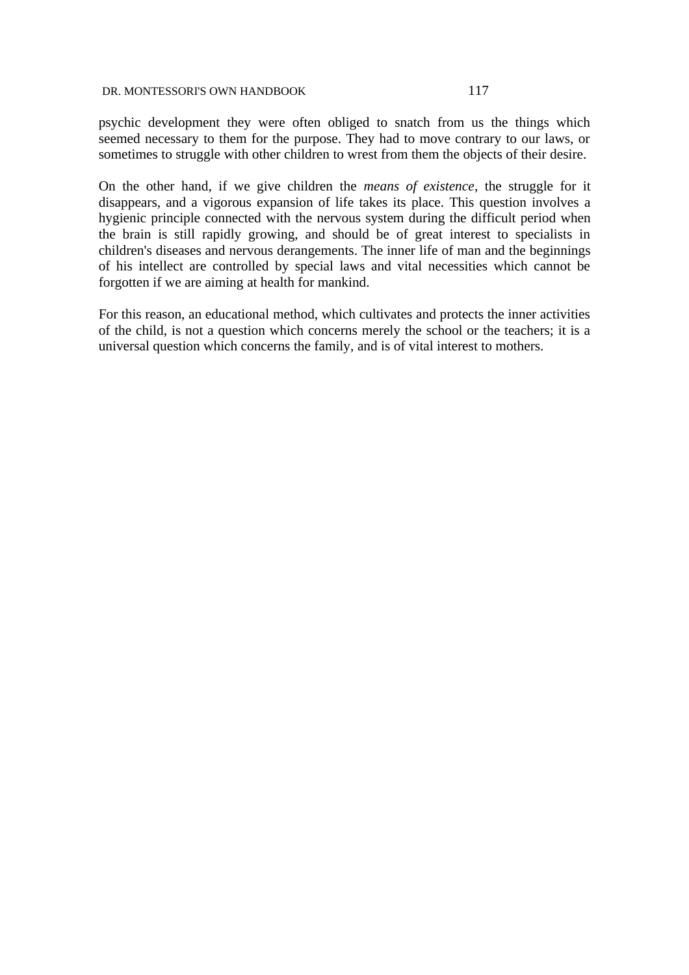psychic development they were often obliged to snatch from us the things which seemed necessary to them for the purpose. They had to move contrary to our laws, or sometimes to struggle with other children to wrest from them the objects of their desire.

On the other hand, if we give children the *means of existence*, the struggle for it disappears, and a vigorous expansion of life takes its place. This question involves a hygienic principle connected with the nervous system during the difficult period when the brain is still rapidly growing, and should be of great interest to specialists in children's diseases and nervous derangements. The inner life of man and the beginnings of his intellect are controlled by special laws and vital necessities which cannot be forgotten if we are aiming at health for mankind.

For this reason, an educational method, which cultivates and protects the inner activities of the child, is not a question which concerns merely the school or the teachers; it is a universal question which concerns the family, and is of vital interest to mothers.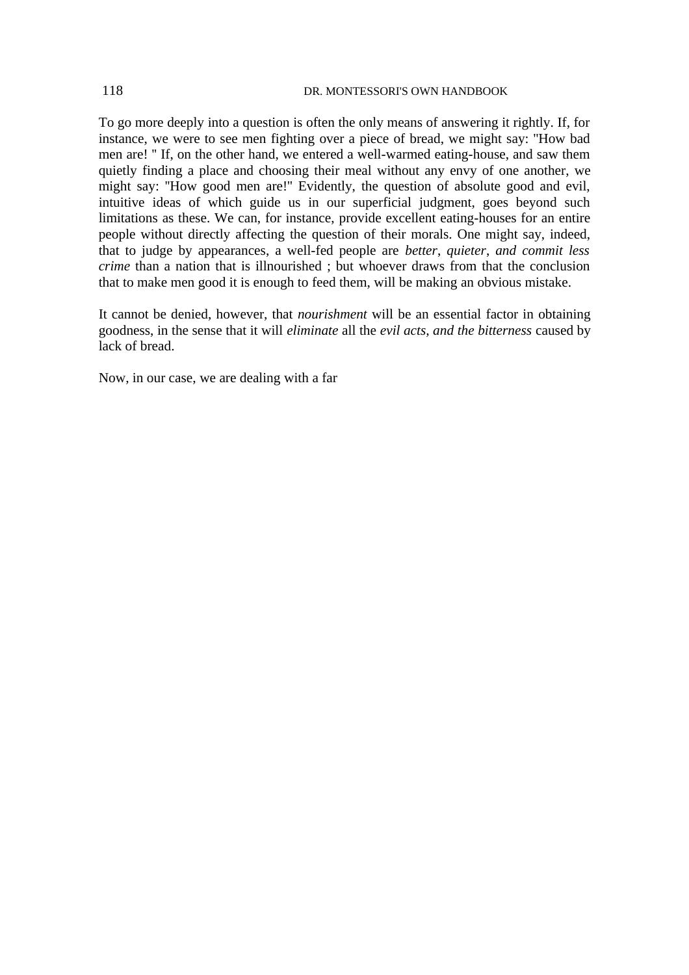To go more deeply into a question is often the only means of answering it rightly. If, for instance, we were to see men fighting over a piece of bread, we might say: ''How bad men are! '' If, on the other hand, we entered a well-warmed eating-house, and saw them quietly finding a place and choosing their meal without any envy of one another, we might say: ''How good men are!'' Evidently, the question of absolute good and evil, intuitive ideas of which guide us in our superficial judgment, goes beyond such limitations as these. We can, for instance, provide excellent eating-houses for an entire people without directly affecting the question of their morals. One might say, indeed, that to judge by appearances, a well-fed people are *better*, *quieter*, *and commit less crime* than a nation that is illnourished ; but whoever draws from that the conclusion that to make men good it is enough to feed them, will be making an obvious mistake.

It cannot be denied, however, that *nourishment* will be an essential factor in obtaining goodness, in the sense that it will *eliminate* all the *evil acts, and the bitterness* caused by lack of bread.

Now, in our case, we are dealing with a far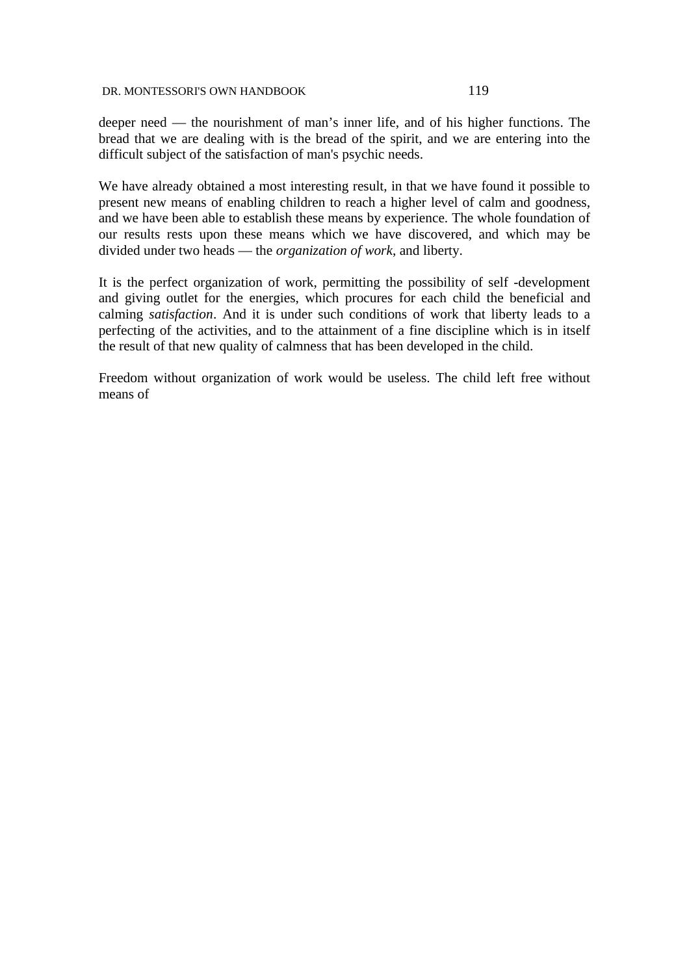deeper need — the nourishment of man's inner life, and of his higher functions. The bread that we are dealing with is the bread of the spirit, and we are entering into the difficult subject of the satisfaction of man's psychic needs.

We have already obtained a most interesting result, in that we have found it possible to present new means of enabling children to reach a higher level of calm and goodness, and we have been able to establish these means by experience. The whole foundation of our results rests upon these means which we have discovered, and which may be divided under two heads — the *organization of work*, and liberty.

It is the perfect organization of work, permitting the possibility of self -development and giving outlet for the energies, which procures for each child the beneficial and calming *satisfaction*. And it is under such conditions of work that liberty leads to a perfecting of the activities, and to the attainment of a fine discipline which is in itself the result of that new quality of calmness that has been developed in the child.

Freedom without organization of work would be useless. The child left free without means of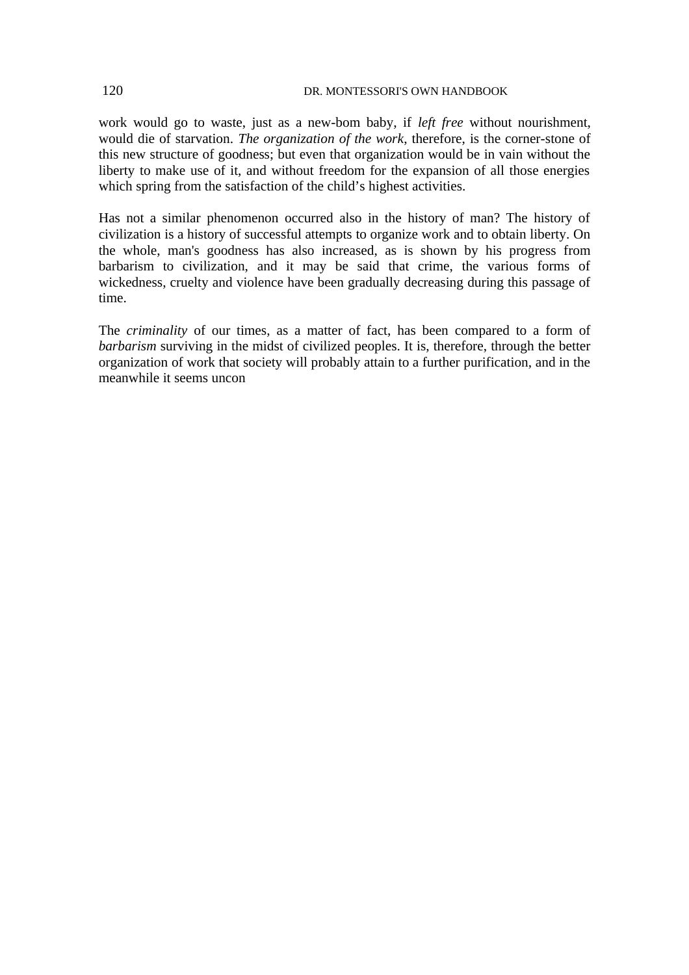work would go to waste, just as a new-bom baby, if *left free* without nourishment, would die of starvation. *The organization of the work*, therefore, is the corner-stone of this new structure of goodness; but even that organization would be in vain without the liberty to make use of it, and without freedom for the expansion of all those energies which spring from the satisfaction of the child's highest activities.

Has not a similar phenomenon occurred also in the history of man? The history of civilization is a history of successful attempts to organize work and to obtain liberty. On the whole, man's goodness has also increased, as is shown by his progress from barbarism to civilization, and it may be said that crime, the various forms of wickedness, cruelty and violence have been gradually decreasing during this passage of time.

The *criminality* of our times, as a matter of fact, has been compared to a form of *barbarism* surviving in the midst of civilized peoples. It is, therefore, through the better organization of work that society will probably attain to a further purification, and in the meanwhile it seems uncon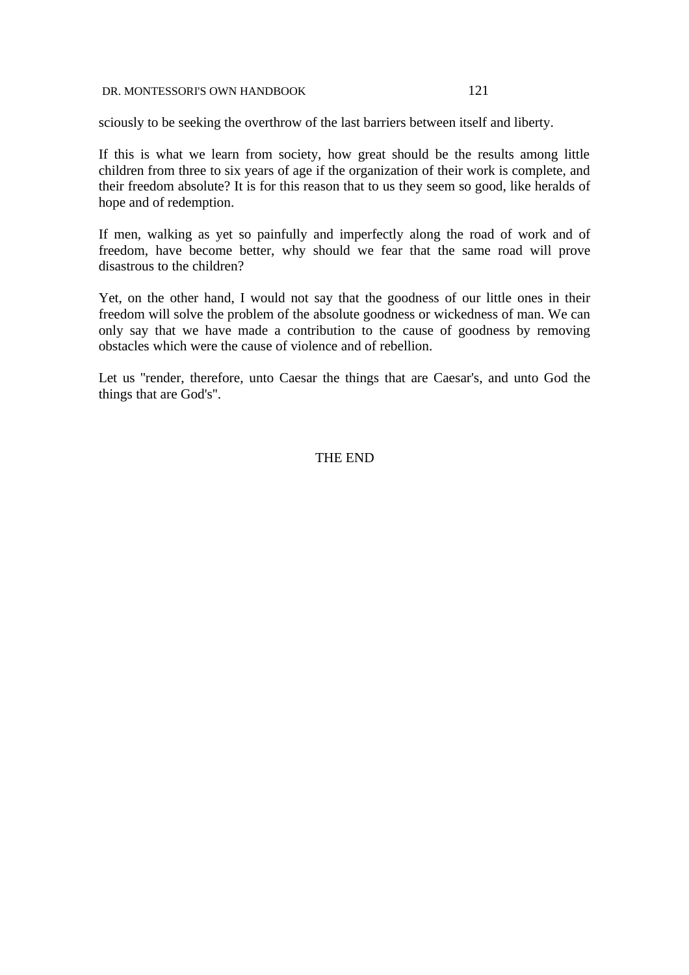sciously to be seeking the overthrow of the last barriers between itself and liberty.

If this is what we learn from society, how great should be the results among little children from three to six years of age if the organization of their work is complete, and their freedom absolute? It is for this reason that to us they seem so good, like heralds of hope and of redemption.

If men, walking as yet so painfully and imperfectly along the road of work and of freedom, have become better, why should we fear that the same road will prove disastrous to the children?

Yet, on the other hand, I would not say that the goodness of our little ones in their freedom will solve the problem of the absolute goodness or wickedness of man. We can only say that we have made a contribution to the cause of goodness by removing obstacles which were the cause of violence and of rebellion.

Let us ''render, therefore, unto Caesar the things that are Caesar's, and unto God the things that are God's''.

THE END